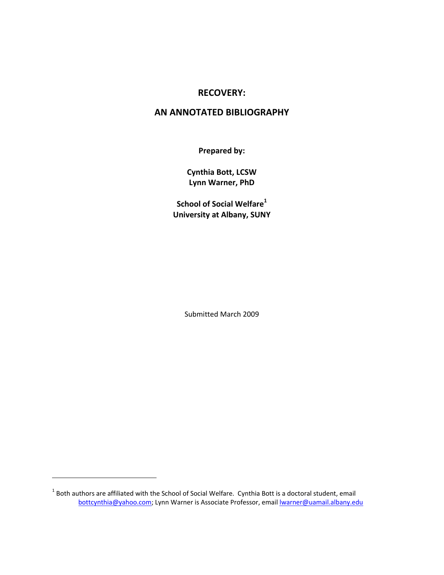## **RECOVERY:**

## **AN ANNOTATED BIBLIOGRAPHY**

**Prepared by:**

**Cynthia Bott, LCSW Lynn Warner, PhD**

**School of Social Welfare<sup>1</sup> University at Albany, SUNY**

Submitted March 2009

<sup>1</sup> Both authors are affiliated with the School of Social Welfare. Cynthia Bott is a doctoral student, email bottcynthia@yahoo.com; Lynn Warner is Associate Professor, email **warner@uamail.albany.edu**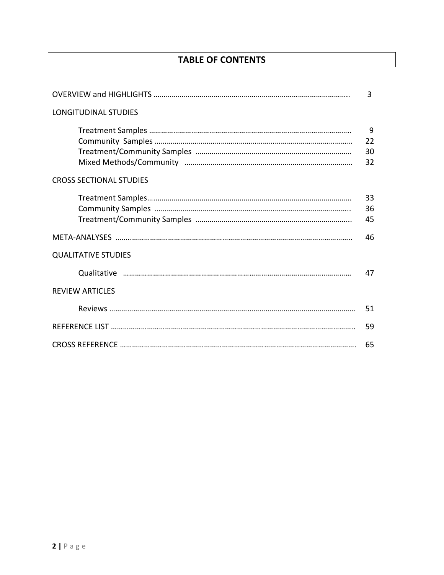# **TABLE OF CONTENTS**

|                                | 3   |
|--------------------------------|-----|
| <b>LONGITUDINAL STUDIES</b>    |     |
|                                | 9   |
|                                | 22  |
|                                | 30  |
|                                | 32  |
| <b>CROSS SECTIONAL STUDIES</b> |     |
|                                | 33  |
|                                | 36  |
|                                | 45  |
|                                | 46  |
| <b>QUALITATIVE STUDIES</b>     |     |
|                                | 47  |
| <b>REVIEW ARTICLES</b>         |     |
|                                | .51 |
|                                | .59 |
|                                | 65  |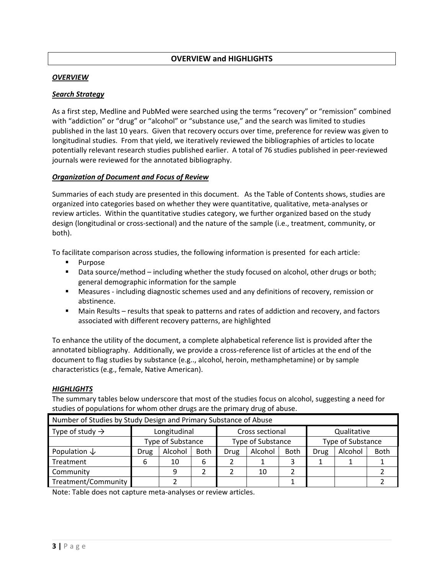## **OVERVIEW and HIGHLIGHTS**

#### *OVERVIEW*

#### *Search Strategy*

As a first step, Medline and PubMed were searched using the terms "recovery" or "remission" combined with "addiction" or "drug" or "alcohol" or "substance use," and the search was limited to studies published in the last 10 years. Given that recovery occurs over time, preference for review was given to longitudinal studies. From that yield, we iteratively reviewed the bibliographies of articles to locate potentially relevant research studies published earlier. A total of 76 studies published in peer‐reviewed journals were reviewed for the annotated bibliography.

#### *Organization of Document and Focus of Review*

Summaries of each study are presented in this document. As the Table of Contents shows, studies are organized into categories based on whether they were quantitative, qualitative, meta‐analyses or review articles. Within the quantitative studies category, we further organized based on the study design (longitudinal or cross‐sectional) and the nature of the sample (i.e., treatment, community, or both).

To facilitate comparison across studies, the following information is presented for each article:

- **Purpose**
- Data source/method including whether the study focused on alcohol, other drugs or both; general demographic information for the sample
- Measures including diagnostic schemes used and any definitions of recovery, remission or abstinence.
- **Main Results results that speak to patterns and rates of addiction and recovery, and factors** associated with different recovery patterns, are highlighted

To enhance the utility of the document, a complete alphabetical reference list is provided after the annotated bibliography. Additionally, we provide a cross‐reference list of articles at the end of the document to flag studies by substance (e.g.., alcohol, heroin, methamphetamine) or by sample characteristics (e.g., female, Native American).

#### *HIGHLIGHTS*

The summary tables below underscore that most of the studies focus on alcohol, suggesting a need for studies of populations for whom other drugs are the primary drug of abuse.

| Number of Studies by Study Design and Primary Substance of Abuse |                   |         |      |                   |         |             |                   |         |             |  |
|------------------------------------------------------------------|-------------------|---------|------|-------------------|---------|-------------|-------------------|---------|-------------|--|
| Type of study $\rightarrow$                                      | Longitudinal      |         |      | Cross sectional   |         |             | Qualitative       |         |             |  |
|                                                                  | Type of Substance |         |      | Type of Substance |         |             | Type of Substance |         |             |  |
| Population $\downarrow$                                          | Drug              | Alcohol | Both | <b>Drug</b>       | Alcohol | <b>Both</b> | Drug              | Alcohol | <b>Both</b> |  |
| Treatment                                                        | 6                 | 10      | 6    |                   |         |             |                   |         |             |  |
| Community                                                        |                   | q       |      |                   | 10      |             |                   |         |             |  |
| Treatment/Community                                              |                   |         |      |                   |         |             |                   |         |             |  |

Note: Table does not capture meta‐analyses or review articles.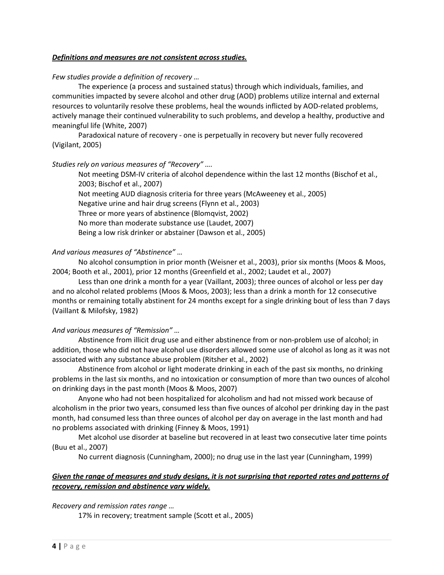#### *Definitions and measures are not consistent across studies.*

#### *Few studies provide a definition of recovery …*

The experience (a process and sustained status) through which individuals, families, and communities impacted by severe alcohol and other drug (AOD) problems utilize internal and external resources to voluntarily resolve these problems, heal the wounds inflicted by AOD‐related problems, actively manage their continued vulnerability to such problems, and develop a healthy, productive and meaningful life (White, 2007)

Paradoxical nature of recovery ‐ one is perpetually in recovery but never fully recovered (Vigilant, 2005)

#### *Studies rely on various measures of "Recovery" ….*

Not meeting DSM‐IV criteria of alcohol dependence within the last 12 months (Bischof et al., 2003; Bischof et al., 2007) Not meeting AUD diagnosis criteria for three years (McAweeney et al., 2005) Negative urine and hair drug screens (Flynn et al., 2003) Three or more years of abstinence (Blomqvist, 2002) No more than moderate substance use (Laudet, 2007) Being a low risk drinker or abstainer (Dawson et al., 2005)

#### *And various measures of "Abstinence" …*

No alcohol consumption in prior month (Weisner et al., 2003), prior six months (Moos & Moos, 2004; Booth et al., 2001), prior 12 months (Greenfield et al., 2002; Laudet et al., 2007)

Less than one drink a month for a year (Vaillant, 2003); three ounces of alcohol or less per day and no alcohol related problems (Moos & Moos, 2003); less than a drink a month for 12 consecutive months or remaining totally abstinent for 24 months except for a single drinking bout of less than 7 days (Vaillant & Milofsky, 1982)

#### *And various measures of "Remission" …*

Abstinence from illicit drug use and either abstinence from or non‐problem use of alcohol; in addition, those who did not have alcohol use disorders allowed some use of alcohol as long as it was not associated with any substance abuse problem (Ritsher et al., 2002)

Abstinence from alcohol or light moderate drinking in each of the past six months, no drinking problems in the last six months, and no intoxication or consumption of more than two ounces of alcohol on drinking days in the past month (Moos & Moos, 2007)

Anyone who had not been hospitalized for alcoholism and had not missed work because of alcoholism in the prior two years, consumed less than five ounces of alcohol per drinking day in the past month, had consumed less than three ounces of alcohol per day on average in the last month and had no problems associated with drinking (Finney & Moos, 1991)

Met alcohol use disorder at baseline but recovered in at least two consecutive later time points (Buu et al., 2007)

No current diagnosis (Cunningham, 2000); no drug use in the last year (Cunningham, 1999)

## Given the range of measures and study designs, it is not surprising that reported rates and patterns of *recovery, remission and abstinence vary widely.*

*Recovery and remission rates range …*

17% in recovery; treatment sample (Scott et al., 2005)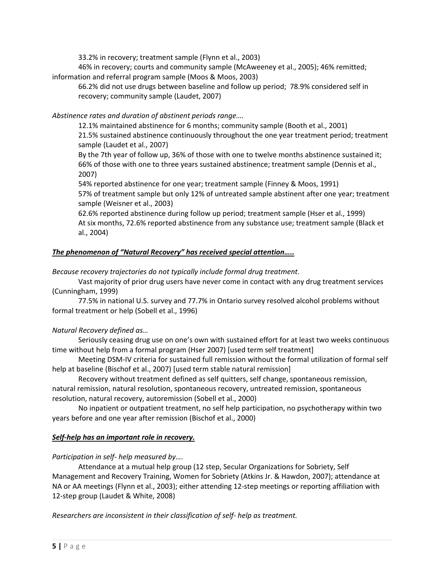33.2% in recovery; treatment sample (Flynn et al., 2003)

46% in recovery; courts and community sample (McAweeney et al., 2005); 46% remitted; information and referral program sample (Moos & Moos, 2003)

66.2% did not use drugs between baseline and follow up period; 78.9% considered self in recovery; community sample (Laudet, 2007)

## *Abstinence rates and duration of abstinent periods range….*

12.1% maintained abstinence for 6 months; community sample (Booth et al., 2001) 21.5% sustained abstinence continuously throughout the one year treatment period; treatment sample (Laudet et al., 2007)

By the 7th year of follow up, 36% of those with one to twelve months abstinence sustained it; 66% of those with one to three years sustained abstinence; treatment sample (Dennis et al., 2007)

54% reported abstinence for one year; treatment sample (Finney & Moos, 1991) 57% of treatment sample but only 12% of untreated sample abstinent after one year; treatment sample (Weisner et al., 2003)

62.6% reported abstinence during follow up period; treatment sample (Hser et al., 1999) At six months, 72.6% reported abstinence from any substance use; treatment sample (Black et al., 2004)

## *The phenomenon of "Natural Recovery" has received special attention…..*

*Because recovery trajectories do not typically include formal drug treatment*.

Vast majority of prior drug users have never come in contact with any drug treatment services (Cunningham, 1999)

77.5% in national U.S. survey and 77.7% in Ontario survey resolved alcohol problems without formal treatment or help (Sobell et al., 1996)

## *Natural Recovery defined as…*

Seriously ceasing drug use on one's own with sustained effort for at least two weeks continuous time without help from a formal program (Hser 2007) [used term self treatment]

Meeting DSM‐IV criteria for sustained full remission without the formal utilization of formal self help at baseline (Bischof et al., 2007) [used term stable natural remission]

Recovery without treatment defined as self quitters, self change, spontaneous remission, natural remission, natural resolution, spontaneous recovery, untreated remission, spontaneous resolution, natural recovery, autoremission (Sobell et al., 2000)

No inpatient or outpatient treatment, no self help participation, no psychotherapy within two years before and one year after remission (Bischof et al., 2000)

#### *Self‐help has an important role in recovery.*

#### *Participation in self‐ help measured by….*

Attendance at a mutual help group (12 step, Secular Organizations for Sobriety, Self Management and Recovery Training, Women for Sobriety (Atkins Jr. & Hawdon, 2007); attendance at NA or AA meetings (Flynn et al., 2003); either attending 12‐step meetings or reporting affiliation with 12‐step group (Laudet & White, 2008)

*Researchers are inconsistent in their classification of self‐ help as treatment.*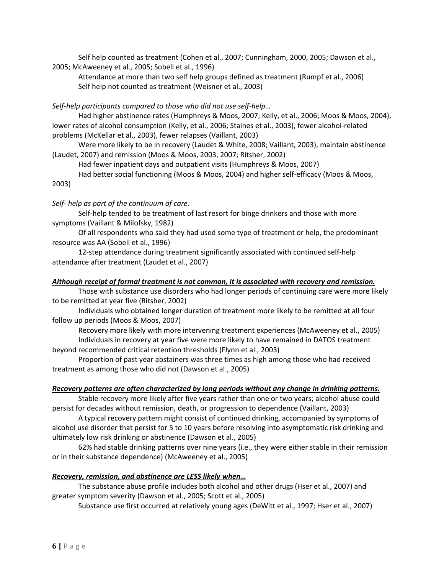Self help counted as treatment (Cohen et al., 2007; Cunningham, 2000, 2005; Dawson et al., 2005; McAweeney et al., 2005; Sobell et al., 1996)

Attendance at more than two self help groups defined as treatment (Rumpf et al., 2006) Self help not counted as treatment (Weisner et al., 2003)

*Self‐help participants compared to those who did not use self‐help…*

Had higher abstinence rates (Humphreys & Moos, 2007; Kelly, et al., 2006; Moos & Moos, 2004), lower rates of alcohol consumption (Kelly, et al., 2006; Staines et al., 2003), fewer alcohol‐related problems (McKellar et al., 2003), fewer relapses (Vaillant, 2003)

Were more likely to be in recovery (Laudet & White, 2008; Vaillant, 2003), maintain abstinence (Laudet, 2007) and remission (Moos & Moos, 2003, 2007; Ritsher, 2002)

Had fewer inpatient days and outpatient visits (Humphreys & Moos, 2007)

Had better social functioning (Moos & Moos, 2004) and higher self‐efficacy (Moos & Moos,

2003)

*Self‐ help as part of the continuum of care.*

Self‐help tended to be treatment of last resort for binge drinkers and those with more symptoms (Vaillant & Milofsky, 1982)

Of all respondents who said they had used some type of treatment or help, the predominant resource was AA (Sobell et al., 1996)

12-step attendance during treatment significantly associated with continued self-help attendance after treatment (Laudet et al., 2007)

#### *Although receipt of formal treatment is not common, it is associated with recovery and remission.*

Those with substance use disorders who had longer periods of continuing care were more likely to be remitted at year five (Ritsher, 2002)

Individuals who obtained longer duration of treatment more likely to be remitted at all four follow up periods (Moos & Moos, 2007)

Recovery more likely with more intervening treatment experiences (McAweeney et al., 2005) Individuals in recovery at year five were more likely to have remained in DATOS treatment beyond recommended critical retention thresholds (Flynn et al., 2003)

Proportion of past year abstainers was three times as high among those who had received treatment as among those who did not (Dawson et al., 2005)

#### *Recovery patterns are often characterized by long periods without any change in drinking patterns.*

Stable recovery more likely after five years rather than one or two years; alcohol abuse could persist for decades without remission, death, or progression to dependence (Vaillant, 2003)

A typical recovery pattern might consist of continued drinking, accompanied by symptoms of alcohol use disorder that persist for 5 to 10 years before resolving into asymptomatic risk drinking and ultimately low risk drinking or abstinence (Dawson et al., 2005)

62% had stable drinking patterns over nine years (i.e., they were either stable in their remission or in their substance dependence) (McAweeney et al., 2005)

#### *Recovery, remission, and abstinence are LESS likely when…*

The substance abuse profile includes both alcohol and other drugs (Hser et al., 2007) and greater symptom severity (Dawson et al., 2005; Scott et al., 2005)

Substance use first occurred at relatively young ages (DeWitt et al., 1997; Hser et al., 2007)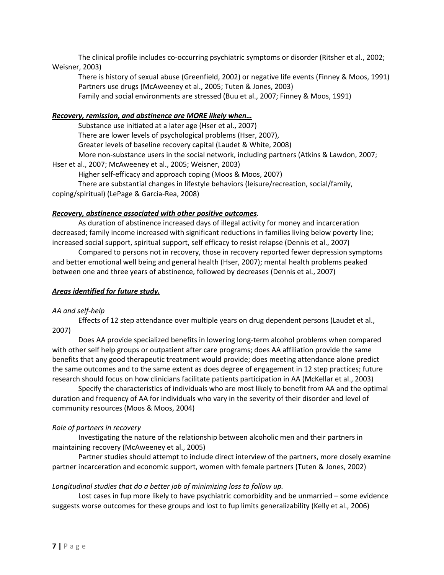The clinical profile includes co-occurring psychiatric symptoms or disorder (Ritsher et al., 2002; Weisner, 2003)

There is history of sexual abuse (Greenfield, 2002) or negative life events (Finney & Moos, 1991) Partners use drugs (McAweeney et al., 2005; Tuten & Jones, 2003) Family and social environments are stressed (Buu et al., 2007; Finney & Moos, 1991)

## *Recovery, remission, and abstinence are MORE likely when…*

Substance use initiated at a later age (Hser et al., 2007) There are lower levels of psychological problems (Hser, 2007), Greater levels of baseline recovery capital (Laudet & White, 2008) More non-substance users in the social network, including partners (Atkins & Lawdon, 2007; Hser et al., 2007; McAweeney et al., 2005; Weisner, 2003) Higher self-efficacy and approach coping (Moos & Moos, 2007)

There are substantial changes in lifestyle behaviors (leisure/recreation, social/family, coping/spiritual) (LePage & Garcia‐Rea, 2008)

## *Recovery, abstinence associated with other positive outcomes.*

As duration of abstinence increased days of illegal activity for money and incarceration decreased; family income increased with significant reductions in families living below poverty line; increased social support, spiritual support, self efficacy to resist relapse (Dennis et al., 2007)

Compared to persons not in recovery, those in recovery reported fewer depression symptoms and better emotional well being and general health (Hser, 2007); mental health problems peaked between one and three years of abstinence, followed by decreases (Dennis et al., 2007)

## *Areas identified for future study.*

#### *AA and self‐help*

Effects of 12 step attendance over multiple years on drug dependent persons (Laudet et al., 2007)

Does AA provide specialized benefits in lowering long‐term alcohol problems when compared with other self help groups or outpatient after care programs; does AA affiliation provide the same benefits that any good therapeutic treatment would provide; does meeting attendance alone predict the same outcomes and to the same extent as does degree of engagement in 12 step practices; future research should focus on how clinicians facilitate patients participation in AA (McKellar et al., 2003)

Specify the characteristics of individuals who are most likely to benefit from AA and the optimal duration and frequency of AA for individuals who vary in the severity of their disorder and level of community resources (Moos & Moos, 2004)

#### *Role of partners in recovery*

Investigating the nature of the relationship between alcoholic men and their partners in maintaining recovery (McAweeney et al., 2005)

Partner studies should attempt to include direct interview of the partners, more closely examine partner incarceration and economic support, women with female partners (Tuten & Jones, 2002)

## *Longitudinal studies that do a better job of minimizing loss to follow up.*

Lost cases in fup more likely to have psychiatric comorbidity and be unmarried – some evidence suggests worse outcomes for these groups and lost to fup limits generalizability (Kelly et al., 2006)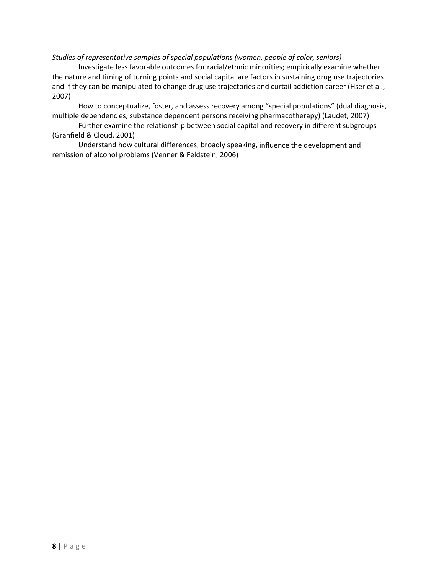#### *Studies of representative samples of special populations (women, people of color, seniors)*

Investigate less favorable outcomes for racial/ethnic minorities; empirically examine whether the nature and timing of turning points and social capital are factors in sustaining drug use trajectories and if they can be manipulated to change drug use trajectories and curtail addiction career (Hser et al., 2007)

How to conceptualize, foster, and assess recovery among "special populations" (dual diagnosis, multiple dependencies, substance dependent persons receiving pharmacotherapy) (Laudet, 2007)

Further examine the relationship between social capital and recovery in different subgroups (Granfield & Cloud, 2001)

Understand how cultural differences, broadly speaking, influence the development and remission of alcohol problems (Venner & Feldstein, 2006)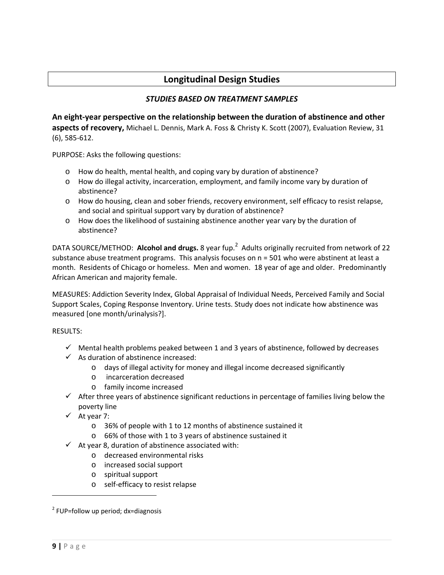## **Longitudinal Design Studies**

## *STUDIES BASED ON TREATMENT SAMPLES*

**An eight‐year perspective on the relationship between the duration of abstinence and other aspects of recovery,** Michael L. Dennis, Mark A. Foss & Christy K. Scott (2007), Evaluation Review, 31 (6), 585‐612.

PURPOSE: Asks the following questions:

- o How do health, mental health, and coping vary by duration of abstinence?
- o How do illegal activity, incarceration, employment, and family income vary by duration of abstinence?
- o How do housing, clean and sober friends, recovery environment, self efficacy to resist relapse, and social and spiritual support vary by duration of abstinence?
- o How does the likelihood of sustaining abstinence another year vary by the duration of abstinence?

DATA SOURCE/METHOD: Alcohol and drugs. 8 year fup.<sup>2</sup> Adults originally recruited from network of 22 substance abuse treatment programs. This analysis focuses on n = 501 who were abstinent at least a month. Residents of Chicago or homeless. Men and women. 18 year of age and older. Predominantly African American and majority female.

MEASURES: Addiction Severity Index, Global Appraisal of Individual Needs, Perceived Family and Social Support Scales, Coping Response Inventory. Urine tests. Study does not indicate how abstinence was measured [one month/urinalysis?].

## RESULTS:

- $\checkmark$  Mental health problems peaked between 1 and 3 years of abstinence, followed by decreases
- $\checkmark$  As duration of abstinence increased:
	- o days of illegal activity for money and illegal income decreased significantly
	- o incarceration decreased
	- o family income increased
- $\checkmark$  After three years of abstinence significant reductions in percentage of families living below the poverty line
- $\checkmark$  At year 7:
	- o 36% of people with 1 to 12 months of abstinence sustained it
	- o 66% of those with 1 to 3 years of abstinence sustained it
- $\checkmark$  At year 8, duration of abstinence associated with:
	- o decreased environmental risks
	- o increased social support
	- o spiritual support
	- o self‐efficacy to resist relapse

 $2$  FUP=follow up period; dx=diagnosis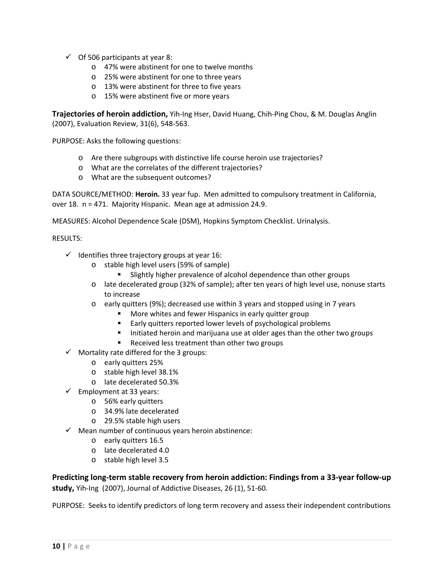- $\checkmark$  Of 506 participants at year 8:
	- o 47% were abstinent for one to twelve months
	- o 25% were abstinent for one to three years
	- o 13% were abstinent for three to five years
	- o 15% were abstinent five or more years

**Trajectories of heroin addiction,** Yih‐Ing Hser, David Huang, Chih‐Ping Chou, & M. Douglas Anglin (2007), Evaluation Review, 31(6), 548‐563.

PURPOSE: Asks the following questions:

- o Are there subgroups with distinctive life course heroin use trajectories?
- o What are the correlates of the different trajectories?
- o What are the subsequent outcomes?

DATA SOURCE/METHOD: **Heroin.** 33 year fup. Men admitted to compulsory treatment in California, over 18. n = 471. Majority Hispanic. Mean age at admission 24.9.

MEASURES: Alcohol Dependence Scale (DSM), Hopkins Symptom Checklist. Urinalysis.

#### RESULTS:

- $\checkmark$  Identifies three trajectory groups at year 16:
	- o stable high level users (59% of sample)
		- Slightly higher prevalence of alcohol dependence than other groups
	- o late decelerated group (32% of sample); after ten years of high level use, nonuse starts to increase
	- o early quitters (9%); decreased use within 3 years and stopped using in 7 years
		- More whites and fewer Hispanics in early quitter group
		- **Early quitters reported lower levels of psychological problems**
		- Initiated heroin and marijuana use at older ages than the other two groups
		- Received less treatment than other two groups
- $\checkmark$  Mortality rate differed for the 3 groups:
	- o early quitters 25%
	- o stable high level 38.1%
	- o late decelerated 50.3%
- $\checkmark$  Employment at 33 years:
	- o 56% early quitters
	- o 34.9% late decelerated
	- o 29.5% stable high users
- $\checkmark$  Mean number of continuous years heroin abstinence:
	- o early quitters 16.5
	- o late decelerated 4.0
	- o stable high level 3.5

**Predicting long‐term stable recovery from heroin addiction: Findings from a 33‐year follow‐up** study, Yih-Ing (2007), Journal of Addictive Diseases, 26 (1), 51-60.

PURPOSE: Seeks to identify predictors of long term recovery and assess their independent contributions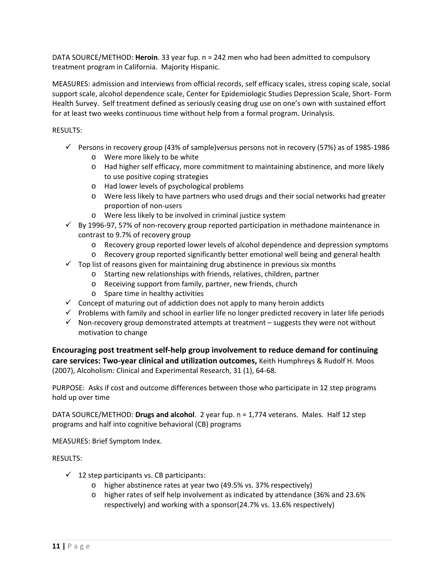DATA SOURCE/METHOD: **Heroin**. 33 year fup. n = 242 men who had been admitted to compulsory treatment program in California. Majority Hispanic.

MEASURES: admission and interviews from official records, self efficacy scales, stress coping scale, social support scale, alcohol dependence scale, Center for Epidemiologic Studies Depression Scale, Short‐ Form Health Survey. Self treatment defined as seriously ceasing drug use on one's own with sustained effort for at least two weeks continuous time without help from a formal program. Urinalysis.

RESULTS:

- $\checkmark$  Persons in recovery group (43% of sample)versus persons not in recovery (57%) as of 1985-1986
	- o Were more likely to be white
	- o Had higher self efficacy, more commitment to maintaining abstinence, and more likely to use positive coping strategies
	- o Had lower levels of psychological problems
	- o Were less likely to have partners who used drugs and their social networks had greater proportion of non‐users
	- o Were less likely to be involved in criminal justice system
- $\checkmark$  By 1996-97, 57% of non-recovery group reported participation in methadone maintenance in contrast to 9.7% of recovery group
	- o Recovery group reported lower levels of alcohol dependence and depression symptoms
	- o Recovery group reported significantly better emotional well being and general health
- $\checkmark$  Top list of reasons given for maintaining drug abstinence in previous six months
	- o Starting new relationships with friends, relatives, children, partner
	- o Receiving support from family, partner, new friends, church
	- o Spare time in healthy activities
- $\checkmark$  Concept of maturing out of addiction does not apply to many heroin addicts
- $\checkmark$  Problems with family and school in earlier life no longer predicted recovery in later life periods
- $\checkmark$  Non-recovery group demonstrated attempts at treatment suggests they were not without motivation to change

**Encouraging post treatment self‐help group involvement to reduce demand for continuing care services: Two‐year clinical and utilization outcomes,** Keith Humphreys & Rudolf H. Moos (2007), Alcoholism: Clinical and Experimental Research, 31 (1), 64‐68.

PURPOSE: Asks if cost and outcome differences between those who participate in 12 step programs hold up over time

DATA SOURCE/METHOD: **Drugs and alcohol**. 2 year fup. n = 1,774 veterans. Males. Half 12 step programs and half into cognitive behavioral (CB) programs

MEASURES: Brief Symptom Index.

- $\checkmark$  12 step participants vs. CB participants:
	- o higher abstinence rates at year two (49.5% vs. 37% respectively)
	- o higher rates of self help involvement as indicated by attendance (36% and 23.6% respectively) and working with a sponsor(24.7% vs. 13.6% respectively)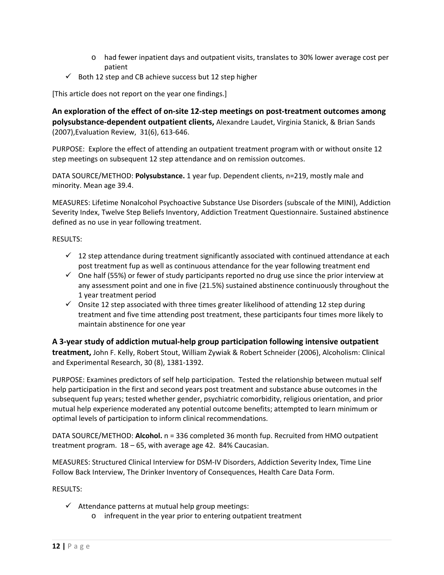- o had fewer inpatient days and outpatient visits, translates to 30% lower average cost per patient
- $\checkmark$  Both 12 step and CB achieve success but 12 step higher

[This article does not report on the year one findings.]

**An exploration of the effect of on‐site 12‐step meetings on post‐treatment outcomes among polysubstance‐dependent outpatient clients,** Alexandre Laudet, Virginia Stanick, & Brian Sands (2007),Evaluation Review, 31(6), 613‐646.

PURPOSE: Explore the effect of attending an outpatient treatment program with or without onsite 12 step meetings on subsequent 12 step attendance and on remission outcomes.

DATA SOURCE/METHOD: **Polysubstance.** 1 year fup. Dependent clients, n=219, mostly male and minority. Mean age 39.4.

MEASURES: Lifetime Nonalcohol Psychoactive Substance Use Disorders (subscale of the MINI), Addiction Severity Index, Twelve Step Beliefs Inventory, Addiction Treatment Questionnaire. Sustained abstinence defined as no use in year following treatment.

#### RESULTS:

- $\checkmark$  12 step attendance during treatment significantly associated with continued attendance at each post treatment fup as well as continuous attendance for the year following treatment end
- $\checkmark$  One half (55%) or fewer of study participants reported no drug use since the prior interview at any assessment point and one in five (21.5%) sustained abstinence continuously throughout the 1 year treatment period
- $\checkmark$  Onsite 12 step associated with three times greater likelihood of attending 12 step during treatment and five time attending post treatment, these participants four times more likely to maintain abstinence for one year

**A 3‐year study of addiction mutual‐help group participation following intensive outpatient treatment,** John F. Kelly, Robert Stout, William Zywiak & Robert Schneider (2006), Alcoholism: Clinical and Experimental Research, 30 (8), 1381‐1392.

PURPOSE: Examines predictors of self help participation. Tested the relationship between mutual self help participation in the first and second years post treatment and substance abuse outcomes in the subsequent fup years; tested whether gender, psychiatric comorbidity, religious orientation, and prior mutual help experience moderated any potential outcome benefits; attempted to learn minimum or optimal levels of participation to inform clinical recommendations.

DATA SOURCE/METHOD: **Alcohol.** n = 336 completed 36 month fup. Recruited from HMO outpatient treatment program. 18 – 65, with average age 42. 84% Caucasian.

MEASURES: Structured Clinical Interview for DSM‐IV Disorders, Addiction Severity Index, Time Line Follow Back Interview, The Drinker Inventory of Consequences, Health Care Data Form.

- $\checkmark$  Attendance patterns at mutual help group meetings:
	- o infrequent in the year prior to entering outpatient treatment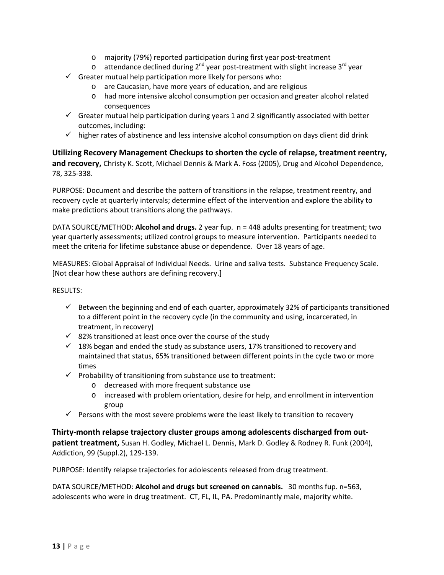- o majority (79%) reported participation during first year post‐treatment
- o attendance declined during  $2^{nd}$  year post-treatment with slight increase  $3^{rd}$  year
- $\checkmark$  Greater mutual help participation more likely for persons who:
	- o are Caucasian, have more years of education, and are religious
	- o had more intensive alcohol consumption per occasion and greater alcohol related consequences
- $\checkmark$  Greater mutual help participation during years 1 and 2 significantly associated with better outcomes, including:
- $\checkmark$  higher rates of abstinence and less intensive alcohol consumption on days client did drink

**Utilizing Recovery Management Checkups to shorten the cycle of relapse, treatment reentry, and recovery,** Christy K. Scott, Michael Dennis & Mark A. Foss (2005), Drug and Alcohol Dependence, 78, 325‐338.

PURPOSE: Document and describe the pattern of transitions in the relapse, treatment reentry, and recovery cycle at quarterly intervals; determine effect of the intervention and explore the ability to make predictions about transitions along the pathways.

DATA SOURCE/METHOD: **Alcohol and drugs.** 2 year fup. n = 448 adults presenting for treatment; two year quarterly assessments; utilized control groups to measure intervention. Participants needed to meet the criteria for lifetime substance abuse or dependence. Over 18 years of age.

MEASURES: Global Appraisal of Individual Needs. Urine and saliva tests. Substance Frequency Scale. [Not clear how these authors are defining recovery.]

RESULTS:

- $\checkmark$  Between the beginning and end of each quarter, approximately 32% of participants transitioned to a different point in the recovery cycle (in the community and using, incarcerated, in treatment, in recovery)
- $\checkmark$  82% transitioned at least once over the course of the study
- $\checkmark$  18% began and ended the study as substance users, 17% transitioned to recovery and maintained that status, 65% transitioned between different points in the cycle two or more times
- $\checkmark$  Probability of transitioning from substance use to treatment:
	- o decreased with more frequent substance use
	- o increased with problem orientation, desire for help, and enrollment in intervention group
- $\checkmark$  Persons with the most severe problems were the least likely to transition to recovery

**Thirty‐month relapse trajectory cluster groups among adolescents discharged from out‐ patient treatment,** Susan H. Godley, Michael L. Dennis, Mark D. Godley & Rodney R. Funk (2004), Addiction, 99 (Suppl.2), 129‐139.

PURPOSE: Identify relapse trajectories for adolescents released from drug treatment.

DATA SOURCE/METHOD: **Alcohol and drugs but screened on cannabis.** 30 months fup. n=563, adolescents who were in drug treatment. CT, FL, IL, PA. Predominantly male, majority white.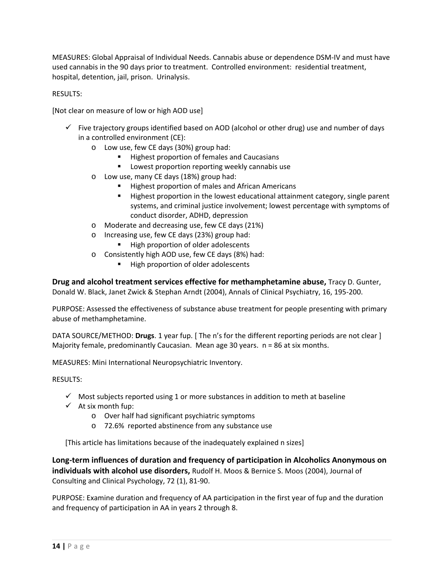MEASURES: Global Appraisal of Individual Needs. Cannabis abuse or dependence DSM‐IV and must have used cannabis in the 90 days prior to treatment. Controlled environment: residential treatment, hospital, detention, jail, prison. Urinalysis.

### RESULTS:

[Not clear on measure of low or high AOD use]

- $\checkmark$  Five trajectory groups identified based on AOD (alcohol or other drug) use and number of days in a controlled environment (CE):
	- o Low use, few CE days (30%) group had:
		- **Highest proportion of females and Caucasians**
		- **EXECT** Lowest proportion reporting weekly cannabis use
	- o Low use, many CE days (18%) group had:
		- **Highest proportion of males and African Americans**
		- Highest proportion in the lowest educational attainment category, single parent systems, and criminal justice involvement; lowest percentage with symptoms of conduct disorder, ADHD, depression
	- o Moderate and decreasing use, few CE days (21%)
	- o Increasing use, few CE days (23%) group had:
		- High proportion of older adolescents
	- o Consistently high AOD use, few CE days (8%) had:
		- High proportion of older adolescents

**Drug and alcohol treatment services effective for methamphetamine abuse,** Tracy D. Gunter, Donald W. Black, Janet Zwick & Stephan Arndt (2004), Annals of Clinical Psychiatry, 16, 195‐200.

PURPOSE: Assessed the effectiveness of substance abuse treatment for people presenting with primary abuse of methamphetamine.

DATA SOURCE/METHOD: **Drugs**. 1 year fup. [ The n's for the different reporting periods are not clear ] Majority female, predominantly Caucasian. Mean age 30 years. n = 86 at six months.

MEASURES: Mini International Neuropsychiatric Inventory.

#### RESULTS:

- $\checkmark$  Most subjects reported using 1 or more substances in addition to meth at baseline
- $\checkmark$  At six month fup:
	- o Over half had significant psychiatric symptoms
	- o 72.6% reported abstinence from any substance use

[This article has limitations because of the inadequately explained n sizes]

**Long‐term influences of duration and frequency of participation in Alcoholics Anonymous on individuals with alcohol use disorders,** Rudolf H. Moos & Bernice S. Moos (2004), Journal of Consulting and Clinical Psychology, 72 (1), 81‐90.

PURPOSE: Examine duration and frequency of AA participation in the first year of fup and the duration and frequency of participation in AA in years 2 through 8.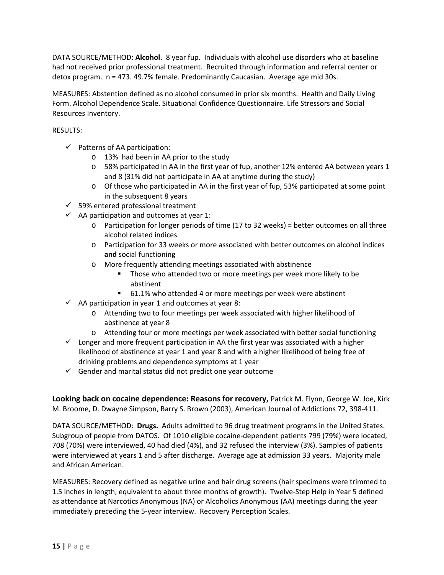DATA SOURCE/METHOD: **Alcohol.** 8 year fup. Individuals with alcohol use disorders who at baseline had not received prior professional treatment. Recruited through information and referral center or detox program. n = 473. 49.7% female. Predominantly Caucasian. Average age mid 30s.

MEASURES: Abstention defined as no alcohol consumed in prior six months. Health and Daily Living Form. Alcohol Dependence Scale. Situational Confidence Questionnaire. Life Stressors and Social Resources Inventory.

### RESULTS:

- $\checkmark$  Patterns of AA participation:
	- o 13% had been in AA prior to the study
	- o 58% participated in AA in the first year of fup, another 12% entered AA between years 1 and 8 (31% did not participate in AA at anytime during the study)
	- o Of those who participated in AA in the first year of fup, 53% participated at some point in the subsequent 8 years
- $\checkmark$  59% entered professional treatment
- $\checkmark$  AA participation and outcomes at year 1:
	- o Participation for longer periods of time (17 to 32 weeks) = better outcomes on all three alcohol related indices
	- o Participation for 33 weeks or more associated with better outcomes on alcohol indices **and** social functioning
	- o More frequently attending meetings associated with abstinence
		- Those who attended two or more meetings per week more likely to be abstinent
		- 61.1% who attended 4 or more meetings per week were abstinent
- $\checkmark$  AA participation in year 1 and outcomes at year 8:
	- o Attending two to four meetings per week associated with higher likelihood of abstinence at year 8
	- o Attending four or more meetings per week associated with better social functioning
- $\checkmark$  Longer and more frequent participation in AA the first year was associated with a higher likelihood of abstinence at year 1 and year 8 and with a higher likelihood of being free of drinking problems and dependence symptoms at 1 year
- $\checkmark$  Gender and marital status did not predict one year outcome

**Looking back on cocaine dependence: Reasons for recovery,** Patrick M. Flynn, George W. Joe, Kirk M. Broome, D. Dwayne Simpson, Barry S. Brown (2003), American Journal of Addictions 72, 398‐411.

DATA SOURCE/METHOD: **Drugs.** Adults admitted to 96 drug treatment programs in the United States. Subgroup of people from DATOS. Of 1010 eligible cocaine‐dependent patients 799 (79%) were located, 708 (70%) were interviewed, 40 had died (4%), and 32 refused the interview (3%). Samples of patients were interviewed at years 1 and 5 after discharge. Average age at admission 33 years. Majority male and African American.

MEASURES: Recovery defined as negative urine and hair drug screens (hair specimens were trimmed to 1.5 inches in length, equivalent to about three months of growth). Twelve‐Step Help in Year 5 defined as attendance at Narcotics Anonymous (NA) or Alcoholics Anonymous (AA) meetings during the year immediately preceding the 5‐year interview. Recovery Perception Scales.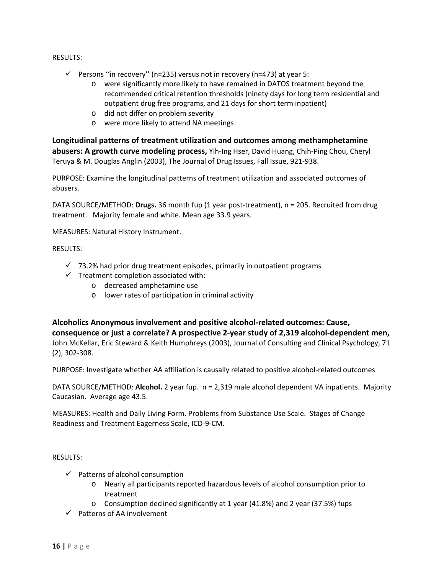#### RESULTS:

- $\checkmark$  Persons "in recovery" (n=235) versus not in recovery (n=473) at year 5:
	- o were significantly more likely to have remained in DATOS treatment beyond the recommended critical retention thresholds (ninety days for long term residential and outpatient drug free programs, and 21 days for short term inpatient)
	- o did not differ on problem severity
	- o were more likely to attend NA meetings

**Longitudinal patterns of treatment utilization and outcomes among methamphetamine abusers: A growth curve modeling process,** Yih‐Ing Hser, David Huang, Chih‐Ping Chou, Cheryl Teruya & M. Douglas Anglin (2003), The Journal of Drug Issues, Fall Issue, 921‐938.

PURPOSE: Examine the longitudinal patterns of treatment utilization and associated outcomes of abusers.

DATA SOURCE/METHOD: **Drugs.** 36 month fup (1 year post‐treatment), n = 205. Recruited from drug treatment. Majority female and white. Mean age 33.9 years.

MEASURES: Natural History Instrument.

#### RESULTS:

- $\checkmark$  73.2% had prior drug treatment episodes, primarily in outpatient programs
- $\checkmark$  Treatment completion associated with:
	- o decreased amphetamine use
	- o lower rates of participation in criminal activity

**Alcoholics Anonymous involvement and positive alcohol‐related outcomes: Cause, consequence or just a correlate? A prospective 2‐year study of 2,319 alcohol‐dependent men,** John McKellar, Eric Steward & Keith Humphreys (2003), Journal of Consulting and Clinical Psychology, 71 (2), 302‐308.

PURPOSE: Investigate whether AA affiliation is causally related to positive alcohol‐related outcomes

DATA SOURCE/METHOD: **Alcohol.** 2 year fup. n = 2,319 male alcohol dependent VA inpatients. Majority Caucasian. Average age 43.5.

MEASURES: Health and Daily Living Form. Problems from Substance Use Scale. Stages of Change Readiness and Treatment Eagerness Scale, ICD‐9‐CM.

- $\checkmark$  Patterns of alcohol consumption
	- o Nearly all participants reported hazardous levels of alcohol consumption prior to treatment
	- o Consumption declined significantly at 1 year (41.8%) and 2 year (37.5%) fups
- $\checkmark$  Patterns of AA involvement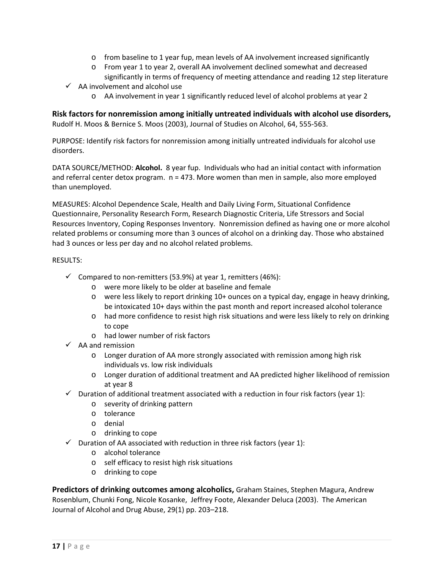- o from baseline to 1 year fup, mean levels of AA involvement increased significantly
- o From year 1 to year 2, overall AA involvement declined somewhat and decreased significantly in terms of frequency of meeting attendance and reading 12 step literature
- $\checkmark$  AA involvement and alcohol use
	- o AA involvement in year 1 significantly reduced level of alcohol problems at year 2

**Risk factors for nonremission among initially untreated individuals with alcohol use disorders,** Rudolf H. Moos & Bernice S. Moos (2003), Journal of Studies on Alcohol, 64, 555‐563.

PURPOSE: Identify risk factors for nonremission among initially untreated individuals for alcohol use disorders.

DATA SOURCE/METHOD: **Alcohol.** 8 year fup. Individuals who had an initial contact with information and referral center detox program.  $n = 473$ . More women than men in sample, also more employed than unemployed.

MEASURES: Alcohol Dependence Scale, Health and Daily Living Form, Situational Confidence Questionnaire, Personality Research Form, Research Diagnostic Criteria, Life Stressors and Social Resources Inventory, Coping Responses Inventory. Nonremission defined as having one or more alcohol related problems or consuming more than 3 ounces of alcohol on a drinking day. Those who abstained had 3 ounces or less per day and no alcohol related problems.

#### RESULTS:

- $\checkmark$  Compared to non-remitters (53.9%) at year 1, remitters (46%):
	- o were more likely to be older at baseline and female
	- o were less likely to report drinking 10+ ounces on a typical day, engage in heavy drinking, be intoxicated 10+ days within the past month and report increased alcohol tolerance
	- o had more confidence to resist high risk situations and were less likely to rely on drinking to cope
	- o had lower number of risk factors
- $\checkmark$  AA and remission
	- o Longer duration of AA more strongly associated with remission among high risk individuals vs. low risk individuals
	- o Longer duration of additional treatment and AA predicted higher likelihood of remission at year 8
- $\checkmark$  Duration of additional treatment associated with a reduction in four risk factors (year 1):
	- o severity of drinking pattern
	- o tolerance
	- o denial
	- o drinking to cope
- $\checkmark$  Duration of AA associated with reduction in three risk factors (year 1):
	- o alcohol tolerance
	- o self efficacy to resist high risk situations
	- o drinking to cope

**Predictors of drinking outcomes among alcoholics,** Graham Staines, Stephen Magura, Andrew Rosenblum, Chunki Fong, Nicole Kosanke, Jeffrey Foote, Alexander Deluca (2003). The American Journal of Alcohol and Drug Abuse, 29(1) pp. 203–218.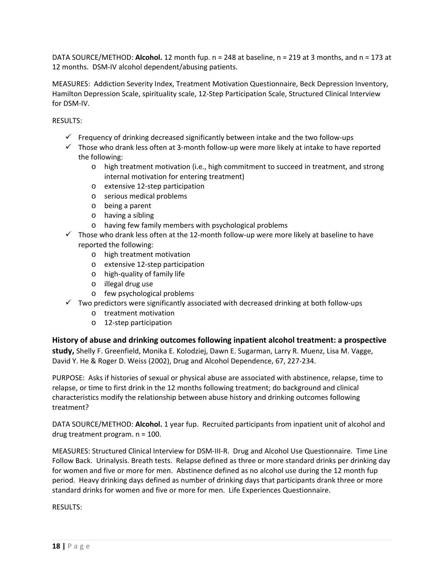DATA SOURCE/METHOD: **Alcohol.** 12 month fup. n = 248 at baseline, n = 219 at 3 months, and n = 173 at 12 months. DSM-IV alcohol dependent/abusing patients.

MEASURES: Addiction Severity Index, Treatment Motivation Questionnaire, Beck Depression Inventory, Hamilton Depression Scale, spirituality scale, 12‐Step Participation Scale, Structured Clinical Interview for DSM‐IV.

RESULTS:

- $\checkmark$  Frequency of drinking decreased significantly between intake and the two follow-ups
- $\checkmark$  Those who drank less often at 3-month follow-up were more likely at intake to have reported the following:
	- o high treatment motivation (i.e., high commitment to succeed in treatment, and strong internal motivation for entering treatment)
	- o extensive 12‐step participation
	- o serious medical problems
	- o being a parent
	- o having a sibling
	- o having few family members with psychological problems
- $\checkmark$  Those who drank less often at the 12-month follow-up were more likely at baseline to have reported the following:
	- o high treatment motivation
	- o extensive 12‐step participation
	- o high‐quality of family life
	- o illegal drug use
	- o few psychological problems
- $\checkmark$  Two predictors were significantly associated with decreased drinking at both follow-ups
	- o treatment motivation
	- o 12‐step participation

## **History of abuse and drinking outcomes following inpatient alcohol treatment: a prospective**

**study,** Shelly F. Greenfield, Monika E. Kolodziej, Dawn E. Sugarman, Larry R. Muenz, Lisa M. Vagge, David Y. He & Roger D. Weiss (2002), Drug and Alcohol Dependence, 67, 227‐234.

PURPOSE: Asks if histories of sexual or physical abuse are associated with abstinence, relapse, time to relapse, or time to first drink in the 12 months following treatment; do background and clinical characteristics modify the relationship between abuse history and drinking outcomes following treatment?

DATA SOURCE/METHOD: **Alcohol.** 1 year fup. Recruited participants from inpatient unit of alcohol and drug treatment program. n = 100.

MEASURES: Structured Clinical Interview for DSM‐III‐R. Drug and Alcohol Use Questionnaire. Time Line Follow Back. Urinalysis. Breath tests. Relapse defined as three or more standard drinks per drinking day for women and five or more for men. Abstinence defined as no alcohol use during the 12 month fup period. Heavy drinking days defined as number of drinking days that participants drank three or more standard drinks for women and five or more for men. Life Experiences Questionnaire.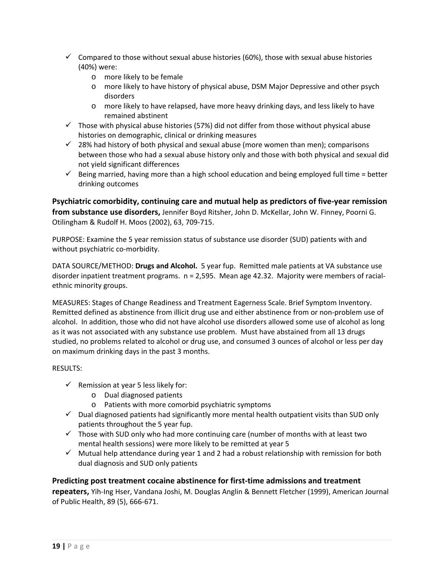- $\checkmark$  Compared to those without sexual abuse histories (60%), those with sexual abuse histories (40%) were:
	- o more likely to be female
	- o more likely to have history of physical abuse, DSM Major Depressive and other psych disorders
	- o more likely to have relapsed, have more heavy drinking days, and less likely to have remained abstinent
- $\checkmark$  Those with physical abuse histories (57%) did not differ from those without physical abuse histories on demographic, clinical or drinking measures
- $\checkmark$  28% had history of both physical and sexual abuse (more women than men); comparisons between those who had a sexual abuse history only and those with both physical and sexual did not yield significant differences
- $\checkmark$  Being married, having more than a high school education and being employed full time = better drinking outcomes

**Psychiatric comorbidity, continuing care and mutual help as predictors of five‐year remission from substance use disorders,** Jennifer Boyd Ritsher, John D. McKellar, John W. Finney, Poorni G. Otilingham & Rudolf H. Moos (2002), 63, 709‐715.

PURPOSE: Examine the 5 year remission status of substance use disorder (SUD) patients with and without psychiatric co-morbidity.

DATA SOURCE/METHOD: **Drugs and Alcohol.** 5 year fup. Remitted male patients at VA substance use disorder inpatient treatment programs. n = 2,595. Mean age 42.32. Majority were members of racialethnic minority groups.

MEASURES: Stages of Change Readiness and Treatment Eagerness Scale. Brief Symptom Inventory. Remitted defined as abstinence from illicit drug use and either abstinence from or non‐problem use of alcohol. In addition, those who did not have alcohol use disorders allowed some use of alcohol as long as it was not associated with any substance use problem. Must have abstained from all 13 drugs studied, no problems related to alcohol or drug use, and consumed 3 ounces of alcohol or less per day on maximum drinking days in the past 3 months.

#### RESULTS:

- $\checkmark$  Remission at year 5 less likely for:
	- o Dual diagnosed patients
	- o Patients with more comorbid psychiatric symptoms
- $\checkmark$  Dual diagnosed patients had significantly more mental health outpatient visits than SUD only patients throughout the 5 year fup.
- $\checkmark$  Those with SUD only who had more continuing care (number of months with at least two mental health sessions) were more likely to be remitted at year 5
- $\checkmark$  Mutual help attendance during year 1 and 2 had a robust relationship with remission for both dual diagnosis and SUD only patients

#### **Predicting post treatment cocaine abstinence for first‐time admissions and treatment**

**repeaters,** Yih‐Ing Hser, Vandana Joshi, M. Douglas Anglin & Bennett Fletcher (1999), American Journal of Public Health, 89 (5), 666‐671.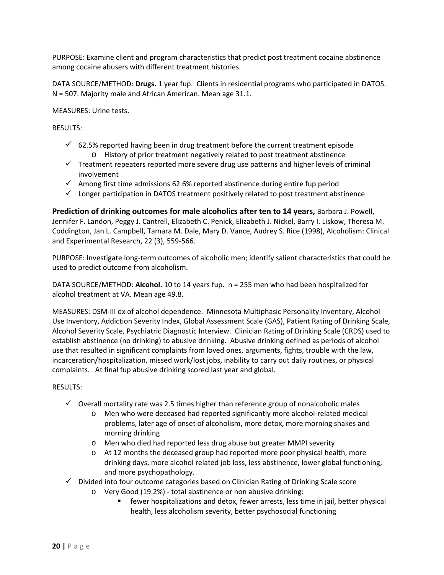PURPOSE: Examine client and program characteristics that predict post treatment cocaine abstinence among cocaine abusers with different treatment histories.

DATA SOURCE/METHOD: **Drugs.** 1 year fup. Clients in residential programs who participated in DATOS. N = 507. Majority male and African American. Mean age 31.1.

MEASURES: Urine tests.

RESULTS:

- $\checkmark$  62.5% reported having been in drug treatment before the current treatment episode o History of prior treatment negatively related to post treatment abstinence
- $\checkmark$  Treatment repeaters reported more severe drug use patterns and higher levels of criminal involvement
- $\checkmark$  Among first time admissions 62.6% reported abstinence during entire fup period
- $\checkmark$  Longer participation in DATOS treatment positively related to post treatment abstinence

**Prediction of drinking outcomes for male alcoholics after ten to 14 years,** Barbara J. Powell, Jennifer F. Landon, Peggy J. Cantrell, Elizabeth C. Penick, Elizabeth J. Nickel, Barry I. Liskow, Theresa M. Coddington, Jan L. Campbell, Tamara M. Dale, Mary D. Vance, Audrey S. Rice (1998), Alcoholism: Clinical and Experimental Research, 22 (3), 559‐566.

PURPOSE: Investigate long‐term outcomes of alcoholic men; identify salient characteristics that could be used to predict outcome from alcoholism.

DATA SOURCE/METHOD: **Alcohol.** 10 to 14 years fup. n = 255 men who had been hospitalized for alcohol treatment at VA. Mean age 49.8.

MEASURES: DSM‐III dx of alcohol dependence. Minnesota Multiphasic Personality Inventory, Alcohol Use Inventory, Addiction Severity Index, Global Assessment Scale (GAS), Patient Rating of Drinking Scale, Alcohol Severity Scale, Psychiatric Diagnostic Interview. Clinician Rating of Drinking Scale (CRDS) used to establish abstinence (no drinking) to abusive drinking. Abusive drinking defined as periods of alcohol use that resulted in significant complaints from loved ones, arguments, fights, trouble with the law, incarceration/hospitalization, missed work/lost jobs, inability to carry out daily routines, or physical complaints. At final fup abusive drinking scored last year and global.

- $\checkmark$  Overall mortality rate was 2.5 times higher than reference group of nonalcoholic males
	- o Men who were deceased had reported significantly more alcohol‐related medical problems, later age of onset of alcoholism, more detox, more morning shakes and morning drinking
	- o Men who died had reported less drug abuse but greater MMPI severity
	- o At 12 months the deceased group had reported more poor physical health, more drinking days, more alcohol related job loss, less abstinence, lower global functioning, and more psychopathology.
- $\checkmark$  Divided into four outcome categories based on Clinician Rating of Drinking Scale score
	- o Very Good (19.2%) ‐ total abstinence or non abusive drinking:
		- fewer hospitalizations and detox, fewer arrests, less time in jail, better physical health, less alcoholism severity, better psychosocial functioning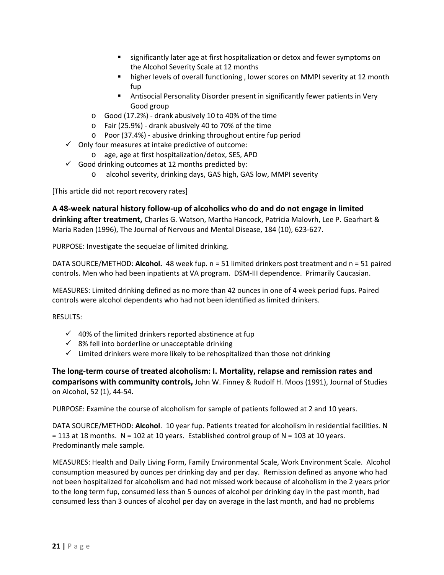- significantly later age at first hospitalization or detox and fewer symptoms on the Alcohol Severity Scale at 12 months
- higher levels of overall functioning , lower scores on MMPI severity at 12 month fup
- Antisocial Personality Disorder present in significantly fewer patients in Very Good group
- o Good (17.2%) ‐ drank abusively 10 to 40% of the time
- o Fair (25.9%) ‐ drank abusively 40 to 70% of the time
- o Poor (37.4%) ‐ abusive drinking throughout entire fup period
- $\checkmark$  Only four measures at intake predictive of outcome:
	- o age, age at first hospitalization/detox, SES, APD
- $\checkmark$  Good drinking outcomes at 12 months predicted by:
	- o alcohol severity, drinking days, GAS high, GAS low, MMPI severity

[This article did not report recovery rates]

**A 48‐week natural history follow‐up of alcoholics who do and do not engage in limited drinking after treatment,** Charles G. Watson, Martha Hancock, Patricia Malovrh, Lee P. Gearhart & Maria Raden (1996), The Journal of Nervous and Mental Disease, 184 (10), 623‐627.

PURPOSE: Investigate the sequelae of limited drinking.

DATA SOURCE/METHOD: **Alcohol.** 48 week fup. n = 51 limited drinkers post treatment and n = 51 paired controls. Men who had been inpatients at VA program. DSM‐III dependence. Primarily Caucasian.

MEASURES: Limited drinking defined as no more than 42 ounces in one of 4 week period fups. Paired controls were alcohol dependents who had not been identified as limited drinkers.

RESULTS:

- $\checkmark$  40% of the limited drinkers reported abstinence at fup
- $\checkmark$  8% fell into borderline or unacceptable drinking
- $\checkmark$  Limited drinkers were more likely to be rehospitalized than those not drinking

**The long‐term course of treated alcoholism: I. Mortality, relapse and remission rates and comparisons with community controls,** John W. Finney & Rudolf H. Moos (1991), Journal of Studies on Alcohol, 52 (1), 44‐54.

PURPOSE: Examine the course of alcoholism for sample of patients followed at 2 and 10 years.

DATA SOURCE/METHOD: **Alcohol**. 10 year fup. Patients treated for alcoholism in residential facilities. N  $= 113$  at 18 months. N = 102 at 10 years. Established control group of N = 103 at 10 years. Predominantly male sample.

MEASURES: Health and Daily Living Form, Family Environmental Scale, Work Environment Scale. Alcohol consumption measured by ounces per drinking day and per day. Remission defined as anyone who had not been hospitalized for alcoholism and had not missed work because of alcoholism in the 2 years prior to the long term fup, consumed less than 5 ounces of alcohol per drinking day in the past month, had consumed less than 3 ounces of alcohol per day on average in the last month, and had no problems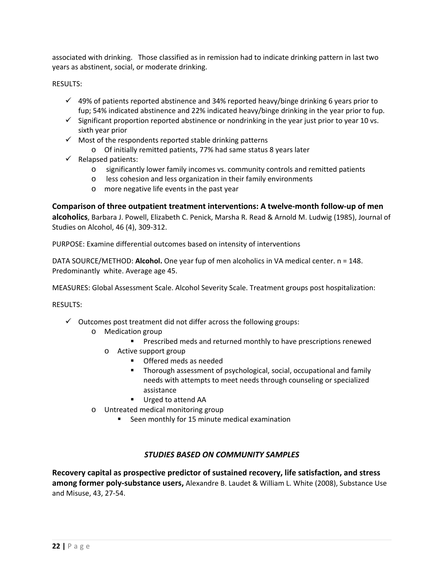associated with drinking. Those classified as in remission had to indicate drinking pattern in last two years as abstinent, social, or moderate drinking.

### RESULTS:

- $\checkmark$  49% of patients reported abstinence and 34% reported heavy/binge drinking 6 years prior to fup; 54% indicated abstinence and 22% indicated heavy/binge drinking in the year prior to fup.
- $\checkmark$  Significant proportion reported abstinence or nondrinking in the year just prior to year 10 vs. sixth year prior
- $\checkmark$  Most of the respondents reported stable drinking patterns
	- o Of initially remitted patients, 77% had same status 8 years later
- $\checkmark$  Relapsed patients:
	- o significantly lower family incomes vs. community controls and remitted patients
	- o less cohesion and less organization in their family environments
	- o more negative life events in the past year

**Comparison of three outpatient treatment interventions: A twelve‐month follow‐up of men alcoholics**, Barbara J. Powell, Elizabeth C. Penick, Marsha R. Read & Arnold M. Ludwig (1985), Journal of Studies on Alcohol, 46 (4), 309‐312.

PURPOSE: Examine differential outcomes based on intensity of interventions

DATA SOURCE/METHOD: **Alcohol.** One year fup of men alcoholics in VA medical center. n = 148. Predominantly white. Average age 45.

MEASURES: Global Assessment Scale. Alcohol Severity Scale. Treatment groups post hospitalization:

RESULTS:

- $\checkmark$  Outcomes post treatment did not differ across the following groups:
	- o Medication group
		- **Prescribed meds and returned monthly to have prescriptions renewed**
		- o Active support group
			- **•** Offered meds as needed
			- **Thorough assessment of psychological, social, occupational and family** needs with attempts to meet needs through counseling or specialized assistance
			- Urged to attend AA
	- o Untreated medical monitoring group
		- Seen monthly for 15 minute medical examination

## *STUDIES BASED ON COMMUNITY SAMPLES*

**Recovery capital as prospective predictor of sustained recovery, life satisfaction, and stress among former poly‐substance users,** Alexandre B. Laudet & William L. White (2008), Substance Use and Misuse, 43, 27‐54.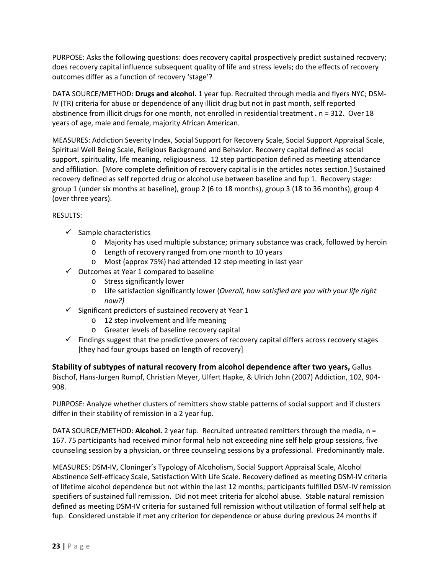PURPOSE: Asks the following questions: does recovery capital prospectively predict sustained recovery; does recovery capital influence subsequent quality of life and stress levels; do the effects of recovery outcomes differ as a function of recovery 'stage'?

DATA SOURCE/METHOD: **Drugs and alcohol.** 1 year fup. Recruited through media and flyers NYC; DSM‐ IV (TR) criteria for abuse or dependence of any illicit drug but not in past month, self reported abstinence from illicit drugs for one month, not enrolled in residential treatment **.** n = 312. Over 18 years of age, male and female, majority African American.

MEASURES: Addiction Severity Index, Social Support for Recovery Scale, Social Support Appraisal Scale, Spiritual Well Being Scale, Religious Background and Behavior. Recovery capital defined as social support, spirituality, life meaning, religiousness. 12 step participation defined as meeting attendance and affiliation. [More complete definition of recovery capital is in the articles notes section.] Sustained recovery defined as self reported drug or alcohol use between baseline and fup 1. Recovery stage: group 1 (under six months at baseline), group 2 (6 to 18 months), group 3 (18 to 36 months), group 4 (over three years).

## RESULTS:

- $\checkmark$  Sample characteristics
	- o Majority has used multiple substance; primary substance was crack, followed by heroin
	- o Length of recovery ranged from one month to 10 years
	- o Most (approx 75%) had attended 12 step meeting in last year
- $\checkmark$  Outcomes at Year 1 compared to baseline
	- o Stress significantly lower
	- o Life satisfaction significantly lower (*Overall, how satisfied are you with your life right now?)*
- $\checkmark$  Significant predictors of sustained recovery at Year 1
	- o 12 step involvement and life meaning
	- o Greater levels of baseline recovery capital
- $\checkmark$  Findings suggest that the predictive powers of recovery capital differs across recovery stages [they had four groups based on length of recovery]

**Stability of subtypes of natural recovery from alcohol dependence after two years,** Gallus Bischof, Hans‐Jurgen Rumpf, Christian Meyer, Ulfert Hapke, & Ulrich John (2007) Addiction, 102, 904‐ 908.

PURPOSE: Analyze whether clusters of remitters show stable patterns of social support and if clusters differ in their stability of remission in a 2 year fup.

DATA SOURCE/METHOD: **Alcohol.** 2 year fup. Recruited untreated remitters through the media, n = 167. 75 participants had received minor formal help not exceeding nine self help group sessions, five counseling session by a physician, or three counseling sessions by a professional. Predominantly male.

MEASURES: DSM‐IV, Cloninger's Typology of Alcoholism, Social Support Appraisal Scale, Alcohol Abstinence Self‐efficacy Scale, Satisfaction With Life Scale. Recovery defined as meeting DSM‐IV criteria of lifetime alcohol dependence but not within the last 12 months; participants fulfilled DSM‐IV remission specifiers of sustained full remission. Did not meet criteria for alcohol abuse. Stable natural remission defined as meeting DSM‐IV criteria for sustained full remission without utilization of formal self help at fup. Considered unstable if met any criterion for dependence or abuse during previous 24 months if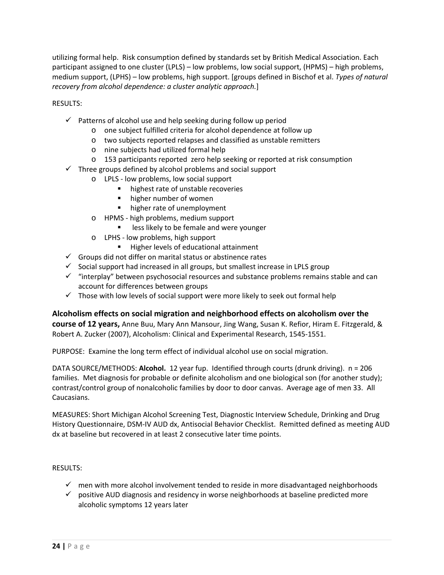utilizing formal help. Risk consumption defined by standards set by British Medical Association. Each participant assigned to one cluster (LPLS) – low problems, low social support, (HPMS) – high problems, medium support, (LPHS) – low problems, high support. [groups defined in Bischof et al. *Types of natural recovery from alcohol dependence: a cluster analytic approach.*]

RESULTS:

- $\checkmark$  Patterns of alcohol use and help seeking during follow up period
	- o one subject fulfilled criteria for alcohol dependence at follow up
	- o two subjects reported relapses and classified as unstable remitters
	- o nine subjects had utilized formal help
	- o 153 participants reported zero help seeking or reported at risk consumption
- $\checkmark$  Three groups defined by alcohol problems and social support
	- o LPLS ‐ low problems, low social support
		- highest rate of unstable recoveries
		- **•** higher number of women
		- **higher rate of unemployment**
	- o HPMS ‐ high problems, medium support
		- **EXEL EXECT** less likely to be female and were younger
	- o LPHS ‐ low problems, high support
		- **Higher levels of educational attainment**
- $\checkmark$  Groups did not differ on marital status or abstinence rates
- $\checkmark$  Social support had increased in all groups, but smallest increase in LPLS group
- $\checkmark$  "interplay" between psychosocial resources and substance problems remains stable and can account for differences between groups
- $\checkmark$  Those with low levels of social support were more likely to seek out formal help

**Alcoholism effects on social migration and neighborhood effects on alcoholism over the course of 12 years,** Anne Buu, Mary Ann Mansour, Jing Wang, Susan K. Refior, Hiram E. Fitzgerald, & Robert A. Zucker (2007), Alcoholism: Clinical and Experimental Research, 1545‐1551.

PURPOSE: Examine the long term effect of individual alcohol use on social migration.

DATA SOURCE/METHODS: **Alcohol.** 12 year fup. Identified through courts (drunk driving). n = 206 families. Met diagnosis for probable or definite alcoholism and one biological son (for another study); contrast/control group of nonalcoholic families by door to door canvas. Average age of men 33. All Caucasians.

MEASURES: Short Michigan Alcohol Screening Test, Diagnostic Interview Schedule, Drinking and Drug History Questionnaire, DSM‐IV AUD dx, Antisocial Behavior Checklist. Remitted defined as meeting AUD dx at baseline but recovered in at least 2 consecutive later time points.

- $\checkmark$  men with more alcohol involvement tended to reside in more disadvantaged neighborhoods
- $\checkmark$  positive AUD diagnosis and residency in worse neighborhoods at baseline predicted more alcoholic symptoms 12 years later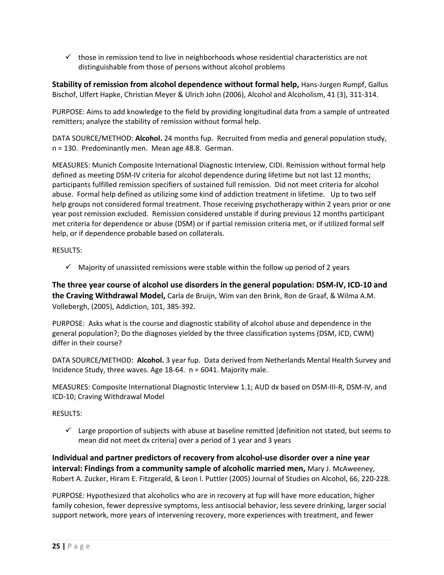$\checkmark$  those in remission tend to live in neighborhoods whose residential characteristics are not distinguishable from those of persons without alcohol problems

**Stability of remission from alcohol dependence without formal help,** Hans‐Jurgen Rumpf, Gallus Bischof, Ulfert Hapke, Christian Meyer & Ulrich John (2006), Alcohol and Alcoholism, 41 (3), 311‐314.

PURPOSE: Aims to add knowledge to the field by providing longitudinal data from a sample of untreated remitters; analyze the stability of remission without formal help.

DATA SOURCE/METHOD: **Alcohol.** 24 months fup. Recruited from media and general population study, n = 130. Predominantly men. Mean age 48.8. German.

MEASURES: Munich Composite International Diagnostic Interview, CIDI. Remission without formal help defined as meeting DSM‐IV criteria for alcohol dependence during lifetime but not last 12 months; participants fulfilled remission specifiers of sustained full remission. Did not meet criteria for alcohol abuse. Formal help defined as utilizing some kind of addiction treatment in lifetime. Up to two self help groups not considered formal treatment. Those receiving psychotherapy within 2 years prior or one year post remission excluded. Remission considered unstable if during previous 12 months participant met criteria for dependence or abuse (DSM) or if partial remission criteria met, or if utilized formal self help, or if dependence probable based on collaterals.

RESULTS:

 $\checkmark$  Majority of unassisted remissions were stable within the follow up period of 2 years

The three year course of alcohol use disorders in the general population: DSM-IV, ICD-10 and **the Craving Withdrawal Model,** Carla de Bruijn, Wim van den Brink, Ron de Graaf, & Wilma A.M. Vollebergh, (2005), Addiction, 101, 385‐392.

PURPOSE: Asks what is the course and diagnostic stability of alcohol abuse and dependence in the general population?; Do the diagnoses yielded by the three classification systems (DSM, ICD, CWM) differ in their course?

DATA SOURCE/METHOD: **Alcohol.** 3 year fup. Data derived from Netherlands Mental Health Survey and Incidence Study, three waves. Age 18‐64. n = 6041. Majority male.

MEASURES: Composite International Diagnostic Interview 1.1; AUD dx based on DSM‐III‐R, DSM‐IV, and ICD‐10; Craving Withdrawal Model

RESULTS:

 $\checkmark$  Large proportion of subjects with abuse at baseline remitted [definition not stated, but seems to mean did not meet dx criteria] over a period of 1 year and 3 years

**Individual and partner predictors of recovery from alcohol‐use disorder over a nine year interval: Findings from a community sample of alcoholic married men,** Mary J. McAweeney, Robert A. Zucker, Hiram E. Fitzgerald, & Leon I. Puttler (2005) Journal of Studies on Alcohol, 66, 220‐228.

PURPOSE: Hypothesized that alcoholics who are in recovery at fup will have more education, higher family cohesion, fewer depressive symptoms, less antisocial behavior, less severe drinking, larger social support network, more years of intervening recovery, more experiences with treatment, and fewer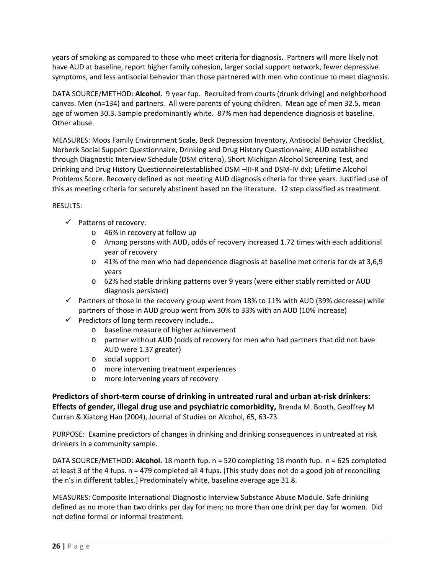years of smoking as compared to those who meet criteria for diagnosis. Partners will more likely not have AUD at baseline, report higher family cohesion, larger social support network, fewer depressive symptoms, and less antisocial behavior than those partnered with men who continue to meet diagnosis.

DATA SOURCE/METHOD: **Alcohol.** 9 year fup. Recruited from courts (drunk driving) and neighborhood canvas. Men (n=134) and partners. All were parents of young children. Mean age of men 32.5, mean age of women 30.3. Sample predominantly white. 87% men had dependence diagnosis at baseline. Other abuse.

MEASURES: Moos Family Environment Scale, Beck Depression Inventory, Antisocial Behavior Checklist, Norbeck Social Support Questionnaire, Drinking and Drug History Questionnaire; AUD established through Diagnostic Interview Schedule (DSM criteria), Short Michigan Alcohol Screening Test, and Drinking and Drug History Questionnaire(established DSM –III-R and DSM-IV dx); Lifetime Alcohol Problems Score. Recovery defined as not meeting AUD diagnosis criteria for three years. Justified use of this as meeting criteria for securely abstinent based on the literature. 12 step classified as treatment.

## RESULTS:

- $\checkmark$  Patterns of recovery:
	- o 46% in recovery at follow up
	- o Among persons with AUD, odds of recovery increased 1.72 times with each additional year of recovery
	- o 41% of the men who had dependence diagnosis at baseline met criteria for dx at 3,6,9 years
	- o 62% had stable drinking patterns over 9 years (were either stably remitted or AUD diagnosis persisted)
- $\checkmark$  Partners of those in the recovery group went from 18% to 11% with AUD (39% decrease) while partners of those in AUD group went from 30% to 33% with an AUD (10% increase)
- $\checkmark$  Predictors of long term recovery include...
	- o baseline measure of higher achievement
	- o partner without AUD (odds of recovery for men who had partners that did not have AUD were 1.37 greater)
	- o social support
	- o more intervening treatment experiences
	- o more intervening years of recovery

**Predictors of short‐term course of drinking in untreated rural and urban at‐risk drinkers: Effects of gender, illegal drug use and psychiatric comorbidity,** Brenda M. Booth, Geoffrey M Curran & Xiatong Han (2004), Journal of Studies on Alcohol, 65, 63‐73.

PURPOSE: Examine predictors of changes in drinking and drinking consequences in untreated at risk drinkers in a community sample.

DATA SOURCE/METHOD: **Alcohol.** 18 month fup. n = 520 completing 18 month fup. n = 625 completed at least 3 of the 4 fups. n = 479 completed all 4 fups. [This study does not do a good job of reconciling the n's in different tables.] Predominately white, baseline average age 31.8.

MEASURES: Composite International Diagnostic Interview Substance Abuse Module. Safe drinking defined as no more than two drinks per day for men; no more than one drink per day for women. Did not define formal or informal treatment.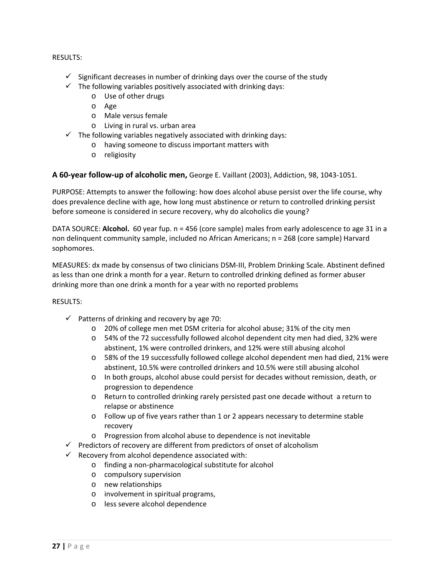#### RESULTS:

- $\checkmark$  Significant decreases in number of drinking days over the course of the study
- $\checkmark$  The following variables positively associated with drinking days:
	- o Use of other drugs
	- o Age
	- o Male versus female
	- o Living in rural vs. urban area
- $\checkmark$  The following variables negatively associated with drinking days:
	- o having someone to discuss important matters with
	- o religiosity

## **A 60‐year follow‐up of alcoholic men,** George E. Vaillant (2003), Addiction, 98, 1043‐1051.

PURPOSE: Attempts to answer the following: how does alcohol abuse persist over the life course, why does prevalence decline with age, how long must abstinence or return to controlled drinking persist before someone is considered in secure recovery, why do alcoholics die young?

DATA SOURCE: **Alcohol.** 60 year fup. n = 456 (core sample) males from early adolescence to age 31 in a non delinquent community sample, included no African Americans; n = 268 (core sample) Harvard sophomores.

MEASURES: dx made by consensus of two clinicians DSM‐III, Problem Drinking Scale. Abstinent defined as less than one drink a month for a year. Return to controlled drinking defined as former abuser drinking more than one drink a month for a year with no reported problems

- $\checkmark$  Patterns of drinking and recovery by age 70:
	- o 20% of college men met DSM criteria for alcohol abuse; 31% of the city men
	- o 54% of the 72 successfully followed alcohol dependent city men had died, 32% were abstinent, 1% were controlled drinkers, and 12% were still abusing alcohol
	- o 58% of the 19 successfully followed college alcohol dependent men had died, 21% were abstinent, 10.5% were controlled drinkers and 10.5% were still abusing alcohol
	- o In both groups, alcohol abuse could persist for decades without remission, death, or progression to dependence
	- o Return to controlled drinking rarely persisted past one decade without a return to relapse or abstinence
	- o Follow up of five years rather than 1 or 2 appears necessary to determine stable recovery
	- o Progression from alcohol abuse to dependence is not inevitable
- $\checkmark$  Predictors of recovery are different from predictors of onset of alcoholism
- $\checkmark$  Recovery from alcohol dependence associated with:
	- o finding a non‐pharmacological substitute for alcohol
	- o compulsory supervision
	- o new relationships
	- o involvement in spiritual programs,
	- o less severe alcohol dependence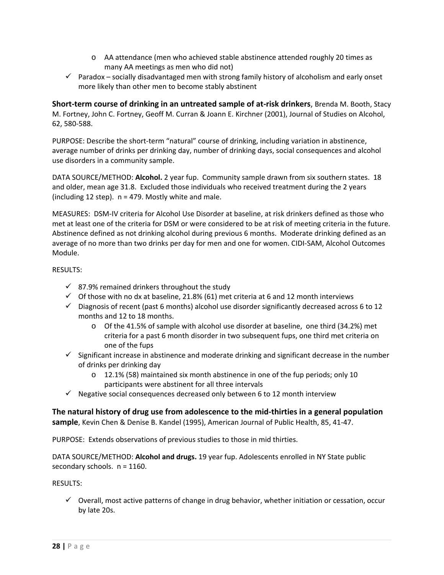- o AA attendance (men who achieved stable abstinence attended roughly 20 times as many AA meetings as men who did not)
- $\checkmark$  Paradox socially disadvantaged men with strong family history of alcoholism and early onset more likely than other men to become stably abstinent

**Short‐term course of drinking in an untreated sample of at‐risk drinkers**, Brenda M. Booth, Stacy M. Fortney, John C. Fortney, Geoff M. Curran & Joann E. Kirchner (2001), Journal of Studies on Alcohol, 62, 580‐588.

PURPOSE: Describe the short‐term "natural" course of drinking, including variation in abstinence, average number of drinks per drinking day, number of drinking days, social consequences and alcohol use disorders in a community sample.

DATA SOURCE/METHOD: **Alcohol.** 2 year fup. Community sample drawn from six southern states. 18 and older, mean age 31.8. Excluded those individuals who received treatment during the 2 years (including 12 step).  $n = 479$ . Mostly white and male.

MEASURES: DSM‐IV criteria for Alcohol Use Disorder at baseline, at risk drinkers defined as those who met at least one of the criteria for DSM or were considered to be at risk of meeting criteria in the future. Abstinence defined as not drinking alcohol during previous 6 months. Moderate drinking defined as an average of no more than two drinks per day for men and one for women. CIDI‐SAM, Alcohol Outcomes Module.

RESULTS:

- $\checkmark$  87.9% remained drinkers throughout the study
- $\checkmark$  Of those with no dx at baseline, 21.8% (61) met criteria at 6 and 12 month interviews
- $\checkmark$  Diagnosis of recent (past 6 months) alcohol use disorder significantly decreased across 6 to 12 months and 12 to 18 months.
	- o Of the 41.5% of sample with alcohol use disorder at baseline, one third (34.2%) met criteria for a past 6 month disorder in two subsequent fups, one third met criteria on one of the fups
- $\checkmark$  Significant increase in abstinence and moderate drinking and significant decrease in the number of drinks per drinking day
	- o 12.1% (58) maintained six month abstinence in one of the fup periods; only 10 participants were abstinent for all three intervals
- $\checkmark$  Negative social consequences decreased only between 6 to 12 month interview

**The natural history of drug use from adolescence to the mid‐thirties in a general population sample**, Kevin Chen & Denise B. Kandel (1995), American Journal of Public Health, 85, 41‐47.

PURPOSE: Extends observations of previous studies to those in mid thirties.

DATA SOURCE/METHOD: **Alcohol and drugs.** 19 year fup. Adolescents enrolled in NY State public secondary schools.  $n = 1160$ .

RESULTS:

 $\checkmark$  Overall, most active patterns of change in drug behavior, whether initiation or cessation, occur by late 20s.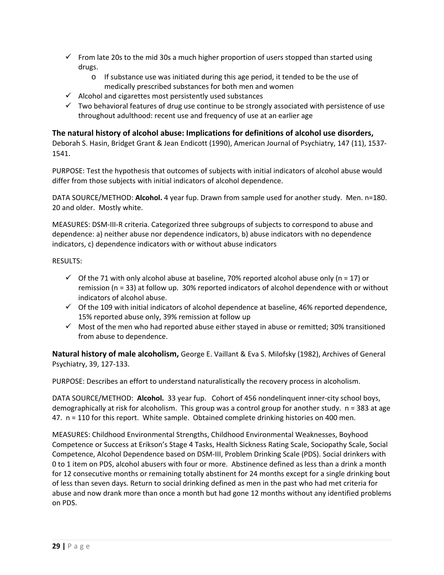- $\checkmark$  From late 20s to the mid 30s a much higher proportion of users stopped than started using drugs.
	- o If substance use was initiated during this age period, it tended to be the use of medically prescribed substances for both men and women
- $\checkmark$  Alcohol and cigarettes most persistently used substances
- $\checkmark$  Two behavioral features of drug use continue to be strongly associated with persistence of use throughout adulthood: recent use and frequency of use at an earlier age

## **The natural history of alcohol abuse: Implications for definitions of alcohol use disorders,**

Deborah S. Hasin, Bridget Grant & Jean Endicott (1990), American Journal of Psychiatry, 147 (11), 1537‐ 1541.

PURPOSE: Test the hypothesis that outcomes of subjects with initial indicators of alcohol abuse would differ from those subjects with initial indicators of alcohol dependence.

DATA SOURCE/METHOD: **Alcohol.** 4 year fup. Drawn from sample used for another study. Men. n=180. 20 and older. Mostly white.

MEASURES: DSM‐III‐R criteria. Categorized three subgroups of subjects to correspond to abuse and dependence: a) neither abuse nor dependence indicators, b) abuse indicators with no dependence indicators, c) dependence indicators with or without abuse indicators

RESULTS:

- $\checkmark$  Of the 71 with only alcohol abuse at baseline, 70% reported alcohol abuse only (n = 17) or remission (n = 33) at follow up. 30% reported indicators of alcohol dependence with or without indicators of alcohol abuse.
- $\checkmark$  Of the 109 with initial indicators of alcohol dependence at baseline, 46% reported dependence, 15% reported abuse only, 39% remission at follow up
- $\checkmark$  Most of the men who had reported abuse either stayed in abuse or remitted; 30% transitioned from abuse to dependence.

**Natural history of male alcoholism,** George E. Vaillant & Eva S. Milofsky (1982), Archives of General Psychiatry, 39, 127‐133.

PURPOSE: Describes an effort to understand naturalistically the recovery process in alcoholism.

DATA SOURCE/METHOD: **Alcohol.** 33 year fup. Cohort of 456 nondelinquent inner-city school boys, demographically at risk for alcoholism. This group was a control group for another study. n = 383 at age 47.  $n = 110$  for this report. White sample. Obtained complete drinking histories on 400 men.

MEASURES: Childhood Environmental Strengths, Childhood Environmental Weaknesses, Boyhood Competence or Success at Erikson's Stage 4 Tasks, Health Sickness Rating Scale, Sociopathy Scale, Social Competence, Alcohol Dependence based on DSM‐III, Problem Drinking Scale (PDS). Social drinkers with 0 to 1 item on PDS, alcohol abusers with four or more. Abstinence defined as less than a drink a month for 12 consecutive months or remaining totally abstinent for 24 months except for a single drinking bout of less than seven days. Return to social drinking defined as men in the past who had met criteria for abuse and now drank more than once a month but had gone 12 months without any identified problems on PDS.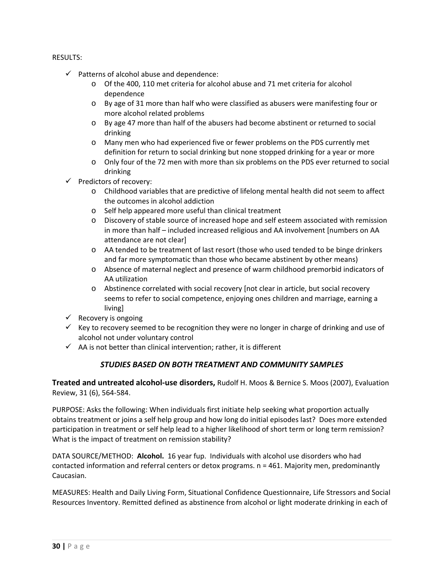#### RESULTS:

- $\checkmark$  Patterns of alcohol abuse and dependence:
	- o Of the 400, 110 met criteria for alcohol abuse and 71 met criteria for alcohol dependence
	- o By age of 31 more than half who were classified as abusers were manifesting four or more alcohol related problems
	- o By age 47 more than half of the abusers had become abstinent or returned to social drinking
	- o Many men who had experienced five or fewer problems on the PDS currently met definition for return to social drinking but none stopped drinking for a year or more
	- o Only four of the 72 men with more than six problems on the PDS ever returned to social drinking
- $\checkmark$  Predictors of recovery:
	- o Childhood variables that are predictive of lifelong mental health did not seem to affect the outcomes in alcohol addiction
	- o Self help appeared more useful than clinical treatment
	- o Discovery of stable source of increased hope and self esteem associated with remission in more than half – included increased religious and AA involvement [numbers on AA attendance are not clear]
	- o AA tended to be treatment of last resort (those who used tended to be binge drinkers and far more symptomatic than those who became abstinent by other means)
	- o Absence of maternal neglect and presence of warm childhood premorbid indicators of AA utilization
	- o Abstinence correlated with social recovery [not clear in article, but social recovery seems to refer to social competence, enjoying ones children and marriage, earning a living]
- $\checkmark$  Recovery is ongoing
- $\checkmark$  Key to recovery seemed to be recognition they were no longer in charge of drinking and use of alcohol not under voluntary control
- $\checkmark$  AA is not better than clinical intervention; rather, it is different

## *STUDIES BASED ON BOTH TREATMENT AND COMMUNITY SAMPLES*

**Treated and untreated alcohol‐use disorders,** Rudolf H. Moos & Bernice S. Moos (2007), Evaluation Review, 31 (6), 564‐584.

PURPOSE: Asks the following: When individuals first initiate help seeking what proportion actually obtains treatment or joins a self help group and how long do initial episodes last? Does more extended participation in treatment or self help lead to a higher likelihood of short term or long term remission? What is the impact of treatment on remission stability?

DATA SOURCE/METHOD: **Alcohol.** 16 year fup. Individuals with alcohol use disorders who had contacted information and referral centers or detox programs. n = 461. Majority men, predominantly Caucasian.

MEASURES: Health and Daily Living Form, Situational Confidence Questionnaire, Life Stressors and Social Resources Inventory. Remitted defined as abstinence from alcohol or light moderate drinking in each of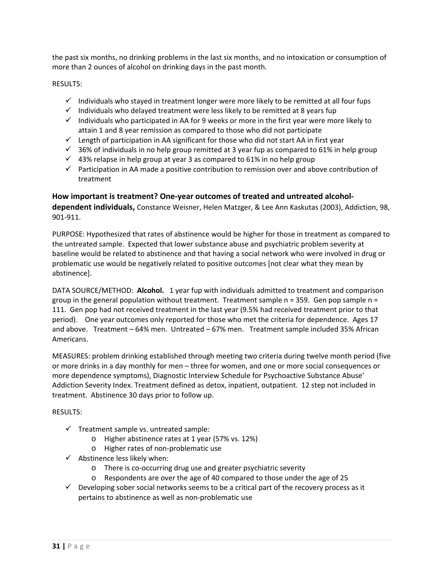the past six months, no drinking problems in the last six months, and no intoxication or consumption of more than 2 ounces of alcohol on drinking days in the past month.

RESULTS:

- $\checkmark$  Individuals who stayed in treatment longer were more likely to be remitted at all four fups
- $\checkmark$  Individuals who delayed treatment were less likely to be remitted at 8 years fup
- $\checkmark$  Individuals who participated in AA for 9 weeks or more in the first year were more likely to attain 1 and 8 year remission as compared to those who did not participate
- $\checkmark$  Length of participation in AA significant for those who did not start AA in first year
- $\checkmark$  36% of individuals in no help group remitted at 3 year fup as compared to 61% in help group
- $\checkmark$  43% relapse in help group at year 3 as compared to 61% in no help group
- $\checkmark$  Participation in AA made a positive contribution to remission over and above contribution of treatment

**How important is treatment? One‐year outcomes of treated and untreated alcohol‐ dependent individuals,** Constance Weisner, Helen Matzger, & Lee Ann Kaskutas (2003), Addiction, 98, 901‐911.

PURPOSE: Hypothesized that rates of abstinence would be higher for those in treatment as compared to the untreated sample. Expected that lower substance abuse and psychiatric problem severity at baseline would be related to abstinence and that having a social network who were involved in drug or problematic use would be negatively related to positive outcomes [not clear what they mean by abstinence].

DATA SOURCE/METHOD: Alcohol. 1 year fup with individuals admitted to treatment and comparison group in the general population without treatment. Treatment sample  $n = 359$ . Gen pop sample  $n =$ 111. Gen pop had not received treatment in the last year (9.5% had received treatment prior to that period). One year outcomes only reported for those who met the criteria for dependence. Ages 17 and above. Treatment – 64% men. Untreated – 67% men. Treatment sample included 35% African Americans.

MEASURES: problem drinking established through meeting two criteria during twelve month period (five or more drinks in a day monthly for men – three for women, and one or more social consequences or more dependence symptoms), Diagnostic Interview Schedule for Psychoactive Substance Abuse' Addiction Severity Index. Treatment defined as detox, inpatient, outpatient. 12 step not included in treatment. Abstinence 30 days prior to follow up.

- $\checkmark$  Treatment sample vs. untreated sample:
	- o Higher abstinence rates at 1 year (57% vs. 12%)
	- o Higher rates of non‐problematic use
- $\checkmark$  Abstinence less likely when:
	- o There is co‐occurring drug use and greater psychiatric severity
	- o Respondents are over the age of 40 compared to those under the age of 25
- $\checkmark$  Developing sober social networks seems to be a critical part of the recovery process as it pertains to abstinence as well as non‐problematic use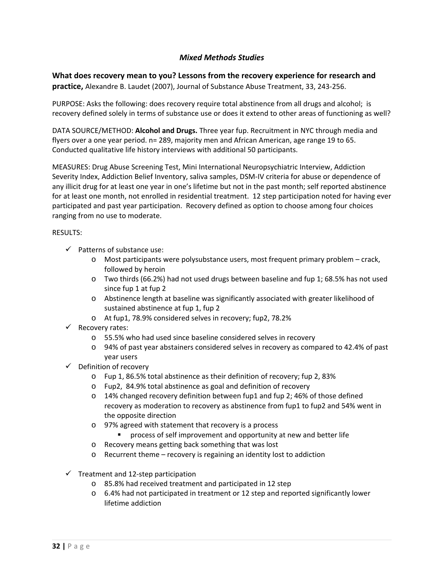## *Mixed Methods Studies*

**What does recovery mean to you? Lessons from the recovery experience for research and practice,** Alexandre B. Laudet (2007), Journal of Substance Abuse Treatment, 33, 243‐256.

PURPOSE: Asks the following: does recovery require total abstinence from all drugs and alcohol; is recovery defined solely in terms of substance use or does it extend to other areas of functioning as well?

DATA SOURCE/METHOD: **Alcohol and Drugs.** Three year fup. Recruitment in NYC through media and flyers over a one year period. n= 289, majority men and African American, age range 19 to 65. Conducted qualitative life history interviews with additional 50 participants.

MEASURES: Drug Abuse Screening Test, Mini International Neuropsychiatric Interview, Addiction Severity Index, Addiction Belief Inventory, saliva samples, DSM‐IV criteria for abuse or dependence of any illicit drug for at least one year in one's lifetime but not in the past month; self reported abstinence for at least one month, not enrolled in residential treatment. 12 step participation noted for having ever participated and past year participation. Recovery defined as option to choose among four choices ranging from no use to moderate.

- $\checkmark$  Patterns of substance use:
	- o Most participants were polysubstance users, most frequent primary problem crack, followed by heroin
	- o Two thirds (66.2%) had not used drugs between baseline and fup 1; 68.5% has not used since fup 1 at fup 2
	- o Abstinence length at baseline was significantly associated with greater likelihood of sustained abstinence at fup 1, fup 2
	- o At fup1, 78.9% considered selves in recovery; fup2, 78.2%
- $\checkmark$  Recovery rates:
	- o 55.5% who had used since baseline considered selves in recovery
	- o 94% of past year abstainers considered selves in recovery as compared to 42.4% of past year users
- $\checkmark$  Definition of recovery
	- o Fup 1, 86.5% total abstinence as their definition of recovery; fup 2, 83%
	- o Fup2, 84.9% total abstinence as goal and definition of recovery
	- $\circ$  14% changed recovery definition between fup1 and fup 2; 46% of those defined recovery as moderation to recovery as abstinence from fup1 to fup2 and 54% went in the opposite direction
	- o 97% agreed with statement that recovery is a process
		- **Perocess of self improvement and opportunity at new and better life**
	- o Recovery means getting back something that was lost
	- o Recurrent theme recovery is regaining an identity lost to addiction
- $\checkmark$  Treatment and 12-step participation
	- o 85.8% had received treatment and participated in 12 step
	- o 6.4% had not participated in treatment or 12 step and reported significantly lower lifetime addiction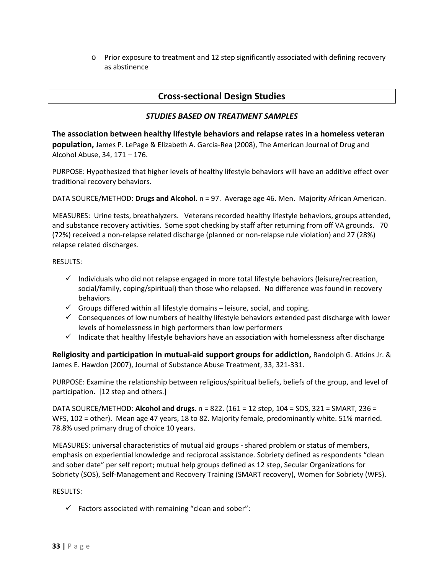o Prior exposure to treatment and 12 step significantly associated with defining recovery as abstinence

## **Cross‐sectional Design Studies**

## *STUDIES BASED ON TREATMENT SAMPLES*

**The association between healthy lifestyle behaviors and relapse rates in a homeless veteran population,** James P. LePage & Elizabeth A. Garcia‐Rea (2008), The American Journal of Drug and Alcohol Abuse, 34, 171 – 176.

PURPOSE: Hypothesized that higher levels of healthy lifestyle behaviors will have an additive effect over traditional recovery behaviors.

DATA SOURCE/METHOD: **Drugs and Alcohol.** n = 97. Average age 46. Men. Majority African American.

MEASURES: Urine tests, breathalyzers. Veterans recorded healthy lifestyle behaviors, groups attended, and substance recovery activities. Some spot checking by staff after returning from off VA grounds. 70 (72%) received a non‐relapse related discharge (planned or non‐relapse rule violation) and 27 (28%) relapse related discharges.

#### RESULTS:

- $\checkmark$  Individuals who did not relapse engaged in more total lifestyle behaviors (leisure/recreation, social/family, coping/spiritual) than those who relapsed. No difference was found in recovery behaviors.
- $\checkmark$  Groups differed within all lifestyle domains leisure, social, and coping.
- $\checkmark$  Consequences of low numbers of healthy lifestyle behaviors extended past discharge with lower levels of homelessness in high performers than low performers
- $\checkmark$  Indicate that healthy lifestyle behaviors have an association with homelessness after discharge

**Religiosity and participation in mutual‐aid support groups for addiction,** Randolph G. Atkins Jr. & James E. Hawdon (2007), Journal of Substance Abuse Treatment, 33, 321‐331.

PURPOSE: Examine the relationship between religious/spiritual beliefs, beliefs of the group, and level of participation. [12 step and others.]

DATA SOURCE/METHOD: **Alcohol and drugs**. n = 822. (161 = 12 step, 104 = SOS, 321 = SMART, 236 = WFS, 102 = other). Mean age 47 years, 18 to 82. Majority female, predominantly white. 51% married. 78.8% used primary drug of choice 10 years.

MEASURES: universal characteristics of mutual aid groups ‐ shared problem or status of members, emphasis on experiential knowledge and reciprocal assistance. Sobriety defined as respondents "clean and sober date" per self report; mutual help groups defined as 12 step, Secular Organizations for Sobriety (SOS), Self‐Management and Recovery Training (SMART recovery), Women for Sobriety (WFS).

#### RESULTS:

 $\checkmark$  Factors associated with remaining "clean and sober":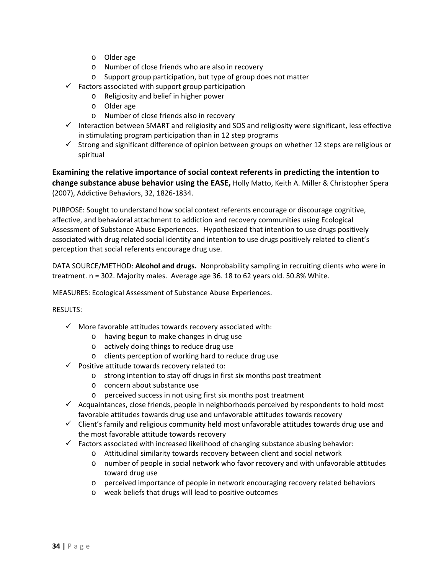- o Older age
- o Number of close friends who are also in recovery
- o Support group participation, but type of group does not matter
- $\checkmark$  Factors associated with support group participation
	- o Religiosity and belief in higher power
	- o Older age
	- o Number of close friends also in recovery
- $\checkmark$  Interaction between SMART and religiosity and SOS and religiosity were significant, less effective in stimulating program participation than in 12 step programs
- $\checkmark$  Strong and significant difference of opinion between groups on whether 12 steps are religious or spiritual

**Examining the relative importance of social context referents in predicting the intention to change substance abuse behavior using the EASE,** Holly Matto, Keith A. Miller & Christopher Spera (2007), Addictive Behaviors, 32, 1826‐1834.

PURPOSE: Sought to understand how social context referents encourage or discourage cognitive, affective, and behavioral attachment to addiction and recovery communities using Ecological Assessment of Substance Abuse Experiences. Hypothesized that intention to use drugs positively associated with drug related social identity and intention to use drugs positively related to client's perception that social referents encourage drug use.

DATA SOURCE/METHOD: **Alcohol and drugs.** Nonprobability sampling in recruiting clients who were in treatment. n = 302. Majority males. Average age 36. 18 to 62 years old. 50.8% White.

MEASURES: Ecological Assessment of Substance Abuse Experiences.

- $\checkmark$  More favorable attitudes towards recovery associated with:
	- o having begun to make changes in drug use
	- o actively doing things to reduce drug use
	- o clients perception of working hard to reduce drug use
- $\checkmark$  Positive attitude towards recovery related to:
	- o strong intention to stay off drugs in first six months post treatment
	- o concern about substance use
	- o perceived success in not using first six months post treatment
- $\checkmark$  Acquaintances, close friends, people in neighborhoods perceived by respondents to hold most favorable attitudes towards drug use and unfavorable attitudes towards recovery
- $\checkmark$  Client's family and religious community held most unfavorable attitudes towards drug use and the most favorable attitude towards recovery
- $\checkmark$  Factors associated with increased likelihood of changing substance abusing behavior:
	- o Attitudinal similarity towards recovery between client and social network
	- o number of people in social network who favor recovery and with unfavorable attitudes toward drug use
	- o perceived importance of people in network encouraging recovery related behaviors
	- o weak beliefs that drugs will lead to positive outcomes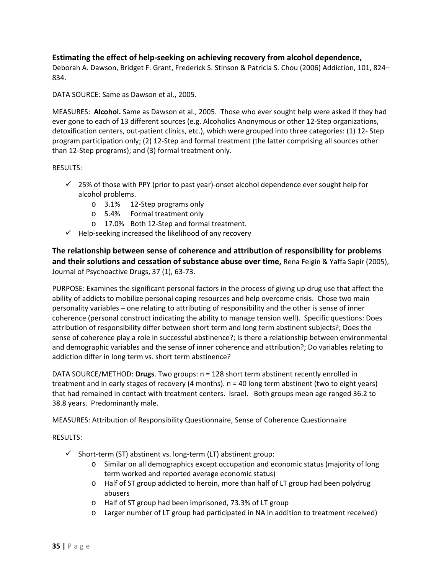## **Estimating the effect of help‐seeking on achieving recovery from alcohol dependence,**

Deborah A. Dawson, Bridget F. Grant, Frederick S. Stinson & Patricia S. Chou (2006) Addiction, 101, 824– 834.

DATA SOURCE: Same as Dawson et al., 2005.

MEASURES: **Alcohol.** Same as Dawson et al., 2005. Those who ever sought help were asked if they had ever gone to each of 13 different sources (e.g. Alcoholics Anonymous or other 12‐Step organizations, detoxification centers, out-patient clinics, etc.), which were grouped into three categories: (1) 12- Step program participation only; (2) 12‐Step and formal treatment (the latter comprising all sources other than 12‐Step programs); and (3) formal treatment only.

#### RESULTS:

- $\checkmark$  25% of those with PPY (prior to past year)-onset alcohol dependence ever sought help for alcohol problems.
	- o 3.1% 12‐Step programs only
	- o 5.4% Formal treatment only
	- o 17.0% Both 12‐Step and formal treatment.
- $\checkmark$  Help-seeking increased the likelihood of any recovery

**The relationship between sense of coherence and attribution of responsibility for problems and their solutions and cessation of substance abuse over time,** Rena Feigin & Yaffa Sapir (2005), Journal of Psychoactive Drugs, 37 (1), 63‐73.

PURPOSE: Examines the significant personal factors in the process of giving up drug use that affect the ability of addicts to mobilize personal coping resources and help overcome crisis. Chose two main personality variables – one relating to attributing of responsibility and the other is sense of inner coherence (personal construct indicating the ability to manage tension well). Specific questions: Does attribution of responsibility differ between short term and long term abstinent subjects?; Does the sense of coherence play a role in successful abstinence?; Is there a relationship between environmental and demographic variables and the sense of inner coherence and attribution?; Do variables relating to addiction differ in long term vs. short term abstinence?

DATA SOURCE/METHOD: **Drugs**. Two groups: n = 128 short term abstinent recently enrolled in treatment and in early stages of recovery (4 months). n = 40 long term abstinent (two to eight years) that had remained in contact with treatment centers. Israel. Both groups mean age ranged 36.2 to 38.8 years. Predominantly male.

MEASURES: Attribution of Responsibility Questionnaire, Sense of Coherence Questionnaire

- $\checkmark$  Short-term (ST) abstinent vs. long-term (LT) abstinent group:
	- o Similar on all demographics except occupation and economic status (majority of long term worked and reported average economic status)
	- o Half of ST group addicted to heroin, more than half of LT group had been polydrug abusers
	- o Half of ST group had been imprisoned, 73.3% of LT group
	- o Larger number of LT group had participated in NA in addition to treatment received)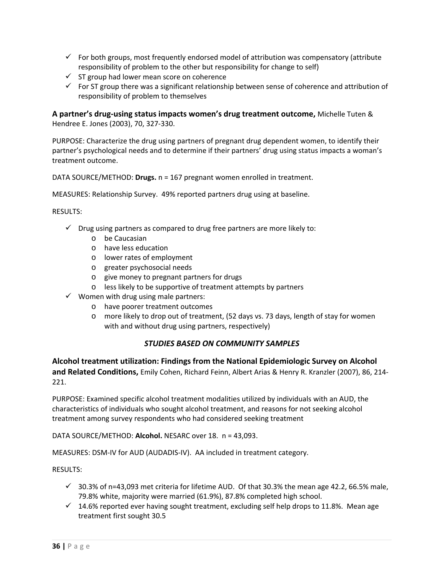- $\checkmark$  For both groups, most frequently endorsed model of attribution was compensatory (attribute responsibility of problem to the other but responsibility for change to self)
- $\checkmark$  ST group had lower mean score on coherence
- $\checkmark$  For ST group there was a significant relationship between sense of coherence and attribution of responsibility of problem to themselves

**A partner's drug‐using status impacts women's drug treatment outcome,** Michelle Tuten & Hendree E. Jones (2003), 70, 327‐330.

PURPOSE: Characterize the drug using partners of pregnant drug dependent women, to identify their partner's psychological needs and to determine if their partners' drug using status impacts a woman's treatment outcome.

DATA SOURCE/METHOD: **Drugs.** n = 167 pregnant women enrolled in treatment.

MEASURES: Relationship Survey. 49% reported partners drug using at baseline.

#### RESULTS:

- $\checkmark$  Drug using partners as compared to drug free partners are more likely to:
	- o be Caucasian
	- o have less education
	- o lower rates of employment
	- o greater psychosocial needs
	- o give money to pregnant partners for drugs
	- o less likely to be supportive of treatment attempts by partners
- $\checkmark$  Women with drug using male partners:
	- o have poorer treatment outcomes
	- o more likely to drop out of treatment, (52 days vs. 73 days, length of stay for women with and without drug using partners, respectively)

#### *STUDIES BASED ON COMMUNITY SAMPLES*

**Alcohol treatment utilization: Findings from the National Epidemiologic Survey on Alcohol and Related Conditions,** Emily Cohen, Richard Feinn, Albert Arias & Henry R. Kranzler (2007), 86, 214‐ 221.

PURPOSE: Examined specific alcohol treatment modalities utilized by individuals with an AUD, the characteristics of individuals who sought alcohol treatment, and reasons for not seeking alcohol treatment among survey respondents who had considered seeking treatment

DATA SOURCE/METHOD: **Alcohol.** NESARC over 18. n = 43,093.

MEASURES: DSM‐IV for AUD (AUDADIS‐IV). AA included in treatment category.

- $\checkmark$  30.3% of n=43,093 met criteria for lifetime AUD. Of that 30.3% the mean age 42.2, 66.5% male, 79.8% white, majority were married (61.9%), 87.8% completed high school.
- $\checkmark$  14.6% reported ever having sought treatment, excluding self help drops to 11.8%. Mean age treatment first sought 30.5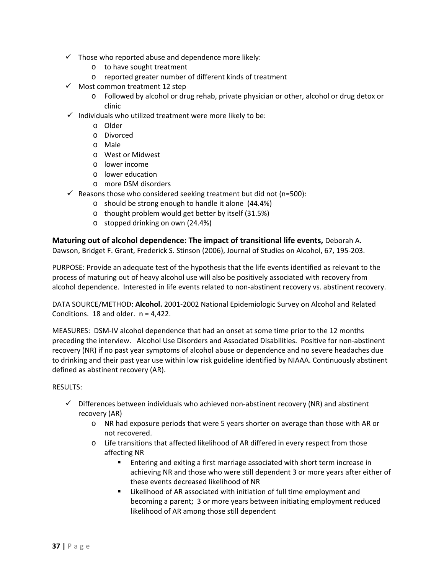- $\checkmark$  Those who reported abuse and dependence more likely:
	- o to have sought treatment
	- o reported greater number of different kinds of treatment
- $\checkmark$  Most common treatment 12 step
	- o Followed by alcohol or drug rehab, private physician or other, alcohol or drug detox or clinic
- $\checkmark$  Individuals who utilized treatment were more likely to be:
	- o Older
	- o Divorced
	- o Male
	- o West or Midwest
	- o lower income
	- o lower education
	- o more DSM disorders
- $\checkmark$  Reasons those who considered seeking treatment but did not (n=500):
	- o should be strong enough to handle it alone (44.4%)
	- o thought problem would get better by itself (31.5%)
	- o stopped drinking on own (24.4%)

**Maturing out of alcohol dependence: The impact of transitional life events,** Deborah A. Dawson, Bridget F. Grant, Frederick S. Stinson (2006), Journal of Studies on Alcohol, 67, 195‐203.

PURPOSE: Provide an adequate test of the hypothesis that the life events identified as relevant to the process of maturing out of heavy alcohol use will also be positively associated with recovery from alcohol dependence. Interested in life events related to non‐abstinent recovery vs. abstinent recovery.

DATA SOURCE/METHOD: **Alcohol.** 2001‐2002 National Epidemiologic Survey on Alcohol and Related Conditions.  $18$  and older.  $n = 4,422$ .

MEASURES: DSM‐IV alcohol dependence that had an onset at some time prior to the 12 months preceding the interview. Alcohol Use Disorders and Associated Disabilities. Positive for non‐abstinent recovery (NR) if no past year symptoms of alcohol abuse or dependence and no severe headaches due to drinking and their past year use within low risk guideline identified by NIAAA. Continuously abstinent defined as abstinent recovery (AR).

- $\checkmark$  Differences between individuals who achieved non-abstinent recovery (NR) and abstinent recovery (AR)
	- o NR had exposure periods that were 5 years shorter on average than those with AR or not recovered.
	- o Life transitions that affected likelihood of AR differed in every respect from those affecting NR
		- Entering and exiting a first marriage associated with short term increase in achieving NR and those who were still dependent 3 or more years after either of these events decreased likelihood of NR
		- **EXECT** Likelihood of AR associated with initiation of full time employment and becoming a parent; 3 or more years between initiating employment reduced likelihood of AR among those still dependent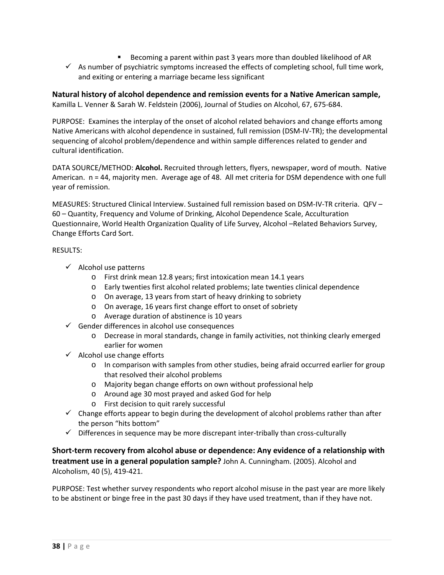- Becoming a parent within past 3 years more than doubled likelihood of AR
- $\checkmark$  As number of psychiatric symptoms increased the effects of completing school, full time work, and exiting or entering a marriage became less significant

## **Natural history of alcohol dependence and remission events for a Native American sample,** Kamilla L. Venner & Sarah W. Feldstein (2006), Journal of Studies on Alcohol, 67, 675‐684.

PURPOSE: Examines the interplay of the onset of alcohol related behaviors and change efforts among Native Americans with alcohol dependence in sustained, full remission (DSM‐IV‐TR); the developmental sequencing of alcohol problem/dependence and within sample differences related to gender and cultural identification.

DATA SOURCE/METHOD: **Alcohol.** Recruited through letters, flyers, newspaper, word of mouth. Native American. n = 44, majority men. Average age of 48. All met criteria for DSM dependence with one full year of remission.

MEASURES: Structured Clinical Interview. Sustained full remission based on DSM‐IV‐TR criteria. QFV – 60 – Quantity, Frequency and Volume of Drinking, Alcohol Dependence Scale, Acculturation Questionnaire, World Health Organization Quality of Life Survey, Alcohol –Related Behaviors Survey, Change Efforts Card Sort.

## RESULTS:

- $\checkmark$  Alcohol use patterns
	- o First drink mean 12.8 years; first intoxication mean 14.1 years
	- o Early twenties first alcohol related problems; late twenties clinical dependence
	- o On average, 13 years from start of heavy drinking to sobriety
	- o On average, 16 years first change effort to onset of sobriety
	- o Average duration of abstinence is 10 years
- $\checkmark$  Gender differences in alcohol use consequences
	- o Decrease in moral standards, change in family activities, not thinking clearly emerged earlier for women
- $\checkmark$  Alcohol use change efforts
	- o In comparison with samples from other studies, being afraid occurred earlier for group that resolved their alcohol problems
	- o Majority began change efforts on own without professional help
	- o Around age 30 most prayed and asked God for help
	- o First decision to quit rarely successful
- $\checkmark$  Change efforts appear to begin during the development of alcohol problems rather than after the person "hits bottom"
- $\checkmark$  Differences in sequence may be more discrepant inter-tribally than cross-culturally

**Short‐term recovery from alcohol abuse or dependence: Any evidence of a relationship with treatment use in a general population sample?** John A. Cunningham. (2005). Alcohol and Alcoholism, 40 (5), 419‐421.

PURPOSE: Test whether survey respondents who report alcohol misuse in the past year are more likely to be abstinent or binge free in the past 30 days if they have used treatment, than if they have not.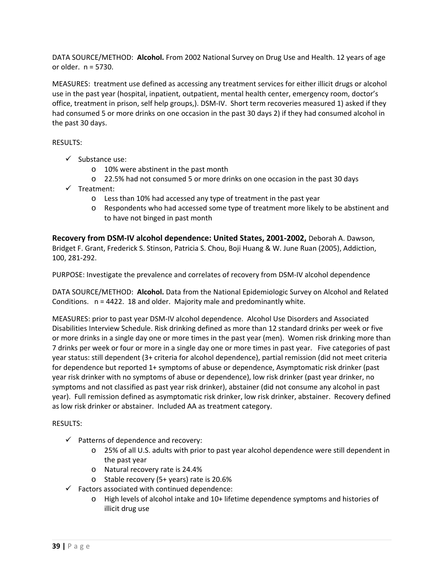DATA SOURCE/METHOD: **Alcohol.** From 2002 National Survey on Drug Use and Health. 12 years of age or older. n = 5730.

MEASURES: treatment use defined as accessing any treatment services for either illicit drugs or alcohol use in the past year (hospital, inpatient, outpatient, mental health center, emergency room, doctor's office, treatment in prison, self help groups,). DSM‐IV. Short term recoveries measured 1) asked if they had consumed 5 or more drinks on one occasion in the past 30 days 2) if they had consumed alcohol in the past 30 days.

## RESULTS:

- $\checkmark$  Substance use:
	- o 10% were abstinent in the past month
	- o 22.5% had not consumed 5 or more drinks on one occasion in the past 30 days
- $\checkmark$  Treatment:
	- o Less than 10% had accessed any type of treatment in the past year
	- o Respondents who had accessed some type of treatment more likely to be abstinent and to have not binged in past month

**Recovery from DSM‐IV alcohol dependence: United States, 2001‐2002,** Deborah A. Dawson, Bridget F. Grant, Frederick S. Stinson, Patricia S. Chou, Boji Huang & W. June Ruan (2005), Addiction, 100, 281‐292.

PURPOSE: Investigate the prevalence and correlates of recovery from DSM‐IV alcohol dependence

DATA SOURCE/METHOD: **Alcohol.** Data from the National Epidemiologic Survey on Alcohol and Related Conditions. n = 4422. 18 and older. Majority male and predominantly white.

MEASURES: prior to past year DSM‐IV alcohol dependence. Alcohol Use Disorders and Associated Disabilities Interview Schedule. Risk drinking defined as more than 12 standard drinks per week or five or more drinks in a single day one or more times in the past year (men). Women risk drinking more than 7 drinks per week or four or more in a single day one or more times in past year. Five categories of past year status: still dependent (3+ criteria for alcohol dependence), partial remission (did not meet criteria for dependence but reported 1+ symptoms of abuse or dependence, Asymptomatic risk drinker (past year risk drinker with no symptoms of abuse or dependence), low risk drinker (past year drinker, no symptoms and not classified as past year risk drinker), abstainer (did not consume any alcohol in past year). Full remission defined as asymptomatic risk drinker, low risk drinker, abstainer. Recovery defined as low risk drinker or abstainer. Included AA as treatment category.

- $\checkmark$  Patterns of dependence and recovery:
	- o 25% of all U.S. adults with prior to past year alcohol dependence were still dependent in the past year
	- o Natural recovery rate is 24.4%
	- o Stable recovery (5+ years) rate is 20.6%
- $\checkmark$  Factors associated with continued dependence:
	- o High levels of alcohol intake and 10+ lifetime dependence symptoms and histories of illicit drug use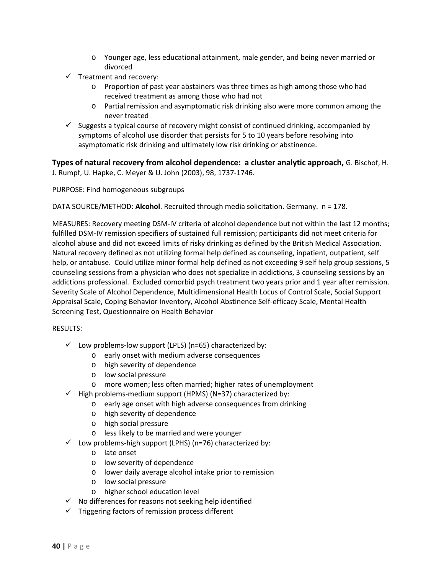- o Younger age, less educational attainment, male gender, and being never married or divorced
- $\checkmark$  Treatment and recovery:
	- o Proportion of past year abstainers was three times as high among those who had received treatment as among those who had not
	- o Partial remission and asymptomatic risk drinking also were more common among the never treated
- $\checkmark$  Suggests a typical course of recovery might consist of continued drinking, accompanied by symptoms of alcohol use disorder that persists for 5 to 10 years before resolving into asymptomatic risk drinking and ultimately low risk drinking or abstinence.

**Types of natural recovery from alcohol dependence: a cluster analytic approach,** G. Bischof, H. J. Rumpf, U. Hapke, C. Meyer & U. John (2003), 98, 1737‐1746.

PURPOSE: Find homogeneous subgroups

DATA SOURCE/METHOD: **Alcohol**. Recruited through media solicitation. Germany. n = 178.

MEASURES: Recovery meeting DSM‐IV criteria of alcohol dependence but not within the last 12 months; fulfilled DSM‐IV remission specifiers of sustained full remission; participants did not meet criteria for alcohol abuse and did not exceed limits of risky drinking as defined by the British Medical Association. Natural recovery defined as not utilizing formal help defined as counseling, inpatient, outpatient, self help, or antabuse. Could utilize minor formal help defined as not exceeding 9 self help group sessions, 5 counseling sessions from a physician who does not specialize in addictions, 3 counseling sessions by an addictions professional. Excluded comorbid psych treatment two years prior and 1 year after remission. Severity Scale of Alcohol Dependence, Multidimensional Health Locus of Control Scale, Social Support Appraisal Scale, Coping Behavior Inventory, Alcohol Abstinence Self‐efficacy Scale, Mental Health Screening Test, Questionnaire on Health Behavior

- $\checkmark$  Low problems-low support (LPLS) (n=65) characterized by:
	- o early onset with medium adverse consequences
	- o high severity of dependence
	- o low social pressure
	- o more women; less often married; higher rates of unemployment
- $\checkmark$  High problems-medium support (HPMS) (N=37) characterized by:
	- o early age onset with high adverse consequences from drinking
		- o high severity of dependence
		- o high social pressure
		- o less likely to be married and were younger
- $\checkmark$  Low problems-high support (LPHS) (n=76) characterized by:
	- o late onset
	- o low severity of dependence
	- o lower daily average alcohol intake prior to remission
	- o low social pressure
	- o higher school education level
- $\checkmark$  No differences for reasons not seeking help identified
- $\checkmark$  Triggering factors of remission process different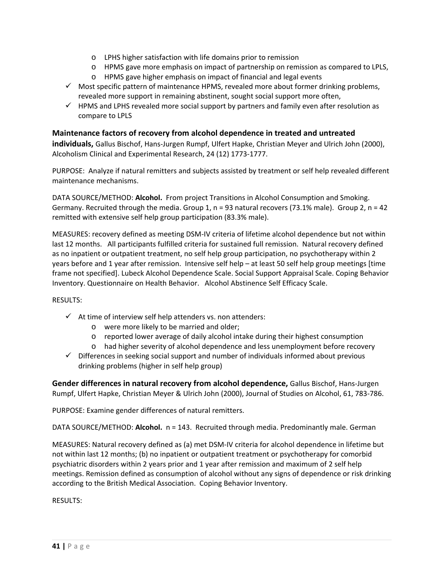- o LPHS higher satisfaction with life domains prior to remission
- o HPMS gave more emphasis on impact of partnership on remission as compared to LPLS,
- o HPMS gave higher emphasis on impact of financial and legal events
- $\checkmark$  Most specific pattern of maintenance HPMS, revealed more about former drinking problems, revealed more support in remaining abstinent, sought social support more often,
- $\checkmark$  HPMS and LPHS revealed more social support by partners and family even after resolution as compare to LPLS

## **Maintenance factors of recovery from alcohol dependence in treated and untreated**

**individuals,** Gallus Bischof, Hans‐Jurgen Rumpf, Ulfert Hapke, Christian Meyer and Ulrich John (2000), Alcoholism Clinical and Experimental Research, 24 (12) 1773‐1777.

PURPOSE: Analyze if natural remitters and subjects assisted by treatment or self help revealed different maintenance mechanisms.

DATA SOURCE/METHOD: Alcohol. From project Transitions in Alcohol Consumption and Smoking. Germany. Recruited through the media. Group 1,  $n = 93$  natural recovers (73.1% male). Group 2,  $n = 42$ remitted with extensive self help group participation (83.3% male).

MEASURES: recovery defined as meeting DSM‐IV criteria of lifetime alcohol dependence but not within last 12 months. All participants fulfilled criteria for sustained full remission. Natural recovery defined as no inpatient or outpatient treatment, no self help group participation, no psychotherapy within 2 years before and 1 year after remission. Intensive self help – at least 50 self help group meetings [time frame not specified]. Lubeck Alcohol Dependence Scale. Social Support Appraisal Scale. Coping Behavior Inventory. Questionnaire on Health Behavior. Alcohol Abstinence Self Efficacy Scale.

#### RESULTS:

- $\checkmark$  At time of interview self help attenders vs. non attenders:
	- o were more likely to be married and older;
	- o reported lower average of daily alcohol intake during their highest consumption
	- o had higher severity of alcohol dependence and less unemployment before recovery
- $\checkmark$  Differences in seeking social support and number of individuals informed about previous drinking problems (higher in self help group)

**Gender differences in natural recovery from alcohol dependence,** Gallus Bischof, Hans‐Jurgen Rumpf, Ulfert Hapke, Christian Meyer & Ulrich John (2000), Journal of Studies on Alcohol, 61, 783‐786.

PURPOSE: Examine gender differences of natural remitters.

DATA SOURCE/METHOD: Alcohol. n = 143. Recruited through media. Predominantly male. German

MEASURES: Natural recovery defined as (a) met DSM‐IV criteria for alcohol dependence in lifetime but not within last 12 months; (b) no inpatient or outpatient treatment or psychotherapy for comorbid psychiatric disorders within 2 years prior and 1 year after remission and maximum of 2 self help meetings. Remission defined as consumption of alcohol without any signs of dependence or risk drinking according to the British Medical Association. Coping Behavior Inventory.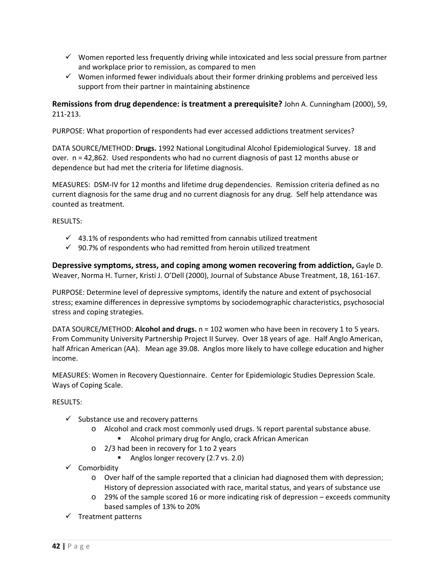- $\checkmark$  Women reported less frequently driving while intoxicated and less social pressure from partner and workplace prior to remission, as compared to men
- $\checkmark$  Women informed fewer individuals about their former drinking problems and perceived less support from their partner in maintaining abstinence

## **Remissions from drug dependence: is treatment a prerequisite?** John A. Cunningham (2000), 59, 211‐213.

PURPOSE: What proportion of respondents had ever accessed addictions treatment services?

DATA SOURCE/METHOD: **Drugs.** 1992 National Longitudinal Alcohol Epidemiological Survey. 18 and over. n = 42,862. Used respondents who had no current diagnosis of past 12 months abuse or dependence but had met the criteria for lifetime diagnosis.

MEASURES: DSM‐IV for 12 months and lifetime drug dependencies. Remission criteria defined as no current diagnosis for the same drug and no current diagnosis for any drug. Self help attendance was counted as treatment.

RESULTS:

- $\checkmark$  43.1% of respondents who had remitted from cannabis utilized treatment
- $\checkmark$  90.7% of respondents who had remitted from heroin utilized treatment

**Depressive symptoms, stress, and coping among women recovering from addiction,** Gayle D. Weaver, Norma H. Turner, Kristi J. O'Dell (2000), Journal of Substance Abuse Treatment, 18, 161‐167.

PURPOSE: Determine level of depressive symptoms, identify the nature and extent of psychosocial stress; examine differences in depressive symptoms by sociodemographic characteristics, psychosocial stress and coping strategies.

DATA SOURCE/METHOD: **Alcohol and drugs.** n = 102 women who have been in recovery 1 to 5 years. From Community University Partnership Project II Survey. Over 18 years of age. Half Anglo American, half African American (AA). Mean age 39.08. Anglos more likely to have college education and higher income.

MEASURES: Women in Recovery Questionnaire. Center for Epidemiologic Studies Depression Scale. Ways of Coping Scale.

- $\checkmark$  Substance use and recovery patterns
	- o Alcohol and crack most commonly used drugs. ¾ report parental substance abuse.
		- **Alcohol primary drug for Anglo, crack African American**
	- o 2/3 had been in recovery for 1 to 2 years
		- Anglos longer recovery (2.7 vs. 2.0)
- $\checkmark$  Comorbidity
	- o Over half of the sample reported that a clinician had diagnosed them with depression; History of depression associated with race, marital status, and years of substance use
	- o 29% of the sample scored 16 or more indicating risk of depression exceeds community based samples of 13% to 20%
- $\checkmark$  Treatment patterns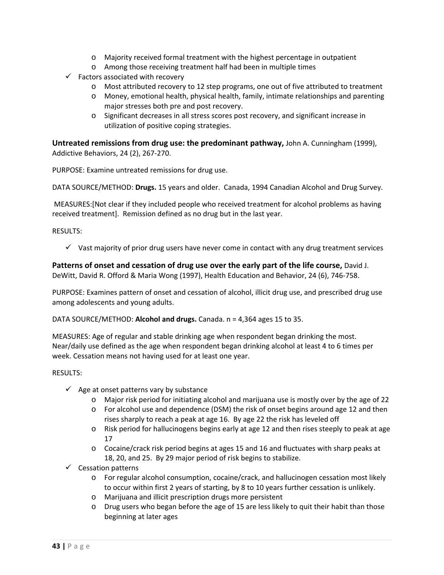- o Majority received formal treatment with the highest percentage in outpatient
- o Among those receiving treatment half had been in multiple times
- $\checkmark$  Factors associated with recovery
	- o Most attributed recovery to 12 step programs, one out of five attributed to treatment
	- o Money, emotional health, physical health, family, intimate relationships and parenting major stresses both pre and post recovery.
	- o Significant decreases in all stress scores post recovery, and significant increase in utilization of positive coping strategies.

**Untreated remissions from drug use: the predominant pathway,** John A. Cunningham (1999), Addictive Behaviors, 24 (2), 267‐270.

PURPOSE: Examine untreated remissions for drug use.

DATA SOURCE/METHOD: **Drugs.** 15 years and older. Canada, 1994 Canadian Alcohol and Drug Survey.

MEASURES:[Not clear if they included people who received treatment for alcohol problems as having received treatment]. Remission defined as no drug but in the last year.

RESULTS:

 $\checkmark$  Vast majority of prior drug users have never come in contact with any drug treatment services

**Patterns of onset and cessation of drug use over the early part of the life course,** David J. DeWitt, David R. Offord & Maria Wong (1997), Health Education and Behavior, 24 (6), 746‐758.

PURPOSE: Examines pattern of onset and cessation of alcohol, illicit drug use, and prescribed drug use among adolescents and young adults.

DATA SOURCE/METHOD: **Alcohol and drugs.** Canada. n = 4,364 ages 15 to 35.

MEASURES: Age of regular and stable drinking age when respondent began drinking the most. Near/daily use defined as the age when respondent began drinking alcohol at least 4 to 6 times per week. Cessation means not having used for at least one year.

- $\checkmark$  Age at onset patterns vary by substance
	- o Major risk period for initiating alcohol and marijuana use is mostly over by the age of 22
	- o For alcohol use and dependence (DSM) the risk of onset begins around age 12 and then rises sharply to reach a peak at age 16. By age 22 the risk has leveled off
	- o Risk period for hallucinogens begins early at age 12 and then rises steeply to peak at age 17
	- o Cocaine/crack risk period begins at ages 15 and 16 and fluctuates with sharp peaks at 18, 20, and 25. By 29 major period of risk begins to stabilize.
- $\checkmark$  Cessation patterns
	- o For regular alcohol consumption, cocaine/crack, and hallucinogen cessation most likely to occur within first 2 years of starting, by 8 to 10 years further cessation is unlikely.
	- o Marijuana and illicit prescription drugs more persistent
	- o Drug users who began before the age of 15 are less likely to quit their habit than those beginning at later ages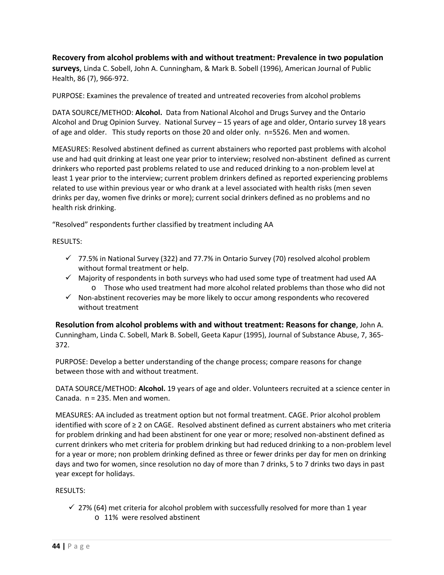## **Recovery from alcohol problems with and without treatment: Prevalence in two population surveys**, Linda C. Sobell, John A. Cunningham, & Mark B. Sobell (1996), American Journal of Public

Health, 86 (7), 966‐972.

PURPOSE: Examines the prevalence of treated and untreated recoveries from alcohol problems

DATA SOURCE/METHOD: **Alcohol.** Data from National Alcohol and Drugs Survey and the Ontario Alcohol and Drug Opinion Survey. National Survey – 15 years of age and older, Ontario survey 18 years of age and older. This study reports on those 20 and older only. n=5526. Men and women.

MEASURES: Resolved abstinent defined as current abstainers who reported past problems with alcohol use and had quit drinking at least one year prior to interview; resolved non‐abstinent defined as current drinkers who reported past problems related to use and reduced drinking to a non‐problem level at least 1 year prior to the interview; current problem drinkers defined as reported experiencing problems related to use within previous year or who drank at a level associated with health risks (men seven drinks per day, women five drinks or more); current social drinkers defined as no problems and no health risk drinking.

"Resolved" respondents further classified by treatment including AA

## RESULTS:

- $\checkmark$  77.5% in National Survey (322) and 77.7% in Ontario Survey (70) resolved alcohol problem without formal treatment or help.
- $\checkmark$  Majority of respondents in both surveys who had used some type of treatment had used AA o Those who used treatment had more alcohol related problems than those who did not
- $\checkmark$  Non-abstinent recoveries may be more likely to occur among respondents who recovered without treatment

**Resolution from alcohol problems with and without treatment: Reasons for change**, John A. Cunningham, Linda C. Sobell, Mark B. Sobell, Geeta Kapur (1995), Journal of Substance Abuse, 7, 365‐ 372.

PURPOSE: Develop a better understanding of the change process; compare reasons for change between those with and without treatment.

DATA SOURCE/METHOD: **Alcohol.** 19 years of age and older. Volunteers recruited at a science center in Canada. n = 235. Men and women.

MEASURES: AA included as treatment option but not formal treatment. CAGE. Prior alcohol problem identified with score of ≥ 2 on CAGE. Resolved abstinent defined as current abstainers who met criteria for problem drinking and had been abstinent for one year or more; resolved non-abstinent defined as current drinkers who met criteria for problem drinking but had reduced drinking to a non‐problem level for a year or more; non problem drinking defined as three or fewer drinks per day for men on drinking days and two for women, since resolution no day of more than 7 drinks, 5 to 7 drinks two days in past year except for holidays.

## RESULTS:

 $\checkmark$  27% (64) met criteria for alcohol problem with successfully resolved for more than 1 year o 11% were resolved abstinent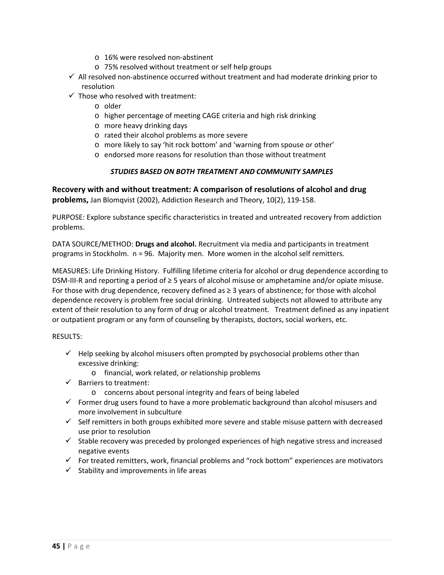- o 16% were resolved non‐abstinent
- o 75% resolved without treatment or self help groups
- $\checkmark$  All resolved non-abstinence occurred without treatment and had moderate drinking prior to resolution
- $\checkmark$  Those who resolved with treatment:
	- o older
	- o higher percentage of meeting CAGE criteria and high risk drinking
	- o more heavy drinking days
	- o rated their alcohol problems as more severe
	- o more likely to say 'hit rock bottom' and 'warning from spouse or other'
	- o endorsed more reasons for resolution than those without treatment

## *STUDIES BASED ON BOTH TREATMENT AND COMMUNITY SAMPLES*

**Recovery with and without treatment: A comparison of resolutions of alcohol and drug problems,** Jan Blomqvist (2002), Addiction Research and Theory, 10(2), 119‐158.

PURPOSE: Explore substance specific characteristics in treated and untreated recovery from addiction problems.

DATA SOURCE/METHOD: **Drugs and alcohol.** Recruitment via media and participants in treatment programs in Stockholm. n = 96. Majority men. More women in the alcohol self remitters.

MEASURES: Life Drinking History. Fulfilling lifetime criteria for alcohol or drug dependence according to DSM‐III‐R and reporting a period of ≥ 5 years of alcohol misuse or amphetamine and/or opiate misuse. For those with drug dependence, recovery defined as ≥ 3 years of abstinence; for those with alcohol dependence recovery is problem free social drinking. Untreated subjects not allowed to attribute any extent of their resolution to any form of drug or alcohol treatment. Treatment defined as any inpatient or outpatient program or any form of counseling by therapists, doctors, social workers, etc.

- $\checkmark$  Help seeking by alcohol misusers often prompted by psychosocial problems other than excessive drinking:
	- o financial, work related, or relationship problems
- $\checkmark$  Barriers to treatment:
	- o concerns about personal integrity and fears of being labeled
- $\checkmark$  Former drug users found to have a more problematic background than alcohol misusers and more involvement in subculture
- $\checkmark$  Self remitters in both groups exhibited more severe and stable misuse pattern with decreased use prior to resolution
- $\checkmark$  Stable recovery was preceded by prolonged experiences of high negative stress and increased negative events
- $\checkmark$  For treated remitters, work, financial problems and "rock bottom" experiences are motivators
- $\checkmark$  Stability and improvements in life areas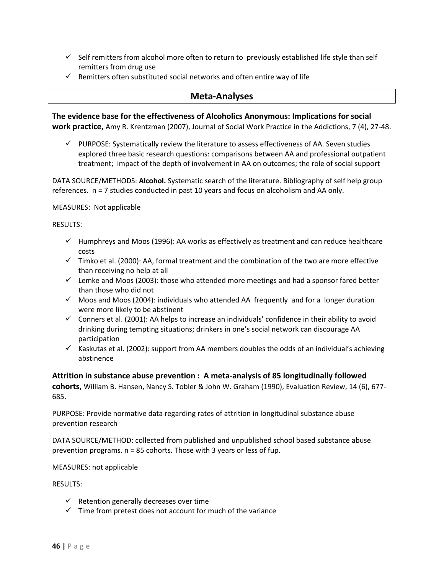- $\checkmark$  Self remitters from alcohol more often to return to previously established life style than self remitters from drug use
- $\checkmark$  Remitters often substituted social networks and often entire way of life

## **Meta‐Analyses**

**The evidence base for the effectiveness of Alcoholics Anonymous: Implications for social work practice,** Amy R. Krentzman (2007), Journal of Social Work Practice in the Addictions, 7 (4), 27‐48.

 $\checkmark$  PURPOSE: Systematically review the literature to assess effectiveness of AA. Seven studies explored three basic research questions: comparisons between AA and professional outpatient treatment; impact of the depth of involvement in AA on outcomes; the role of social support

DATA SOURCE/METHODS: **Alcohol.** Systematic search of the literature. Bibliography of self help group references. n = 7 studies conducted in past 10 years and focus on alcoholism and AA only.

MEASURES: Not applicable

RESULTS:

- $\checkmark$  Humphreys and Moos (1996): AA works as effectively as treatment and can reduce healthcare costs
- $\checkmark$  Timko et al. (2000): AA, formal treatment and the combination of the two are more effective than receiving no help at all
- $\checkmark$  Lemke and Moos (2003): those who attended more meetings and had a sponsor fared better than those who did not
- $\checkmark$  Moos and Moos (2004): individuals who attended AA frequently and for a longer duration were more likely to be abstinent
- $\checkmark$  Conners et al. (2001): AA helps to increase an individuals' confidence in their ability to avoid drinking during tempting situations; drinkers in one's social network can discourage AA participation
- $\checkmark$  Kaskutas et al. (2002): support from AA members doubles the odds of an individual's achieving abstinence

**Attrition in substance abuse prevention : A meta‐analysis of 85 longitudinally followed cohorts,** William B. Hansen, Nancy S. Tobler & John W. Graham (1990), Evaluation Review, 14 (6), 677‐ 685.

PURPOSE: Provide normative data regarding rates of attrition in longitudinal substance abuse prevention research

DATA SOURCE/METHOD: collected from published and unpublished school based substance abuse prevention programs. n = 85 cohorts. Those with 3 years or less of fup.

MEASURES: not applicable

- $\checkmark$  Retention generally decreases over time
- $\checkmark$  Time from pretest does not account for much of the variance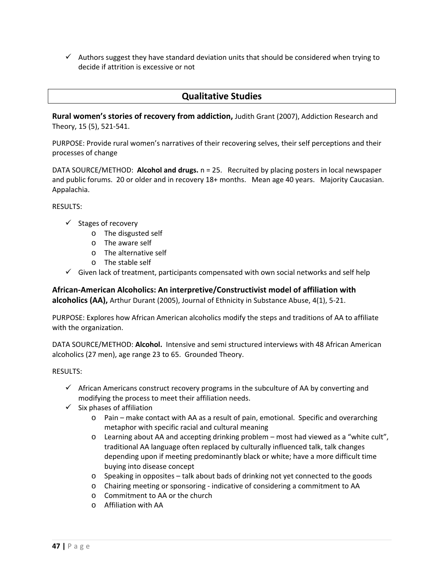$\checkmark$  Authors suggest they have standard deviation units that should be considered when trying to decide if attrition is excessive or not

## **Qualitative Studies**

**Rural women's stories of recovery from addiction,** Judith Grant (2007), Addiction Research and Theory, 15 (5), 521‐541.

PURPOSE: Provide rural women's narratives of their recovering selves, their self perceptions and their processes of change

DATA SOURCE/METHOD: **Alcohol and drugs.** n = 25. Recruited by placing posters in local newspaper and public forums. 20 or older and in recovery 18+ months. Mean age 40 years. Majority Caucasian. Appalachia.

RESULTS:

- $\checkmark$  Stages of recovery
	- o The disgusted self
	- o The aware self
	- o The alternative self
	- o The stable self
- $\checkmark$  Given lack of treatment, participants compensated with own social networks and self help

**African‐American Alcoholics: An interpretive/Constructivist model of affiliation with alcoholics (AA),** Arthur Durant (2005), Journal of Ethnicity in Substance Abuse, 4(1), 5‐21.

PURPOSE: Explores how African American alcoholics modify the steps and traditions of AA to affiliate with the organization.

DATA SOURCE/METHOD: **Alcohol.** Intensive and semi structured interviews with 48 African American alcoholics (27 men), age range 23 to 65. Grounded Theory.

- $\checkmark$  African Americans construct recovery programs in the subculture of AA by converting and modifying the process to meet their affiliation needs.
- $\checkmark$  Six phases of affiliation
	- o Pain make contact with AA as a result of pain, emotional. Specific and overarching metaphor with specific racial and cultural meaning
	- o Learning about AA and accepting drinking problem most had viewed as a "white cult", traditional AA language often replaced by culturally influenced talk, talk changes depending upon if meeting predominantly black or white; have a more difficult time buying into disease concept
	- o Speaking in opposites talk about bads of drinking not yet connected to the goods
	- o Chairing meeting or sponsoring ‐ indicative of considering a commitment to AA
	- o Commitment to AA or the church
	- o Affiliation with AA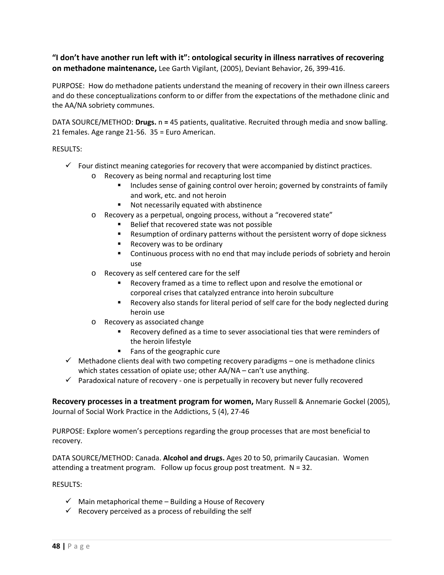## **"I don't have another run left with it": ontological security in illness narratives of recovering on methadone maintenance,** Lee Garth Vigilant, (2005), Deviant Behavior, 26, 399‐416.

PURPOSE: How do methadone patients understand the meaning of recovery in their own illness careers and do these conceptualizations conform to or differ from the expectations of the methadone clinic and the AA/NA sobriety communes.

DATA SOURCE/METHOD: **Drugs.** n **=** 45 patients, qualitative. Recruited through media and snow balling. 21 females. Age range 21‐56. 35 = Euro American.

RESULTS:

- $\checkmark$  Four distinct meaning categories for recovery that were accompanied by distinct practices.
	- o Recovery as being normal and recapturing lost time
		- **Includes sense of gaining control over heroin; governed by constraints of family** and work, etc. and not heroin
		- Not necessarily equated with abstinence
	- o Recovery as a perpetual, ongoing process, without a "recovered state"
		- Belief that recovered state was not possible
		- Resumption of ordinary patterns without the persistent worry of dope sickness
		- Recovery was to be ordinary
		- Continuous process with no end that may include periods of sobriety and heroin use
	- o Recovery as self centered care for the self
		- Recovery framed as a time to reflect upon and resolve the emotional or corporeal crises that catalyzed entrance into heroin subculture
		- Recovery also stands for literal period of self care for the body neglected during heroin use
	- o Recovery as associated change
		- Recovery defined as a time to sever associational ties that were reminders of the heroin lifestyle
		- **Fans of the geographic cure**
- $\checkmark$  Methadone clients deal with two competing recovery paradigms one is methadone clinics which states cessation of opiate use; other AA/NA – can't use anything.
- $\checkmark$  Paradoxical nature of recovery one is perpetually in recovery but never fully recovered

**Recovery processes in a treatment program for women,** Mary Russell & Annemarie Gockel (2005), Journal of Social Work Practice in the Addictions, 5 (4), 27‐46

PURPOSE: Explore women's perceptions regarding the group processes that are most beneficial to recovery.

DATA SOURCE/METHOD: Canada. **Alcohol and drugs.** Ages 20 to 50, primarily Caucasian. Women attending a treatment program. Follow up focus group post treatment.  $N = 32$ .

- $\checkmark$  Main metaphorical theme Building a House of Recovery
- $\checkmark$  Recovery perceived as a process of rebuilding the self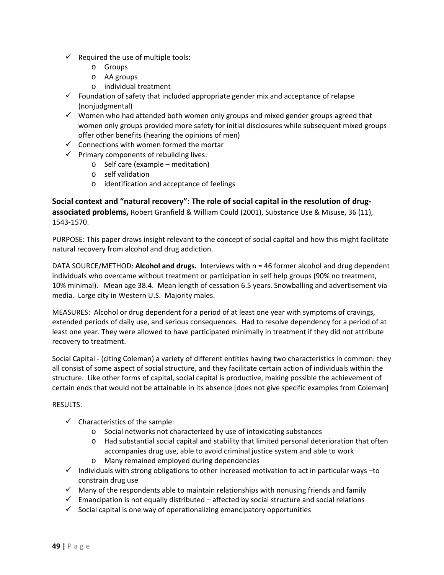- $\checkmark$  Required the use of multiple tools:
	- o Groups
	- o AA groups
	- o individual treatment
- $\checkmark$  Foundation of safety that included appropriate gender mix and acceptance of relapse (nonjudgmental)
- $\checkmark$  Women who had attended both women only groups and mixed gender groups agreed that women only groups provided more safety for initial disclosures while subsequent mixed groups offer other benefits (hearing the opinions of men)
- $\checkmark$  Connections with women formed the mortar
- $\checkmark$  Primary components of rebuilding lives:
	- o Self care (example meditation)
	- o self validation
	- o identification and acceptance of feelings

**Social context and "natural recovery": The role of social capital in the resolution of drug‐ associated problems,** Robert Granfield & William Could (2001), Substance Use & Misuse, 36 (11), 1543‐1570.

PURPOSE: This paper draws insight relevant to the concept of social capital and how this might facilitate natural recovery from alcohol and drug addiction.

DATA SOURCE/METHOD: **Alcohol and drugs.** Interviews with n = 46 former alcohol and drug dependent individuals who overcame without treatment or participation in self help groups (90% no treatment, 10% minimal). Mean age 38.4. Mean length of cessation 6.5 years. Snowballing and advertisement via media. Large city in Western U.S. Majority males.

MEASURES: Alcohol or drug dependent for a period of at least one year with symptoms of cravings, extended periods of daily use, and serious consequences. Had to resolve dependency for a period of at least one year. They were allowed to have participated minimally in treatment if they did not attribute recovery to treatment.

Social Capital ‐ (citing Coleman) a variety of different entities having two characteristics in common: they all consist of some aspect of social structure, and they facilitate certain action of individuals within the structure. Like other forms of capital, social capital is productive, making possible the achievement of certain ends that would not be attainable in its absence [does not give specific examples from Coleman]

- $\checkmark$  Characteristics of the sample:
	- o Social networks not characterized by use of intoxicating substances
	- o Had substantial social capital and stability that limited personal deterioration that often accompanies drug use, able to avoid criminal justice system and able to work
	- o Many remained employed during dependencies
- $\checkmark$  Individuals with strong obligations to other increased motivation to act in particular ways -to constrain drug use
- $\checkmark$  Many of the respondents able to maintain relationships with nonusing friends and family
- $\checkmark$  Emancipation is not equally distributed affected by social structure and social relations
- $\checkmark$  Social capital is one way of operationalizing emancipatory opportunities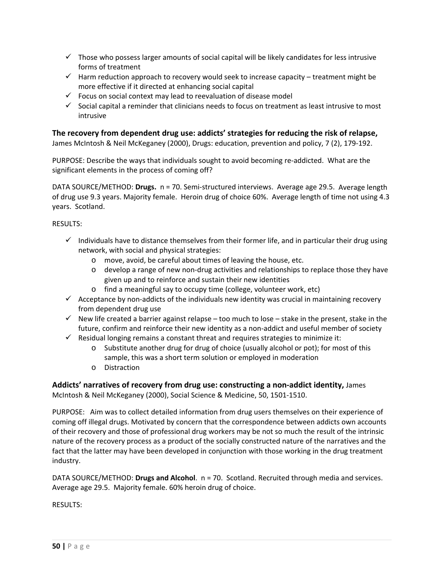- $\checkmark$  Those who possess larger amounts of social capital will be likely candidates for less intrusive forms of treatment
- $\checkmark$  Harm reduction approach to recovery would seek to increase capacity treatment might be more effective if it directed at enhancing social capital
- $\checkmark$  Focus on social context may lead to reevaluation of disease model
- $\checkmark$  Social capital a reminder that clinicians needs to focus on treatment as least intrusive to most intrusive

## **The recovery from dependent drug use: addicts' strategies for reducing the risk of relapse,**

James McIntosh & Neil McKeganey (2000), Drugs: education, prevention and policy, 7 (2), 179‐192.

PURPOSE: Describe the ways that individuals sought to avoid becoming re‐addicted. What are the significant elements in the process of coming off?

DATA SOURCE/METHOD: **Drugs.** n = 70. Semi‐structured interviews. Average age 29.5. Average length of drug use 9.3 years. Majority female. Heroin drug of choice 60%. Average length of time not using 4.3 years. Scotland.

RESULTS:

- $\checkmark$  Individuals have to distance themselves from their former life, and in particular their drug using network, with social and physical strategies:
	- o move, avoid, be careful about times of leaving the house, etc.
	- o develop a range of new non‐drug activities and relationships to replace those they have given up and to reinforce and sustain their new identities
	- o find a meaningful say to occupy time (college, volunteer work, etc)
- $\checkmark$  Acceptance by non-addicts of the individuals new identity was crucial in maintaining recovery from dependent drug use
- $\checkmark$  New life created a barrier against relapse too much to lose stake in the present, stake in the future, confirm and reinforce their new identity as a non-addict and useful member of society
- $\checkmark$  Residual longing remains a constant threat and requires strategies to minimize it:
	- o Substitute another drug for drug of choice (usually alcohol or pot); for most of this sample, this was a short term solution or employed in moderation
	- o Distraction

**Addicts' narratives of recovery from drug use: constructing a non‐addict identity,** James McIntosh & Neil McKeganey (2000), Social Science & Medicine, 50, 1501‐1510.

PURPOSE: Aim was to collect detailed information from drug users themselves on their experience of coming off illegal drugs. Motivated by concern that the correspondence between addicts own accounts of their recovery and those of professional drug workers may be not so much the result of the intrinsic nature of the recovery process as a product of the socially constructed nature of the narratives and the fact that the latter may have been developed in conjunction with those working in the drug treatment industry.

DATA SOURCE/METHOD: **Drugs and Alcohol**. n = 70. Scotland. Recruited through media and services. Average age 29.5. Majority female. 60% heroin drug of choice.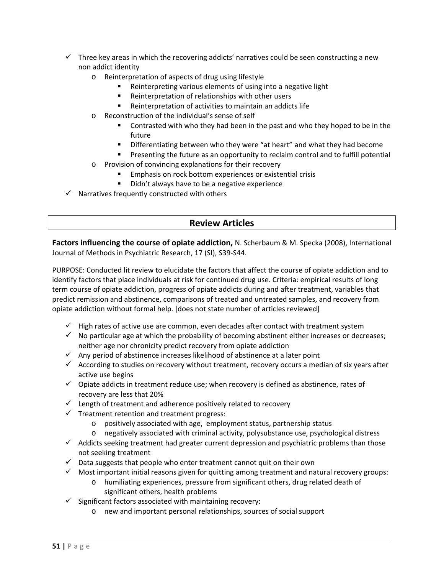- $\checkmark$  Three key areas in which the recovering addicts' narratives could be seen constructing a new non addict identity
	- o Reinterpretation of aspects of drug using lifestyle
		- Reinterpreting various elements of using into a negative light
		- Reinterpretation of relationships with other users
		- Reinterpretation of activities to maintain an addicts life
	- o Reconstruction of the individual's sense of self
		- Contrasted with who they had been in the past and who they hoped to be in the future
		- Differentiating between who they were "at heart" and what they had become
	- **Presenting the future as an opportunity to reclaim control and to fulfill potential** o Provision of convincing explanations for their recovery
		- Emphasis on rock bottom experiences or existential crisis
		- Didn't always have to be a negative experience
- $\checkmark$  Narratives frequently constructed with others

## **Review Articles**

**Factors influencing the course of opiate addiction,** N. Scherbaum & M. Specka (2008), International Journal of Methods in Psychiatric Research, 17 (SI), S39‐S44.

PURPOSE: Conducted lit review to elucidate the factors that affect the course of opiate addiction and to identify factors that place individuals at risk for continued drug use. Criteria: empirical results of long term course of opiate addiction, progress of opiate addicts during and after treatment, variables that predict remission and abstinence, comparisons of treated and untreated samples, and recovery from opiate addiction without formal help. [does not state number of articles reviewed]

- $\checkmark$  High rates of active use are common, even decades after contact with treatment system
- $\checkmark$  No particular age at which the probability of becoming abstinent either increases or decreases; neither age nor chronicity predict recovery from opiate addiction
- $\checkmark$  Any period of abstinence increases likelihood of abstinence at a later point
- $\checkmark$  According to studies on recovery without treatment, recovery occurs a median of six years after active use begins
- $\checkmark$  Opiate addicts in treatment reduce use; when recovery is defined as abstinence, rates of recovery are less that 20%
- $\checkmark$  Length of treatment and adherence positively related to recovery
- $\checkmark$  Treatment retention and treatment progress:
	- o positively associated with age, employment status, partnership status
	- o negatively associated with criminal activity, polysubstance use, psychological distress
- $\checkmark$  Addicts seeking treatment had greater current depression and psychiatric problems than those not seeking treatment
- $\checkmark$  Data suggests that people who enter treatment cannot quit on their own
- $\checkmark$  Most important initial reasons given for quitting among treatment and natural recovery groups:
	- o humiliating experiences, pressure from significant others, drug related death of significant others, health problems
- $\checkmark$  Significant factors associated with maintaining recovery:
	- o new and important personal relationships, sources of social support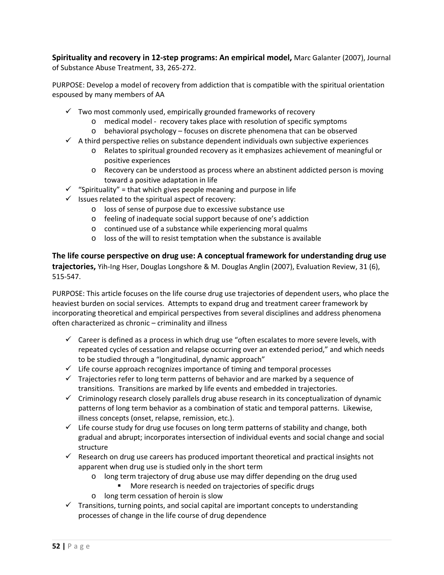**Spirituality and recovery in 12‐step programs: An empirical model,** Marc Galanter (2007), Journal of Substance Abuse Treatment, 33, 265‐272.

PURPOSE: Develop a model of recovery from addiction that is compatible with the spiritual orientation espoused by many members of AA

- $\checkmark$  Two most commonly used, empirically grounded frameworks of recovery
	- o medical model ‐ recovery takes place with resolution of specific symptoms
	- o behavioral psychology focuses on discrete phenomena that can be observed
- $\checkmark$  A third perspective relies on substance dependent individuals own subjective experiences
	- o Relates to spiritual grounded recovery as it emphasizes achievement of meaningful or positive experiences
	- o Recovery can be understood as process where an abstinent addicted person is moving toward a positive adaptation in life
- $\checkmark$  "Spirituality" = that which gives people meaning and purpose in life
- $\checkmark$  Issues related to the spiritual aspect of recovery:
	- o loss of sense of purpose due to excessive substance use
	- o feeling of inadequate social support because of one's addiction
	- o continued use of a substance while experiencing moral qualms
	- o loss of the will to resist temptation when the substance is available

**The life course perspective on drug use: A conceptual framework for understanding drug use trajectories,** Yih‐Ing Hser, Douglas Longshore & M. Douglas Anglin (2007), Evaluation Review, 31 (6), 515‐547.

PURPOSE: This article focuses on the life course drug use trajectories of dependent users, who place the heaviest burden on social services. Attempts to expand drug and treatment career framework by incorporating theoretical and empirical perspectives from several disciplines and address phenomena often characterized as chronic – criminality and illness

- $\checkmark$  Career is defined as a process in which drug use "often escalates to more severe levels, with repeated cycles of cessation and relapse occurring over an extended period," and which needs to be studied through a "longitudinal, dynamic approach"
- $\checkmark$  Life course approach recognizes importance of timing and temporal processes
- $\checkmark$  Trajectories refer to long term patterns of behavior and are marked by a sequence of transitions. Transitions are marked by life events and embedded in trajectories.
- $\checkmark$  Criminology research closely parallels drug abuse research in its conceptualization of dynamic patterns of long term behavior as a combination of static and temporal patterns. Likewise, illness concepts (onset, relapse, remission, etc.).
- $\checkmark$  Life course study for drug use focuses on long term patterns of stability and change, both gradual and abrupt; incorporates intersection of individual events and social change and social structure
- $\checkmark$  Research on drug use careers has produced important theoretical and practical insights not apparent when drug use is studied only in the short term
	- o long term trajectory of drug abuse use may differ depending on the drug used
		- **More research is needed on trajectories of specific drugs**
	- o long term cessation of heroin is slow
- $\checkmark$  Transitions, turning points, and social capital are important concepts to understanding processes of change in the life course of drug dependence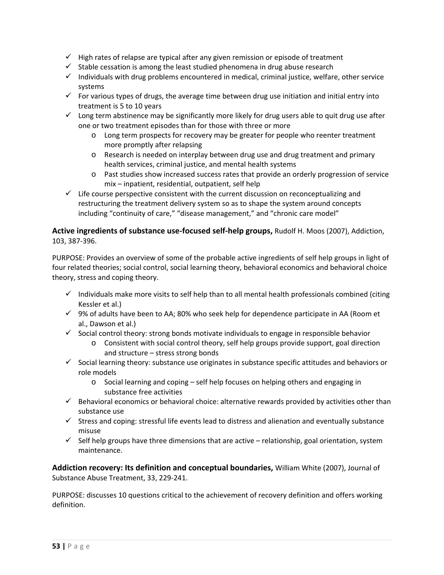- $\checkmark$  High rates of relapse are typical after any given remission or episode of treatment
- $\checkmark$  Stable cessation is among the least studied phenomena in drug abuse research
- $\checkmark$  Individuals with drug problems encountered in medical, criminal justice, welfare, other service systems
- $\checkmark$  For various types of drugs, the average time between drug use initiation and initial entry into treatment is 5 to 10 years
- $\checkmark$  Long term abstinence may be significantly more likely for drug users able to quit drug use after one or two treatment episodes than for those with three or more
	- o Long term prospects for recovery may be greater for people who reenter treatment more promptly after relapsing
	- o Research is needed on interplay between drug use and drug treatment and primary health services, criminal justice, and mental health systems
	- o Past studies show increased success rates that provide an orderly progression of service mix – inpatient, residential, outpatient, self help
- $\checkmark$  Life course perspective consistent with the current discussion on reconceptualizing and restructuring the treatment delivery system so as to shape the system around concepts including "continuity of care," "disease management," and "chronic care model"

## **Active ingredients of substance use‐focused self‐help groups,** Rudolf H. Moos (2007), Addiction, 103, 387‐396.

PURPOSE: Provides an overview of some of the probable active ingredients of self help groups in light of four related theories; social control, social learning theory, behavioral economics and behavioral choice theory, stress and coping theory.

- $\checkmark$  Individuals make more visits to self help than to all mental health professionals combined (citing Kessler et al.)
- $\checkmark$  9% of adults have been to AA; 80% who seek help for dependence participate in AA (Room et al., Dawson et al.)
- $\checkmark$  Social control theory: strong bonds motivate individuals to engage in responsible behavior
	- o Consistent with social control theory, self help groups provide support, goal direction and structure – stress strong bonds
- $\checkmark$  Social learning theory: substance use originates in substance specific attitudes and behaviors or role models
	- o Social learning and coping self help focuses on helping others and engaging in substance free activities
- $\checkmark$  Behavioral economics or behavioral choice: alternative rewards provided by activities other than substance use
- $\checkmark$  Stress and coping: stressful life events lead to distress and alienation and eventually substance misuse
- $\checkmark$  Self help groups have three dimensions that are active relationship, goal orientation, system maintenance.

**Addiction recovery: Its definition and conceptual boundaries,** William White (2007), Journal of Substance Abuse Treatment, 33, 229‐241.

PURPOSE: discusses 10 questions critical to the achievement of recovery definition and offers working definition.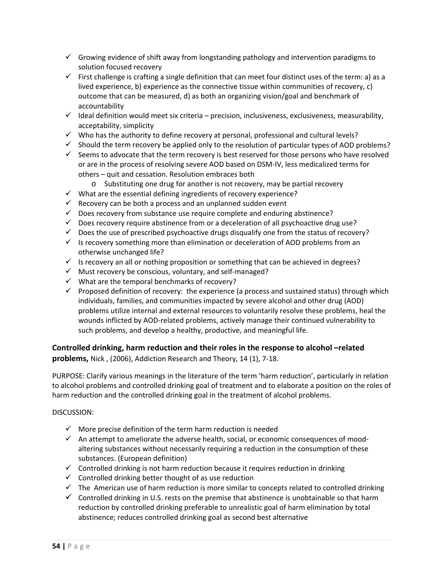- $\checkmark$  Growing evidence of shift away from longstanding pathology and intervention paradigms to solution focused recovery
- $\checkmark$  First challenge is crafting a single definition that can meet four distinct uses of the term: a) as a lived experience, b) experience as the connective tissue within communities of recovery, c) outcome that can be measured, d) as both an organizing vision/goal and benchmark of accountability
- $\checkmark$  Ideal definition would meet six criteria precision, inclusiveness, exclusiveness, measurability, acceptability, simplicity
- $\checkmark$  Who has the authority to define recovery at personal, professional and cultural levels?
- $\checkmark$  Should the term recovery be applied only to the resolution of particular types of AOD problems?
- $\checkmark$  Seems to advocate that the term recovery is best reserved for those persons who have resolved or are in the process of resolving severe AOD based on DSM‐IV, less medicalized terms for others – quit and cessation. Resolution embraces both
	- o Substituting one drug for another is not recovery, may be partial recovery
- $\checkmark$  What are the essential defining ingredients of recovery experience?
- $\checkmark$  Recovery can be both a process and an unplanned sudden event
- $\checkmark$  Does recovery from substance use require complete and enduring abstinence?
- $\checkmark$  Does recovery require abstinence from or a deceleration of all psychoactive drug use?
- $\checkmark$  Does the use of prescribed psychoactive drugs disqualify one from the status of recovery?
- $\checkmark$  Is recovery something more than elimination or deceleration of AOD problems from an otherwise unchanged life?
- $\checkmark$  Is recovery an all or nothing proposition or something that can be achieved in degrees?
- $\checkmark$  Must recovery be conscious, voluntary, and self-managed?
- $\checkmark$  What are the temporal benchmarks of recovery?
- $\checkmark$  Proposed definition of recovery: the experience (a process and sustained status) through which individuals, families, and communities impacted by severe alcohol and other drug (AOD) problems utilize internal and external resources to voluntarily resolve these problems, heal the wounds inflicted by AOD‐related problems, actively manage their continued vulnerability to such problems, and develop a healthy, productive, and meaningful life.

**Controlled drinking, harm reduction and their roles in the response to alcohol –related problems,** Nick , (2006), Addiction Research and Theory, 14 (1), 7‐18.

PURPOSE: Clarify various meanings in the literature of the term 'harm reduction', particularly in relation to alcohol problems and controlled drinking goal of treatment and to elaborate a position on the roles of harm reduction and the controlled drinking goal in the treatment of alcohol problems.

#### DISCUSSION:

- $\checkmark$  More precise definition of the term harm reduction is needed
- $\checkmark$  An attempt to ameliorate the adverse health, social, or economic consequences of moodaltering substances without necessarily requiring a reduction in the consumption of these substances. (European definition)
- $\checkmark$  Controlled drinking is not harm reduction because it requires reduction in drinking
- $\checkmark$  Controlled drinking better thought of as use reduction
- $\checkmark$  The American use of harm reduction is more similar to concepts related to controlled drinking
- $\checkmark$  Controlled drinking in U.S. rests on the premise that abstinence is unobtainable so that harm reduction by controlled drinking preferable to unrealistic goal of harm elimination by total abstinence; reduces controlled drinking goal as second best alternative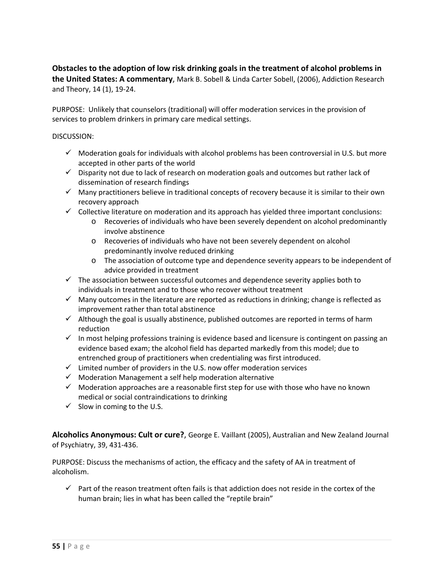**Obstacles to the adoption of low risk drinking goals in the treatment of alcohol problems in the United States: A commentary**, Mark B. Sobell & Linda Carter Sobell, (2006), Addiction Research and Theory, 14 (1), 19‐24.

PURPOSE: Unlikely that counselors (traditional) will offer moderation services in the provision of services to problem drinkers in primary care medical settings.

#### DISCUSSION:

- $\checkmark$  Moderation goals for individuals with alcohol problems has been controversial in U.S. but more accepted in other parts of the world
- $\checkmark$  Disparity not due to lack of research on moderation goals and outcomes but rather lack of dissemination of research findings
- $\checkmark$  Many practitioners believe in traditional concepts of recovery because it is similar to their own recovery approach
- $\checkmark$  Collective literature on moderation and its approach has yielded three important conclusions:
	- o Recoveries of individuals who have been severely dependent on alcohol predominantly involve abstinence
	- o Recoveries of individuals who have not been severely dependent on alcohol predominantly involve reduced drinking
	- o The association of outcome type and dependence severity appears to be independent of advice provided in treatment
- $\checkmark$  The association between successful outcomes and dependence severity applies both to individuals in treatment and to those who recover without treatment
- $\checkmark$  Many outcomes in the literature are reported as reductions in drinking; change is reflected as improvement rather than total abstinence
- $\checkmark$  Although the goal is usually abstinence, published outcomes are reported in terms of harm reduction
- $\checkmark$  In most helping professions training is evidence based and licensure is contingent on passing an evidence based exam; the alcohol field has departed markedly from this model; due to entrenched group of practitioners when credentialing was first introduced.
- $\checkmark$  Limited number of providers in the U.S. now offer moderation services
- $\checkmark$  Moderation Management a self help moderation alternative
- $\checkmark$  Moderation approaches are a reasonable first step for use with those who have no known medical or social contraindications to drinking
- $\checkmark$  Slow in coming to the U.S.

**Alcoholics Anonymous: Cult or cure?**, George E. Vaillant (2005), Australian and New Zealand Journal of Psychiatry, 39, 431‐436.

PURPOSE: Discuss the mechanisms of action, the efficacy and the safety of AA in treatment of alcoholism.

 $\checkmark$  Part of the reason treatment often fails is that addiction does not reside in the cortex of the human brain; lies in what has been called the "reptile brain"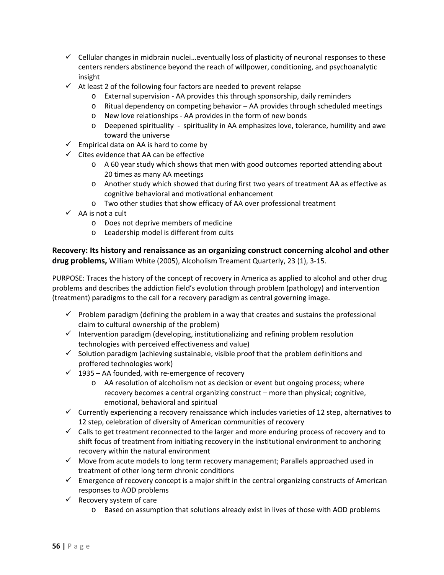- $\checkmark$  Cellular changes in midbrain nuclei... eventually loss of plasticity of neuronal responses to these centers renders abstinence beyond the reach of willpower, conditioning, and psychoanalytic insight
- $\checkmark$  At least 2 of the following four factors are needed to prevent relapse
	- o External supervision ‐ AA provides this through sponsorship, daily reminders
	- o Ritual dependency on competing behavior AA provides through scheduled meetings
	- o New love relationships ‐ AA provides in the form of new bonds
	- o Deepened spirituality ‐ spirituality in AA emphasizes love, tolerance, humility and awe toward the universe
- $\checkmark$  Empirical data on AA is hard to come by
- $\checkmark$  Cites evidence that AA can be effective
	- $\circ$  A 60 year study which shows that men with good outcomes reported attending about 20 times as many AA meetings
	- o Another study which showed that during first two years of treatment AA as effective as cognitive behavioral and motivational enhancement
	- o Two other studies that show efficacy of AA over professional treatment
- $\checkmark$  AA is not a cult
	- o Does not deprive members of medicine
	- o Leadership model is different from cults

**Recovery: Its history and renaissance as an organizing construct concerning alcohol and other drug problems,** William White (2005), Alcoholism Treament Quarterly, 23 (1), 3‐15.

PURPOSE: Traces the history of the concept of recovery in America as applied to alcohol and other drug problems and describes the addiction field's evolution through problem (pathology) and intervention (treatment) paradigms to the call for a recovery paradigm as central governing image.

- $\checkmark$  Problem paradigm (defining the problem in a way that creates and sustains the professional claim to cultural ownership of the problem)
- $\checkmark$  Intervention paradigm (developing, institutionalizing and refining problem resolution technologies with perceived effectiveness and value)
- $\checkmark$  Solution paradigm (achieving sustainable, visible proof that the problem definitions and proffered technologies work)
- $\checkmark$  1935 AA founded, with re-emergence of recovery
	- o AA resolution of alcoholism not as decision or event but ongoing process; where recovery becomes a central organizing construct – more than physical; cognitive, emotional, behavioral and spiritual
- $\checkmark$  Currently experiencing a recovery renaissance which includes varieties of 12 step, alternatives to 12 step, celebration of diversity of American communities of recovery
- $\checkmark$  Calls to get treatment reconnected to the larger and more enduring process of recovery and to shift focus of treatment from initiating recovery in the institutional environment to anchoring recovery within the natural environment
- $\checkmark$  Move from acute models to long term recovery management; Parallels approached used in treatment of other long term chronic conditions
- $\checkmark$  Emergence of recovery concept is a major shift in the central organizing constructs of American responses to AOD problems
- $\checkmark$  Recovery system of care
	- o Based on assumption that solutions already exist in lives of those with AOD problems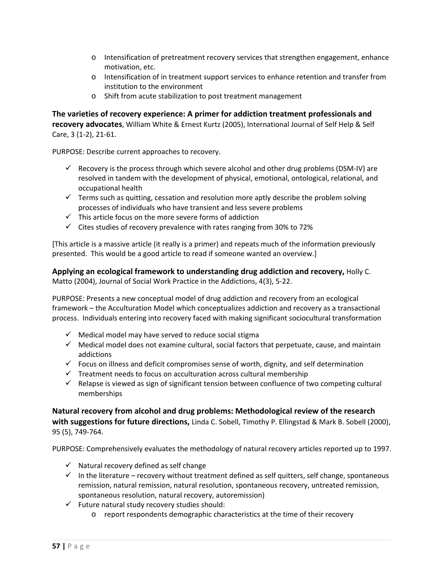- o Intensification of pretreatment recovery services that strengthen engagement, enhance motivation, etc.
- o Intensification of in treatment support services to enhance retention and transfer from institution to the environment
- o Shift from acute stabilization to post treatment management

**The varieties of recovery experience: A primer for addiction treatment professionals and recovery advocates**, William White & Ernest Kurtz (2005), International Journal of Self Help & Self Care, 3 (1‐2), 21‐61.

PURPOSE: Describe current approaches to recovery.

- $\checkmark$  Recovery is the process through which severe alcohol and other drug problems (DSM-IV) are resolved in tandem with the development of physical, emotional, ontological, relational, and occupational health
- $\checkmark$  Terms such as quitting, cessation and resolution more aptly describe the problem solving processes of individuals who have transient and less severe problems
- $\checkmark$  This article focus on the more severe forms of addiction
- $\checkmark$  Cites studies of recovery prevalence with rates ranging from 30% to 72%

[This article is a massive article (it really is a primer) and repeats much of the information previously presented. This would be a good article to read if someone wanted an overview.]

**Applying an ecological framework to understanding drug addiction and recovery,** Holly C. Matto (2004), Journal of Social Work Practice in the Addictions, 4(3), 5‐22.

PURPOSE: Presents a new conceptual model of drug addiction and recovery from an ecological framework – the Acculturation Model which conceptualizes addiction and recovery as a transactional process. Individuals entering into recovery faced with making significant sociocultural transformation

- $\checkmark$  Medical model may have served to reduce social stigma
- $\checkmark$  Medical model does not examine cultural, social factors that perpetuate, cause, and maintain addictions
- $\checkmark$  Focus on illness and deficit compromises sense of worth, dignity, and self determination
- $\checkmark$  Treatment needs to focus on acculturation across cultural membership
- $\checkmark$  Relapse is viewed as sign of significant tension between confluence of two competing cultural memberships

**Natural recovery from alcohol and drug problems: Methodological review of the research with suggestions for future directions,** Linda C. Sobell, Timothy P. Ellingstad & Mark B. Sobell (2000), 95 (5), 749‐764.

PURPOSE: Comprehensively evaluates the methodology of natural recovery articles reported up to 1997.

- $\checkmark$  Natural recovery defined as self change
- $\checkmark$  In the literature recovery without treatment defined as self quitters, self change, spontaneous remission, natural remission, natural resolution, spontaneous recovery, untreated remission, spontaneous resolution, natural recovery, autoremission)
- $\checkmark$  Future natural study recovery studies should:
	- o report respondents demographic characteristics at the time of their recovery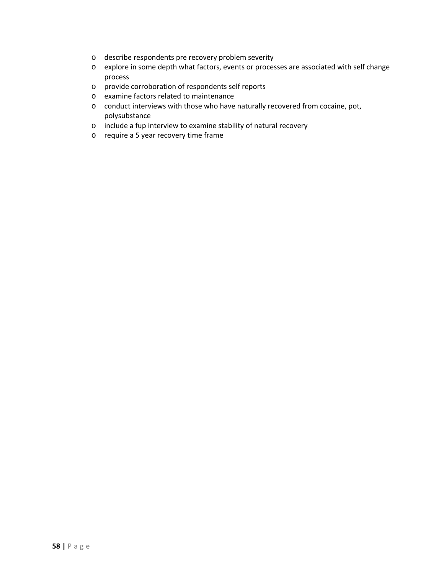- o describe respondents pre recovery problem severity
- o explore in some depth what factors, events or processes are associated with self change process
- o provide corroboration of respondents self reports
- o examine factors related to maintenance
- o conduct interviews with those who have naturally recovered from cocaine, pot, polysubstance
- o include a fup interview to examine stability of natural recovery
- o require a 5 year recovery time frame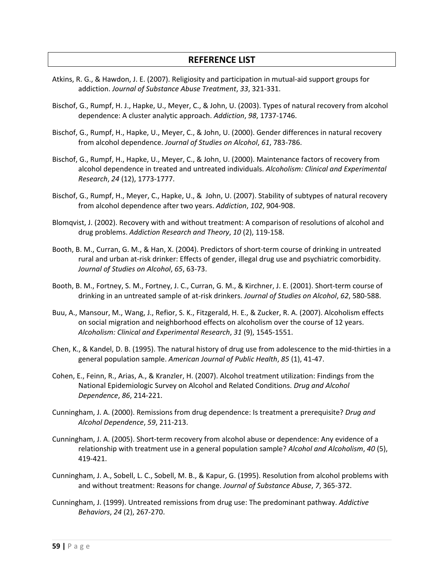## **REFERENCE LIST**

- Atkins, R. G., & Hawdon, J. E. (2007). Religiosity and participation in mutual‐aid support groups for addiction. *Journal of Substance Abuse Treatment*, *33*, 321‐331.
- Bischof, G., Rumpf, H. J., Hapke, U., Meyer, C., & John, U. (2003). Types of natural recovery from alcohol dependence: A cluster analytic approach. *Addiction*, *98*, 1737‐1746.
- Bischof, G., Rumpf, H., Hapke, U., Meyer, C., & John, U. (2000). Gender differences in natural recovery from alcohol dependence. *Journal of Studies on Alcohol*, *61*, 783‐786.
- Bischof, G., Rumpf, H., Hapke, U., Meyer, C., & John, U. (2000). Maintenance factors of recovery from alcohol dependence in treated and untreated individuals. *Alcoholism: Clinical and Experimental Research*, *24* (12), 1773‐1777.
- Bischof, G., Rumpf, H., Meyer, C., Hapke, U., & John, U. (2007). Stability of subtypes of natural recovery from alcohol dependence after two years. *Addiction*, *102*, 904‐908.
- Blomqvist, J. (2002). Recovery with and without treatment: A comparison of resolutions of alcohol and drug problems. *Addiction Research and Theory*, *10* (2), 119‐158.
- Booth, B. M., Curran, G. M., & Han, X. (2004). Predictors of short‐term course of drinking in untreated rural and urban at‐risk drinker: Effects of gender, illegal drug use and psychiatric comorbidity. *Journal of Studies on Alcohol*, *65*, 63‐73.
- Booth, B. M., Fortney, S. M., Fortney, J. C., Curran, G. M., & Kirchner, J. E. (2001). Short-term course of drinking in an untreated sample of at‐risk drinkers. *Journal of Studies on Alcohol*, *62*, 580‐588.
- Buu, A., Mansour, M., Wang, J., Refior, S. K., Fitzgerald, H. E., & Zucker, R. A. (2007). Alcoholism effects on social migration and neighborhood effects on alcoholism over the course of 12 years. *Alcoholism: Clinical and Experimental Research*, *31* (9), 1545‐1551.
- Chen, K., & Kandel, D. B. (1995). The natural history of drug use from adolescence to the mid‐thirties in a general population sample. *American Journal of Public Health*, *85* (1), 41‐47.
- Cohen, E., Feinn, R., Arias, A., & Kranzler, H. (2007). Alcohol treatment utilization: Findings from the National Epidemiologic Survey on Alcohol and Related Conditions. *Drug and Alcohol Dependence*, *86*, 214‐221.
- Cunningham, J. A. (2000). Remissions from drug dependence: Is treatment a prerequisite? *Drug and Alcohol Dependence*, *59*, 211‐213.
- Cunningham, J. A. (2005). Short‐term recovery from alcohol abuse or dependence: Any evidence of a relationship with treatment use in a general population sample? *Alcohol and Alcoholism*, *40* (5), 419‐421.
- Cunningham, J. A., Sobell, L. C., Sobell, M. B., & Kapur, G. (1995). Resolution from alcohol problems with and without treatment: Reasons for change. *Journal of Substance Abuse*, *7*, 365‐372.
- Cunningham, J. (1999). Untreated remissions from drug use: The predominant pathway. *Addictive Behaviors*, *24* (2), 267‐270.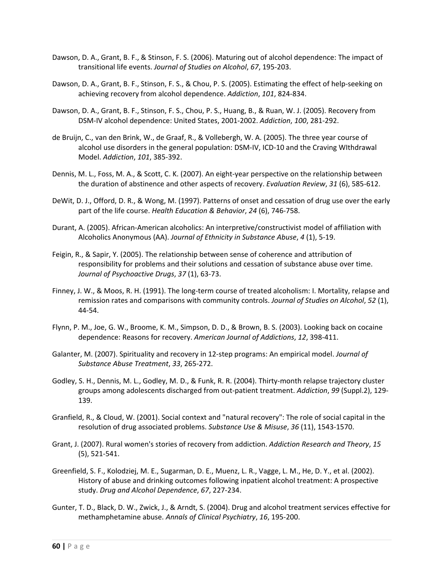- Dawson, D. A., Grant, B. F., & Stinson, F. S. (2006). Maturing out of alcohol dependence: The impact of transitional life events. *Journal of Studies on Alcohol*, *67*, 195‐203.
- Dawson, D. A., Grant, B. F., Stinson, F. S., & Chou, P. S. (2005). Estimating the effect of help-seeking on achieving recovery from alcohol dependence. *Addiction*, *101*, 824‐834.
- Dawson, D. A., Grant, B. F., Stinson, F. S., Chou, P. S., Huang, B., & Ruan, W. J. (2005). Recovery from DSM‐IV alcohol dependence: United States, 2001‐2002. *Addiction*, *100*, 281‐292.
- de Bruijn, C., van den Brink, W., de Graaf, R., & Vollebergh, W. A. (2005). The three year course of alcohol use disorders in the general population: DSM‐IV, ICD‐10 and the Craving WIthdrawal Model. *Addiction*, *101*, 385‐392.
- Dennis, M. L., Foss, M. A., & Scott, C. K. (2007). An eight‐year perspective on the relationship between the duration of abstinence and other aspects of recovery. *Evaluation Review*, *31* (6), 585‐612.
- DeWit, D. J., Offord, D. R., & Wong, M. (1997). Patterns of onset and cessation of drug use over the early part of the life course. *Health Education & Behavior*, *24* (6), 746‐758.
- Durant, A. (2005). African‐American alcoholics: An interpretive/constructivist model of affiliation with Alcoholics Anonymous (AA). *Journal of Ethnicity in Substance Abuse*, *4* (1), 5‐19.
- Feigin, R., & Sapir, Y. (2005). The relationship between sense of coherence and attribution of responsibility for problems and their solutions and cessation of substance abuse over time. *Journal of Psychoactive Drugs*, *37* (1), 63‐73.
- Finney, J. W., & Moos, R. H. (1991). The long-term course of treated alcoholism: I. Mortality, relapse and remission rates and comparisons with community controls. *Journal of Studies on Alcohol*, *52* (1), 44‐54.
- Flynn, P. M., Joe, G. W., Broome, K. M., Simpson, D. D., & Brown, B. S. (2003). Looking back on cocaine dependence: Reasons for recovery. *American Journal of Addictions*, *12*, 398‐411.
- Galanter, M. (2007). Spirituality and recovery in 12‐step programs: An empirical model. *Journal of Substance Abuse Treatment*, *33*, 265‐272.
- Godley, S. H., Dennis, M. L., Godley, M. D., & Funk, R. R. (2004). Thirty‐month relapse trajectory cluster groups among adolescents discharged from out‐patient treatment. *Addiction*, *99* (Suppl.2), 129‐ 139.
- Granfield, R., & Cloud, W. (2001). Social context and "natural recovery": The role of social capital in the resolution of drug associated problems. *Substance Use & Misuse*, *36* (11), 1543‐1570.
- Grant, J. (2007). Rural women's stories of recovery from addiction. *Addiction Research and Theory*, *15* (5), 521‐541.
- Greenfield, S. F., Kolodziej, M. E., Sugarman, D. E., Muenz, L. R., Vagge, L. M., He, D. Y., et al. (2002). History of abuse and drinking outcomes following inpatient alcohol treatment: A prospective study. *Drug and Alcohol Dependence*, *67*, 227‐234.
- Gunter, T. D., Black, D. W., Zwick, J., & Arndt, S. (2004). Drug and alcohol treatment services effective for methamphetamine abuse. *Annals of Clinical Psychiatry*, *16*, 195‐200.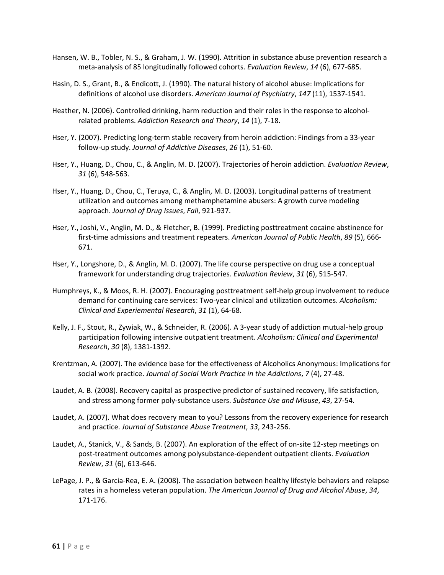- Hansen, W. B., Tobler, N. S., & Graham, J. W. (1990). Attrition in substance abuse prevention research a meta‐analysis of 85 longitudinally followed cohorts. *Evaluation Review*, *14* (6), 677‐685.
- Hasin, D. S., Grant, B., & Endicott, J. (1990). The natural history of alcohol abuse: Implications for definitions of alcohol use disorders. *American Journal of Psychiatry*, *147* (11), 1537‐1541.
- Heather, N. (2006). Controlled drinking, harm reduction and their roles in the response to alcoholrelated problems. *Addiction Research and Theory*, *14* (1), 7‐18.
- Hser, Y. (2007). Predicting long‐term stable recovery from heroin addiction: Findings from a 33‐year follow‐up study. *Journal of Addictive Diseases*, *26* (1), 51‐60.
- Hser, Y., Huang, D., Chou, C., & Anglin, M. D. (2007). Trajectories of heroin addiction. *Evaluation Review*, *31* (6), 548‐563.
- Hser, Y., Huang, D., Chou, C., Teruya, C., & Anglin, M. D. (2003). Longitudinal patterns of treatment utilization and outcomes among methamphetamine abusers: A growth curve modeling approach. *Journal of Drug Issues*, *Fall*, 921‐937.
- Hser, Y., Joshi, V., Anglin, M. D., & Fletcher, B. (1999). Predicting posttreatment cocaine abstinence for first‐time admissions and treatment repeaters. *American Journal of Public Health*, *89* (5), 666‐ 671.
- Hser, Y., Longshore, D., & Anglin, M. D. (2007). The life course perspective on drug use a conceptual framework for understanding drug trajectories. *Evaluation Review*, *31* (6), 515‐547.
- Humphreys, K., & Moos, R. H. (2007). Encouraging posttreatment self‐help group involvement to reduce demand for continuing care services: Two‐year clinical and utilization outcomes. *Alcoholism: Clinical and Experiemental Research*, *31* (1), 64‐68.
- Kelly, J. F., Stout, R., Zywiak, W., & Schneider, R. (2006). A 3‐year study of addiction mutual‐help group participation following intensive outpatient treatment. *Alcoholism: Clinical and Experimental Research*, *30* (8), 1381‐1392.
- Krentzman, A. (2007). The evidence base for the effectiveness of Alcoholics Anonymous: Implications for social work practice. *Journal of Social Work Practice in the Addictions*, *7* (4), 27‐48.
- Laudet, A. B. (2008). Recovery capital as prospective predictor of sustained recovery, life satisfaction, and stress among former poly‐substance users. *Substance Use and Misuse*, *43*, 27‐54.
- Laudet, A. (2007). What does recovery mean to you? Lessons from the recovery experience for research and practice. *Journal of Substance Abuse Treatment*, *33*, 243‐256.
- Laudet, A., Stanick, V., & Sands, B. (2007). An exploration of the effect of on‐site 12‐step meetings on post‐treatment outcomes among polysubstance‐dependent outpatient clients. *Evaluation Review*, *31* (6), 613‐646.
- LePage, J. P., & Garcia‐Rea, E. A. (2008). The association between healthy lifestyle behaviors and relapse rates in a homeless veteran population. *The American Journal of Drug and Alcohol Abuse*, *34*, 171‐176.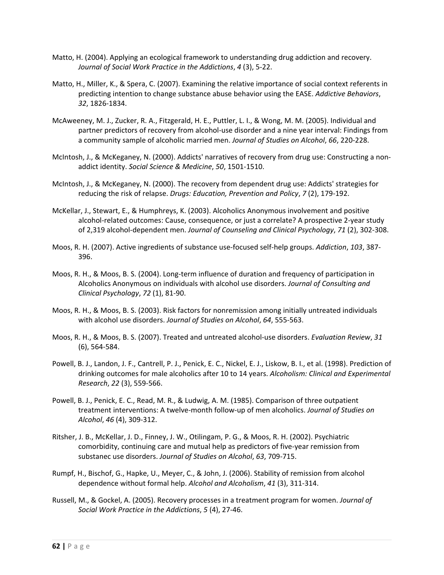- Matto, H. (2004). Applying an ecological framework to understanding drug addiction and recovery. *Journal of Social Work Practice in the Addictions*, *4* (3), 5‐22.
- Matto, H., Miller, K., & Spera, C. (2007). Examining the relative importance of social context referents in predicting intention to change substance abuse behavior using the EASE. *Addictive Behaviors*, *32*, 1826‐1834.
- McAweeney, M. J., Zucker, R. A., Fitzgerald, H. E., Puttler, L. I., & Wong, M. M. (2005). Individual and partner predictors of recovery from alcohol‐use disorder and a nine year interval: Findings from a community sample of alcoholic married men. *Journal of Studies on Alcohol*, *66*, 220‐228.
- McIntosh, J., & McKeganey, N. (2000). Addicts' narratives of recovery from drug use: Constructing a non‐ addict identity. *Social Science & Medicine*, *50*, 1501‐1510.
- McIntosh, J., & McKeganey, N. (2000). The recovery from dependent drug use: Addicts' strategies for reducing the risk of relapse. *Drugs: Education, Prevention and Policy*, *7* (2), 179‐192.
- McKellar, J., Stewart, E., & Humphreys, K. (2003). Alcoholics Anonymous involvement and positive alcohol-related outcomes: Cause, consequence, or just a correlate? A prospective 2-year study of 2,319 alcohol‐dependent men. *Journal of Counseling and Clinical Psychology*, *71* (2), 302‐308.
- Moos, R. H. (2007). Active ingredients of substance use‐focused self‐help groups. *Addiction*, *103*, 387‐ 396.
- Moos, R. H., & Moos, B. S. (2004). Long‐term influence of duration and frequency of participation in Alcoholics Anonymous on individuals with alcohol use disorders. *Journal of Consulting and Clinical Psychology*, *72* (1), 81‐90.
- Moos, R. H., & Moos, B. S. (2003). Risk factors for nonremission among initially untreated individuals with alcohol use disorders. *Journal of Studies on Alcohol*, *64*, 555‐563.
- Moos, R. H., & Moos, B. S. (2007). Treated and untreated alcohol‐use disorders. *Evaluation Review*, *31* (6), 564‐584.
- Powell, B. J., Landon, J. F., Cantrell, P. J., Penick, E. C., Nickel, E. J., Liskow, B. I., et al. (1998). Prediction of drinking outcomes for male alcoholics after 10 to 14 years. *Alcoholism: Clinical and Experimental Research*, *22* (3), 559‐566.
- Powell, B. J., Penick, E. C., Read, M. R., & Ludwig, A. M. (1985). Comparison of three outpatient treatment interventions: A twelve‐month follow‐up of men alcoholics. *Journal of Studies on Alcohol*, *46* (4), 309‐312.
- Ritsher, J. B., McKellar, J. D., Finney, J. W., Otilingam, P. G., & Moos, R. H. (2002). Psychiatric comorbidity, continuing care and mutual help as predictors of five‐year remission from substanec use disorders. *Journal of Studies on Alcohol*, *63*, 709‐715.
- Rumpf, H., Bischof, G., Hapke, U., Meyer, C., & John, J. (2006). Stability of remission from alcohol dependence without formal help. *Alcohol and Alcoholism*, *41* (3), 311‐314.
- Russell, M., & Gockel, A. (2005). Recovery processes in a treatment program for women. *Journal of Social Work Practice in the Addictions*, *5* (4), 27‐46.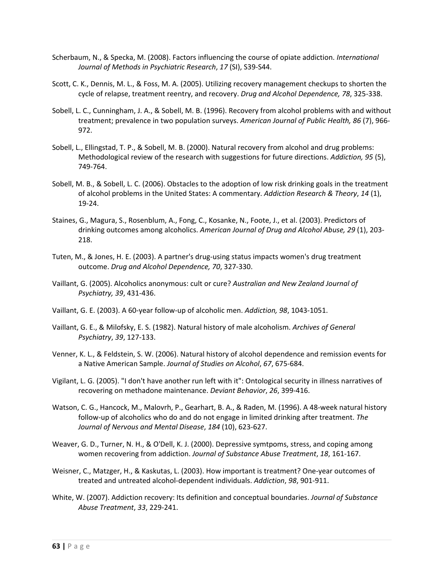- Scherbaum, N., & Specka, M. (2008). Factors influencing the course of opiate addiction. *International Journal of Methods in Psychiatric Research*, *17* (SI), S39‐S44.
- Scott, C. K., Dennis, M. L., & Foss, M. A. (2005). Utilizing recovery management checkups to shorten the cycle of relapse, treatment reentry, and recovery. *Drug and Alcohol Dependence, 78*, 325‐338.
- Sobell, L. C., Cunningham, J. A., & Sobell, M. B. (1996). Recovery from alcohol problems with and without treatment; prevalence in two population surveys. *American Journal of Public Health, 86* (7), 966‐ 972.
- Sobell, L., Ellingstad, T. P., & Sobell, M. B. (2000). Natural recovery from alcohol and drug problems: Methodological review of the research with suggestions for future directions. *Addiction, 95* (5), 749‐764.
- Sobell, M. B., & Sobell, L. C. (2006). Obstacles to the adoption of low risk drinking goals in the treatment of alcohol problems in the United States: A commentary. *Addiction Research & Theory*, *14* (1), 19‐24.
- Staines, G., Magura, S., Rosenblum, A., Fong, C., Kosanke, N., Foote, J., et al. (2003). Predictors of drinking outcomes among alcoholics. *American Journal of Drug and Alcohol Abuse, 29* (1), 203‐ 218.
- Tuten, M., & Jones, H. E. (2003). A partner's drug‐using status impacts women's drug treatment outcome. *Drug and Alcohol Dependence, 70*, 327‐330.
- Vaillant, G. (2005). Alcoholics anonymous: cult or cure? *Australian and New Zealand Journal of Psychiatry, 39*, 431‐436.
- Vaillant, G. E. (2003). A 60‐year follow‐up of alcoholic men. *Addiction, 98*, 1043‐1051.
- Vaillant, G. E., & Milofsky, E. S. (1982). Natural history of male alcoholism. *Archives of General Psychiatry*, *39*, 127‐133.
- Venner, K. L., & Feldstein, S. W. (2006). Natural history of alcohol dependence and remission events for a Native American Sample. *Journal of Studies on Alcohol*, *67*, 675‐684.
- Vigilant, L. G. (2005). "I don't have another run left with it": Ontological security in illness narratives of recovering on methadone maintenance. *Deviant Behavior*, *26*, 399‐416.
- Watson, C. G., Hancock, M., Malovrh, P., Gearhart, B. A., & Raden, M. (1996). A 48‐week natural history follow‐up of alcoholics who do and do not engage in limited drinking after treatment. *The Journal of Nervous and Mental Disease*, *184* (10), 623‐627.
- Weaver, G. D., Turner, N. H., & O'Dell, K. J. (2000). Depressive symtpoms, stress, and coping among women recovering from addiction. *Journal of Substance Abuse Treatment*, *18*, 161‐167.
- Weisner, C., Matzger, H., & Kaskutas, L. (2003). How important is treatment? One‐year outcomes of treated and untreated alcohol‐dependent individuals. *Addiction*, *98*, 901‐911.
- White, W. (2007). Addiction recovery: Its definition and conceptual boundaries. *Journal of Substance Abuse Treatment*, *33*, 229‐241.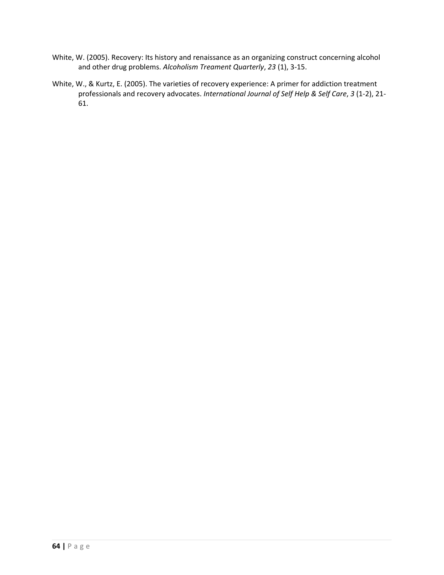- White, W. (2005). Recovery: Its history and renaissance as an organizing construct concerning alcohol and other drug problems. *Alcoholism Treament Quarterly*, *23* (1), 3‐15.
- White, W., & Kurtz, E. (2005). The varieties of recovery experience: A primer for addiction treatment professionals and recovery advocates. *International Journal of Self Help & Self Care*, *3* (1‐2), 21‐ 61.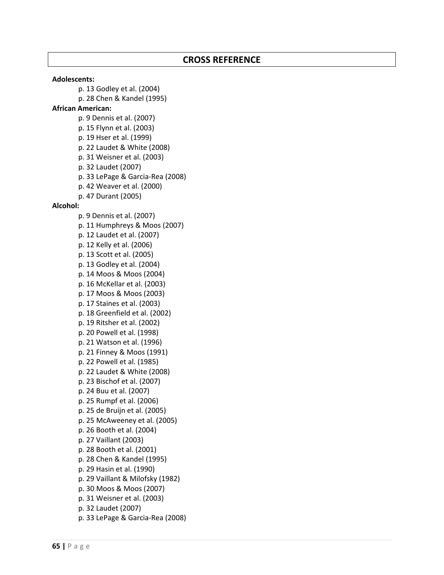#### **Adolescents:**

p. 13 Godley et al. (2004) p. 28 Chen & Kandel (1995) **African American:** p. 9 Dennis et al. (2007) p. 15 Flynn et al. (2003) p. 19 Hser et al. (1999)

p. 22 Laudet & White (2008)

p. 31 Weisner et al. (2003)

p. 32 Laudet (2007)

p. 33 LePage & Garcia‐Rea (2008)

p. 42 Weaver et al. (2000)

p. 47 Durant (2005)

#### **Alcohol:**

p. 9 Dennis et al. (2007) p. 11 Humphreys & Moos (2007) p. 12 Laudet et al. (2007) p. 12 Kelly et al. (2006) p. 13 Scott et al. (2005) p. 13 Godley et al. (2004) p. 14 Moos & Moos (2004) p. 16 McKellar et al. (2003) p. 17 Moos & Moos (2003) p. 17 Staines et al. (2003) p. 18 Greenfield et al. (2002) p. 19 Ritsher et al. (2002) p. 20 Powell et al. (1998) p. 21 Watson et al. (1996) p. 21 Finney & Moos (1991) p. 22 Powell et al. (1985) p. 22 Laudet & White (2008) p. 23 Bischof et al. (2007) p. 24 Buu et al. (2007) p. 25 Rumpf et al. (2006) p. 25 de Bruijn et al. (2005) p. 25 McAweeney et al. (2005) p. 26 Booth et al. (2004) p. 27 Vaillant (2003) p. 28 Booth et al. (2001) p. 28 Chen & Kandel (1995) p. 29 Hasin et al. (1990) p. 29 Vaillant & Milofsky (1982) p. 30 Moos & Moos (2007) p. 31 Weisner et al. (2003) p. 32 Laudet (2007) p. 33 LePage & Garcia‐Rea (2008)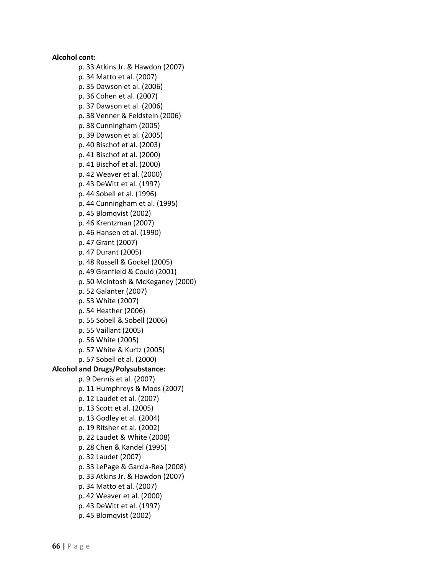p. 33 Atkins Jr. & Hawdon (2007) p. 34 Matto et al. (2007) p. 35 Dawson et al. (2006) p. 36 Cohen et al. (2007) p. 37 Dawson et al. (2006) p. 38 Venner & Feldstein (2006) p. 38 Cunningham (2005) p. 39 Dawson et al. (2005) p. 40 Bischof et al. (2003) p. 41 Bischof et al. (2000) p. 41 Bischof et al. (2000) p. 42 Weaver et al. (2000) p. 43 DeWitt et al. (1997) p. 44 Sobell et al. (1996) p. 44 Cunningham et al. (1995) p. 45 Blomqvist (2002) p. 46 Krentzman (2007) p. 46 Hansen et al. (1990) p. 47 Grant (2007) p. 47 Durant (2005) p. 48 Russell & Gockel (2005) p. 49 Granfield & Could (2001) p. 50 McIntosh & McKeganey (2000) p. 52 Galanter (2007) p. 53 White (2007) p. 54 Heather (2006) p. 55 Sobell & Sobell (2006) p. 55 Vaillant (2005) p. 56 White (2005) p. 57 White & Kurtz (2005) p. 57 Sobell et al. (2000) **Alcohol and Drugs/Polysubstance:**

**Alcohol cont:**

p. 9 Dennis et al. (2007) p. 11 Humphreys & Moos (2007) p. 12 Laudet et al. (2007) p. 13 Scott et al. (2005) p. 13 Godley et al. (2004) p. 19 Ritsher et al. (2002) p. 22 Laudet & White (2008) p. 28 Chen & Kandel (1995) p. 32 Laudet (2007) p. 33 LePage & Garcia‐Rea (2008) p. 33 Atkins Jr. & Hawdon (2007) p. 34 Matto et al. (2007) p. 42 Weaver et al. (2000) p. 43 DeWitt et al. (1997) p. 45 Blomqvist (2002)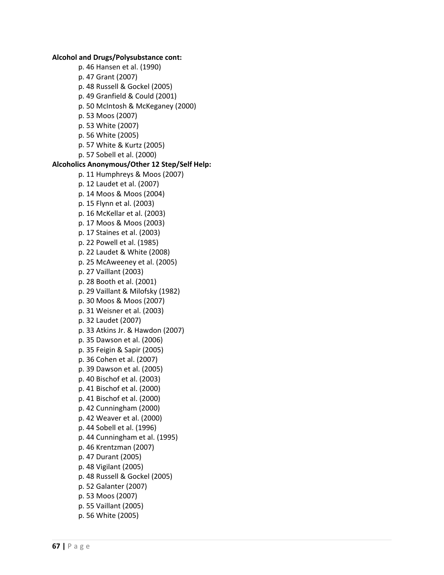**Alcohol and Drugs/Polysubstance cont:** p. 46 Hansen et al. (1990) p. 47 Grant (2007) p. 48 Russell & Gockel (2005) p. 49 Granfield & Could (2001) p. 50 McIntosh & McKeganey (2000) p. 53 Moos (2007) p. 53 White (2007) p. 56 White (2005) p. 57 White & Kurtz (2005) p. 57 Sobell et al. (2000) **Alcoholics Anonymous/Other 12 Step/Self Help:** p. 11 Humphreys & Moos (2007) p. 12 Laudet et al. (2007) p. 14 Moos & Moos (2004) p. 15 Flynn et al. (2003) p. 16 McKellar et al. (2003) p. 17 Moos & Moos (2003) p. 17 Staines et al. (2003) p. 22 Powell et al. (1985) p. 22 Laudet & White (2008) p. 25 McAweeney et al. (2005) p. 27 Vaillant (2003) p. 28 Booth et al. (2001) p. 29 Vaillant & Milofsky (1982) p. 30 Moos & Moos (2007) p. 31 Weisner et al. (2003) p. 32 Laudet (2007) p. 33 Atkins Jr. & Hawdon (2007) p. 35 Dawson et al. (2006) p. 35 Feigin & Sapir (2005) p. 36 Cohen et al. (2007) p. 39 Dawson et al. (2005) p. 40 Bischof et al. (2003) p. 41 Bischof et al. (2000) p. 41 Bischof et al. (2000) p. 42 Cunningham (2000) p. 42 Weaver et al. (2000) p. 44 Sobell et al. (1996) p. 44 Cunningham et al. (1995) p. 46 Krentzman (2007) p. 47 Durant (2005) p. 48 Vigilant (2005) p. 48 Russell & Gockel (2005) p. 52 Galanter (2007) p. 53 Moos (2007) p. 55 Vaillant (2005) p. 56 White (2005)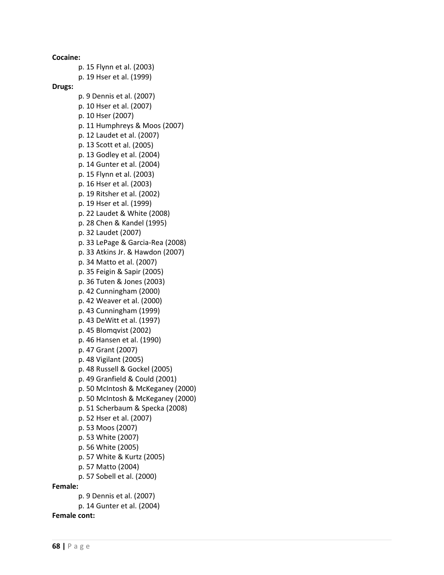**Cocaine:** p. 15 Flynn et al. (2003) p. 19 Hser et al. (1999) **Drugs:** p. 9 Dennis et al. (2007) p. 10 Hser et al. (2007) p. 10 Hser (2007) p. 11 Humphreys & Moos (2007) p. 12 Laudet et al. (2007) p. 13 Scott et al. (2005) p. 13 Godley et al. (2004) p. 14 Gunter et al. (2004) p. 15 Flynn et al. (2003) p. 16 Hser et al. (2003) p. 19 Ritsher et al. (2002) p. 19 Hser et al. (1999) p. 22 Laudet & White (2008) p. 28 Chen & Kandel (1995) p. 32 Laudet (2007) p. 33 LePage & Garcia‐Rea (2008) p. 33 Atkins Jr. & Hawdon (2007) p. 34 Matto et al. (2007) p. 35 Feigin & Sapir (2005) p. 36 Tuten & Jones (2003) p. 42 Cunningham (2000) p. 42 Weaver et al. (2000) p. 43 Cunningham (1999) p. 43 DeWitt et al. (1997) p. 45 Blomqvist (2002) p. 46 Hansen et al. (1990) p. 47 Grant (2007) p. 48 Vigilant (2005) p. 48 Russell & Gockel (2005) p. 49 Granfield & Could (2001) p. 50 McIntosh & McKeganey (2000) p. 50 McIntosh & McKeganey (2000) p. 51 Scherbaum & Specka (2008) p. 52 Hser et al. (2007) p. 53 Moos (2007) p. 53 White (2007) p. 56 White (2005) p. 57 White & Kurtz (2005) p. 57 Matto (2004) p. 57 Sobell et al. (2000) **Female:** p. 9 Dennis et al. (2007) p. 14 Gunter et al. (2004)

**Female cont:**